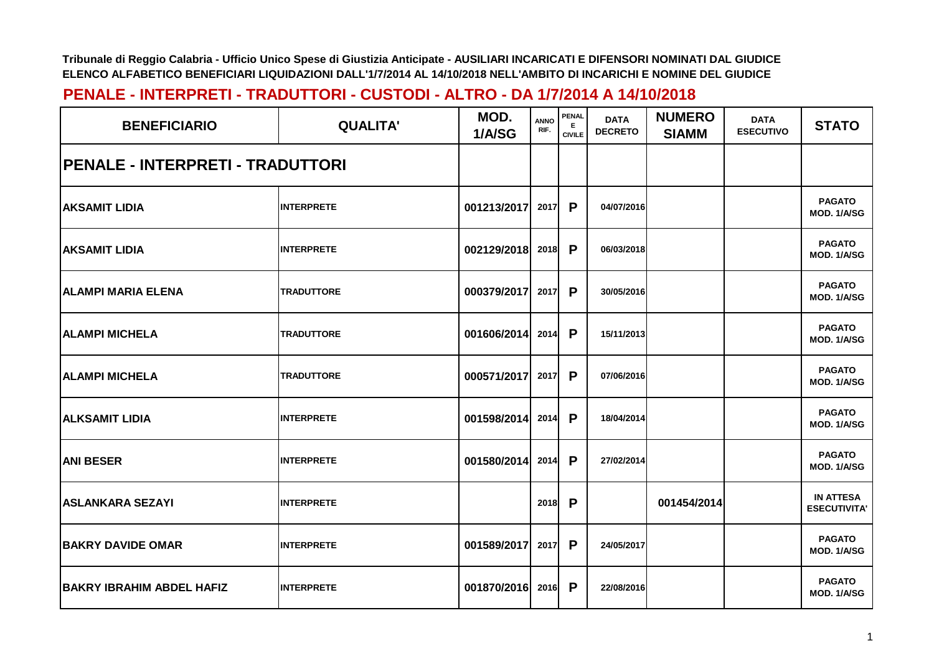| <b>BENEFICIARIO</b>              | <b>QUALITA'</b>   | MOD.<br>1/A/SG | <b>ANNO</b><br>RIF. | <b>PENAL</b><br>Е.<br><b>CIVILE</b> | <b>DATA</b><br><b>DECRETO</b> | <b>NUMERO</b><br><b>SIAMM</b> | <b>DATA</b><br><b>ESECUTIVO</b> | <b>STATO</b>                            |
|----------------------------------|-------------------|----------------|---------------------|-------------------------------------|-------------------------------|-------------------------------|---------------------------------|-----------------------------------------|
| PENALE - INTERPRETI - TRADUTTORI |                   |                |                     |                                     |                               |                               |                                 |                                         |
| <b>AKSAMIT LIDIA</b>             | <b>INTERPRETE</b> | 001213/2017    | 2017                | P                                   | 04/07/2016                    |                               |                                 | <b>PAGATO</b><br>MOD. 1/A/SG            |
| <b>AKSAMIT LIDIA</b>             | <b>INTERPRETE</b> | 002129/2018    | 2018                | P                                   | 06/03/2018                    |                               |                                 | <b>PAGATO</b><br>MOD. 1/A/SG            |
| <b>ALAMPI MARIA ELENA</b>        | <b>TRADUTTORE</b> | 000379/2017    | 2017                | P                                   | 30/05/2016                    |                               |                                 | <b>PAGATO</b><br>MOD. 1/A/SG            |
| <b>ALAMPI MICHELA</b>            | <b>TRADUTTORE</b> | 001606/2014    | 2014                | P                                   | 15/11/2013                    |                               |                                 | <b>PAGATO</b><br>MOD. 1/A/SG            |
| <b>ALAMPI MICHELA</b>            | <b>TRADUTTORE</b> | 000571/2017    | 2017                | P                                   | 07/06/2016                    |                               |                                 | <b>PAGATO</b><br>MOD. 1/A/SG            |
| <b>ALKSAMIT LIDIA</b>            | <b>INTERPRETE</b> | 001598/2014    | 2014                | P                                   | 18/04/2014                    |                               |                                 | <b>PAGATO</b><br>MOD. 1/A/SG            |
| <b>ANI BESER</b>                 | <b>INTERPRETE</b> | 001580/2014    | 2014                | P                                   | 27/02/2014                    |                               |                                 | <b>PAGATO</b><br>MOD. 1/A/SG            |
| <b>ASLANKARA SEZAYI</b>          | <b>INTERPRETE</b> |                | 2018                | P                                   |                               | 001454/2014                   |                                 | <b>IN ATTESA</b><br><b>ESECUTIVITA'</b> |
| <b>BAKRY DAVIDE OMAR</b>         | <b>INTERPRETE</b> | 001589/2017    | 2017                | P                                   | 24/05/2017                    |                               |                                 | <b>PAGATO</b><br>MOD. 1/A/SG            |
| <b>BAKRY IBRAHIM ABDEL HAFIZ</b> | <b>INTERPRETE</b> | 001870/2016    | 2016                | P                                   | 22/08/2016                    |                               |                                 | <b>PAGATO</b><br>MOD. 1/A/SG            |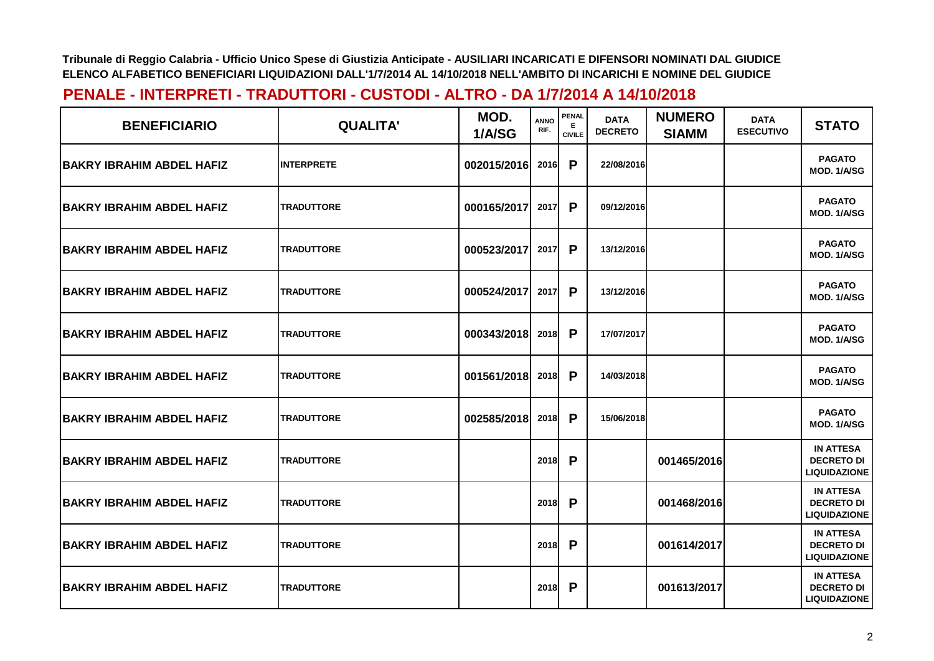| <b>BENEFICIARIO</b>               | <b>QUALITA'</b>   | MOD.<br>1/A/SG | <b>ANNO</b><br>RIF. | PENAL<br>E.<br><b>CIVILE</b> | <b>DATA</b><br><b>DECRETO</b> | <b>NUMERO</b><br><b>SIAMM</b> | <b>DATA</b><br><b>ESECUTIVO</b> | <b>STATO</b>                                                 |
|-----------------------------------|-------------------|----------------|---------------------|------------------------------|-------------------------------|-------------------------------|---------------------------------|--------------------------------------------------------------|
| <b>BAKRY IBRAHIM ABDEL HAFIZ</b>  | <b>INTERPRETE</b> | 002015/2016    | 2016                | P                            | 22/08/2016                    |                               |                                 | <b>PAGATO</b><br>MOD. 1/A/SG                                 |
| <b>BAKRY IBRAHIM ABDEL HAFIZ</b>  | <b>TRADUTTORE</b> | 000165/2017    | 2017                | P                            | 09/12/2016                    |                               |                                 | <b>PAGATO</b><br>MOD. 1/A/SG                                 |
| <b>BAKRY IBRAHIM ABDEL HAFIZ</b>  | <b>TRADUTTORE</b> | 000523/2017    | 2017                | P                            | 13/12/2016                    |                               |                                 | <b>PAGATO</b><br>MOD. 1/A/SG                                 |
| <b>BAKRY IBRAHIM ABDEL HAFIZ</b>  | <b>TRADUTTORE</b> | 000524/2017    | 2017                | P                            | 13/12/2016                    |                               |                                 | <b>PAGATO</b><br><b>MOD. 1/A/SG</b>                          |
| <b>BAKRY IBRAHIM ABDEL HAFIZ</b>  | <b>TRADUTTORE</b> | 000343/2018    | 2018                | P                            | 17/07/2017                    |                               |                                 | <b>PAGATO</b><br><b>MOD. 1/A/SG</b>                          |
| IBAKRY IBRAHIM ABDEL HAFIZ        | <b>TRADUTTORE</b> | 001561/2018    | 2018                | P                            | 14/03/2018                    |                               |                                 | <b>PAGATO</b><br>MOD. 1/A/SG                                 |
| <b>BAKRY IBRAHIM ABDEL HAFIZ</b>  | <b>TRADUTTORE</b> | 002585/2018    | 2018                | P                            | 15/06/2018                    |                               |                                 | <b>PAGATO</b><br>MOD. 1/A/SG                                 |
| <b>BAKRY IBRAHIM ABDEL HAFIZ</b>  | <b>TRADUTTORE</b> |                | 2018                | P                            |                               | 001465/2016                   |                                 | <b>IN ATTESA</b><br><b>DECRETO DI</b><br><b>LIQUIDAZIONE</b> |
| <b>BAKRY IBRAHIM ABDEL HAFIZ</b>  | <b>TRADUTTORE</b> |                | 2018                | P                            |                               | 001468/2016                   |                                 | <b>IN ATTESA</b><br><b>DECRETO DI</b><br><b>LIQUIDAZIONE</b> |
| <b>IBAKRY IBRAHIM ABDEL HAFIZ</b> | <b>TRADUTTORE</b> |                | 2018                | P                            |                               | 001614/2017                   |                                 | <b>IN ATTESA</b><br><b>DECRETO DI</b><br><b>LIQUIDAZIONE</b> |
| <b>BAKRY IBRAHIM ABDEL HAFIZ</b>  | <b>TRADUTTORE</b> |                | 2018                | P                            |                               | 001613/2017                   |                                 | <b>IN ATTESA</b><br><b>DECRETO DI</b><br><b>LIQUIDAZIONE</b> |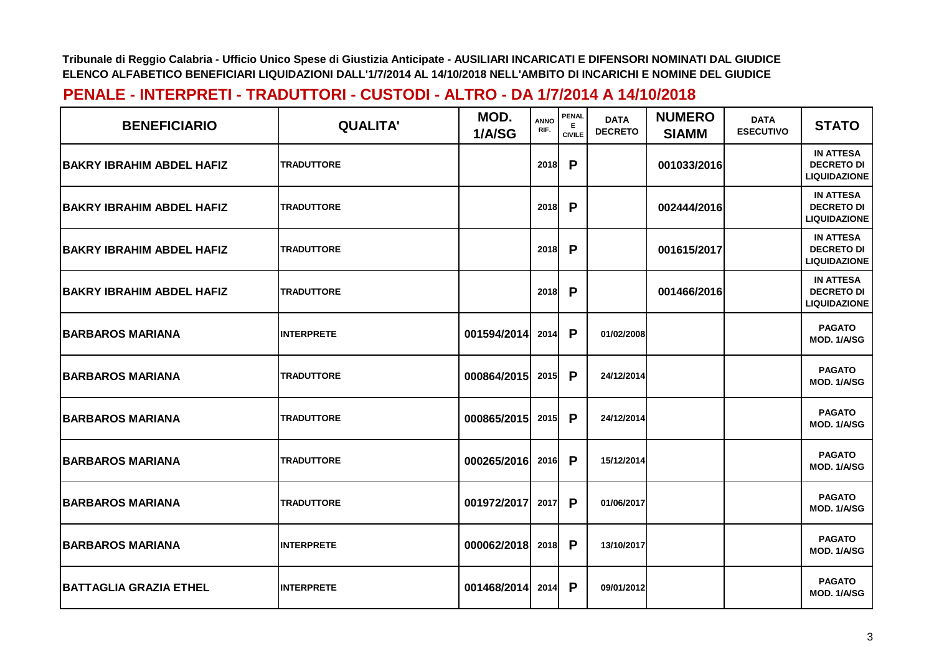| <b>BENEFICIARIO</b>              | <b>QUALITA'</b>   | MOD.<br>1/A/SG | <b>ANNO</b><br>RIF. | <b>PENAL</b><br>Е<br><b>CIVILE</b> | <b>DATA</b><br><b>DECRETO</b> | <b>NUMERO</b><br><b>SIAMM</b> | <b>DATA</b><br><b>ESECUTIVO</b> | <b>STATO</b>                                                 |
|----------------------------------|-------------------|----------------|---------------------|------------------------------------|-------------------------------|-------------------------------|---------------------------------|--------------------------------------------------------------|
| <b>BAKRY IBRAHIM ABDEL HAFIZ</b> | <b>TRADUTTORE</b> |                | <b>2018</b>         | P                                  |                               | 001033/2016                   |                                 | <b>IN ATTESA</b><br><b>DECRETO DI</b><br><b>LIQUIDAZIONE</b> |
| <b>BAKRY IBRAHIM ABDEL HAFIZ</b> | <b>TRADUTTORE</b> |                | 2018                | P                                  |                               | 002444/2016                   |                                 | <b>IN ATTESA</b><br><b>DECRETO DI</b><br><b>LIQUIDAZIONE</b> |
| <b>BAKRY IBRAHIM ABDEL HAFIZ</b> | <b>TRADUTTORE</b> |                | 2018                | P                                  |                               | 001615/2017                   |                                 | <b>IN ATTESA</b><br><b>DECRETO DI</b><br><b>LIQUIDAZIONE</b> |
| <b>BAKRY IBRAHIM ABDEL HAFIZ</b> | <b>TRADUTTORE</b> |                | 2018                | P                                  |                               | 001466/2016                   |                                 | <b>IN ATTESA</b><br><b>DECRETO DI</b><br><b>LIQUIDAZIONE</b> |
| <b>BARBAROS MARIANA</b>          | <b>INTERPRETE</b> | 001594/2014    | 2014                | P                                  | 01/02/2008                    |                               |                                 | <b>PAGATO</b><br>MOD. 1/A/SG                                 |
| <b>BARBAROS MARIANA</b>          | <b>TRADUTTORE</b> | 000864/2015    | 2015                | P                                  | 24/12/2014                    |                               |                                 | <b>PAGATO</b><br>MOD. 1/A/SG                                 |
| <b>BARBAROS MARIANA</b>          | <b>TRADUTTORE</b> | 000865/2015    | 2015                | P                                  | 24/12/2014                    |                               |                                 | <b>PAGATO</b><br>MOD. 1/A/SG                                 |
| <b>BARBAROS MARIANA</b>          | <b>TRADUTTORE</b> | 000265/2016    | 2016                | P                                  | 15/12/2014                    |                               |                                 | <b>PAGATO</b><br>MOD. 1/A/SG                                 |
| <b>BARBAROS MARIANA</b>          | <b>TRADUTTORE</b> | 001972/2017    | 2017                | P                                  | 01/06/2017                    |                               |                                 | <b>PAGATO</b><br>MOD. 1/A/SG                                 |
| <b>BARBAROS MARIANA</b>          | <b>INTERPRETE</b> | 000062/2018    | 2018                | P                                  | 13/10/2017                    |                               |                                 | <b>PAGATO</b><br>MOD. 1/A/SG                                 |
| <b>BATTAGLIA GRAZIA ETHEL</b>    | <b>INTERPRETE</b> | 001468/2014    | 2014                | P                                  | 09/01/2012                    |                               |                                 | <b>PAGATO</b><br>MOD. 1/A/SG                                 |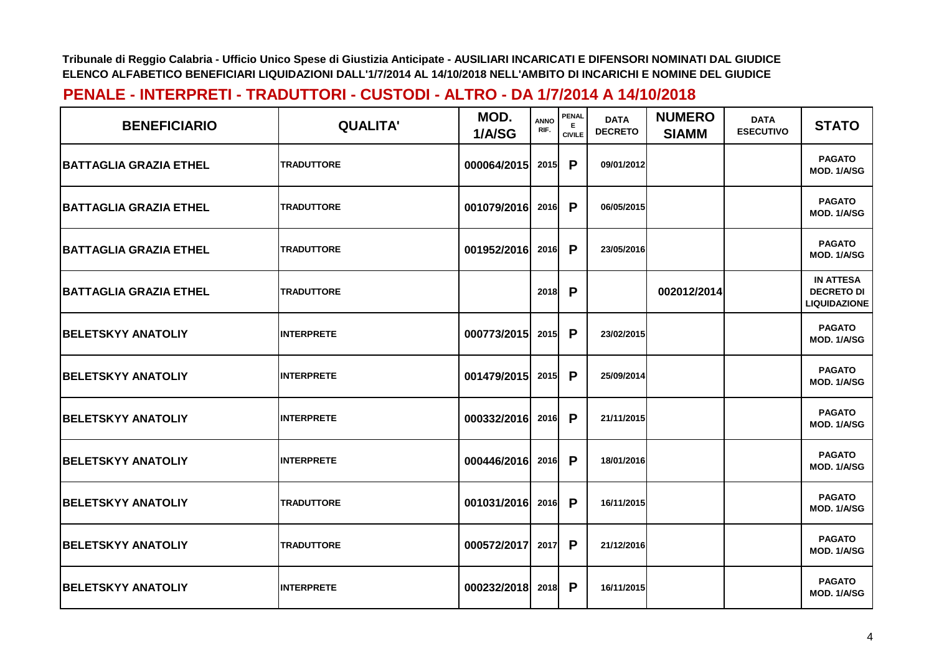| <b>BENEFICIARIO</b>            | <b>QUALITA'</b>   | MOD.<br>1/A/SG | <b>ANNO</b><br>RIF. | <b>PENAL</b><br>E.<br><b>CIVILE</b> | <b>DATA</b><br><b>DECRETO</b> | <b>NUMERO</b><br><b>SIAMM</b> | <b>DATA</b><br><b>ESECUTIVO</b> | <b>STATO</b>                                                 |
|--------------------------------|-------------------|----------------|---------------------|-------------------------------------|-------------------------------|-------------------------------|---------------------------------|--------------------------------------------------------------|
| <b>IBATTAGLIA GRAZIA ETHEL</b> | <b>TRADUTTORE</b> | 000064/2015    | 2015                | P                                   | 09/01/2012                    |                               |                                 | <b>PAGATO</b><br>MOD. 1/A/SG                                 |
| <b>BATTAGLIA GRAZIA ETHEL</b>  | <b>TRADUTTORE</b> | 001079/2016    | 2016                | P                                   | 06/05/2015                    |                               |                                 | <b>PAGATO</b><br>MOD. 1/A/SG                                 |
| <b>BATTAGLIA GRAZIA ETHEL</b>  | <b>TRADUTTORE</b> | 001952/2016    | 2016                | P                                   | 23/05/2016                    |                               |                                 | <b>PAGATO</b><br>MOD. 1/A/SG                                 |
| <b>BATTAGLIA GRAZIA ETHEL</b>  | <b>TRADUTTORE</b> |                | 2018                | P                                   |                               | 002012/2014                   |                                 | <b>IN ATTESA</b><br><b>DECRETO DI</b><br><b>LIQUIDAZIONE</b> |
| <b>BELETSKYY ANATOLIY</b>      | <b>INTERPRETE</b> | 000773/2015    | 2015                | P                                   | 23/02/2015                    |                               |                                 | <b>PAGATO</b><br>MOD. 1/A/SG                                 |
| <b>BELETSKYY ANATOLIY</b>      | <b>INTERPRETE</b> | 001479/2015    | 2015                | P                                   | 25/09/2014                    |                               |                                 | <b>PAGATO</b><br>MOD. 1/A/SG                                 |
| <b>BELETSKYY ANATOLIY</b>      | <b>INTERPRETE</b> | 000332/2016    | 2016                | P                                   | 21/11/2015                    |                               |                                 | <b>PAGATO</b><br>MOD. 1/A/SG                                 |
| <b>BELETSKYY ANATOLIY</b>      | <b>INTERPRETE</b> | 000446/2016    | 2016                | P                                   | 18/01/2016                    |                               |                                 | <b>PAGATO</b><br>MOD. 1/A/SG                                 |
| <b>BELETSKYY ANATOLIY</b>      | <b>TRADUTTORE</b> | 001031/2016    | 2016                | P                                   | 16/11/2015                    |                               |                                 | <b>PAGATO</b><br><b>MOD. 1/A/SG</b>                          |
| <b>BELETSKYY ANATOLIY</b>      | <b>TRADUTTORE</b> | 000572/2017    | 2017                | P                                   | 21/12/2016                    |                               |                                 | <b>PAGATO</b><br>MOD. 1/A/SG                                 |
| <b>BELETSKYY ANATOLIY</b>      | <b>INTERPRETE</b> | 000232/2018    | 2018                | P                                   | 16/11/2015                    |                               |                                 | <b>PAGATO</b><br>MOD. 1/A/SG                                 |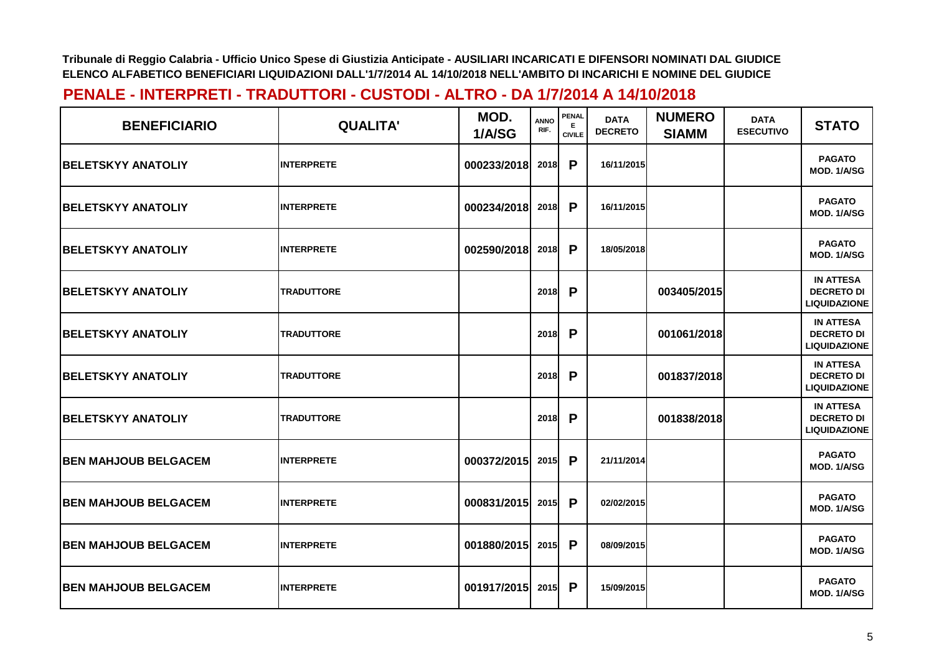| <b>BENEFICIARIO</b>          | <b>QUALITA'</b>   | MOD.<br>1/A/SG | <b>ANNO</b><br>RIF. | <b>PENAL</b><br>E.<br><b>CIVILE</b> | <b>DATA</b><br><b>DECRETO</b> | <b>NUMERO</b><br><b>SIAMM</b> | <b>DATA</b><br><b>ESECUTIVO</b> | <b>STATO</b>                                                 |
|------------------------------|-------------------|----------------|---------------------|-------------------------------------|-------------------------------|-------------------------------|---------------------------------|--------------------------------------------------------------|
| <b>BELETSKYY ANATOLIY</b>    | <b>INTERPRETE</b> | 000233/2018    | 2018                | P                                   | 16/11/2015                    |                               |                                 | <b>PAGATO</b><br>MOD. 1/A/SG                                 |
| <b>BELETSKYY ANATOLIY</b>    | <b>INTERPRETE</b> | 000234/2018    | 2018                | P                                   | 16/11/2015                    |                               |                                 | <b>PAGATO</b><br>MOD. 1/A/SG                                 |
| <b>BELETSKYY ANATOLIY</b>    | <b>INTERPRETE</b> | 002590/2018    | 2018                | P                                   | 18/05/2018                    |                               |                                 | <b>PAGATO</b><br>MOD. 1/A/SG                                 |
| <b>BELETSKYY ANATOLIY</b>    | <b>TRADUTTORE</b> |                | 2018                | P                                   |                               | 003405/2015                   |                                 | <b>IN ATTESA</b><br><b>DECRETO DI</b><br><b>LIQUIDAZIONE</b> |
| <b>BELETSKYY ANATOLIY</b>    | <b>TRADUTTORE</b> |                | 2018                | P                                   |                               | 001061/2018                   |                                 | <b>IN ATTESA</b><br><b>DECRETO DI</b><br><b>LIQUIDAZIONE</b> |
| <b>BELETSKYY ANATOLIY</b>    | <b>TRADUTTORE</b> |                | 2018                | P                                   |                               | 001837/2018                   |                                 | <b>IN ATTESA</b><br><b>DECRETO DI</b><br><b>LIQUIDAZIONE</b> |
| <b>BELETSKYY ANATOLIY</b>    | <b>TRADUTTORE</b> |                | 2018                | P                                   |                               | 001838/2018                   |                                 | <b>IN ATTESA</b><br><b>DECRETO DI</b><br><b>LIQUIDAZIONE</b> |
| <b>BEN MAHJOUB BELGACEM</b>  | <b>INTERPRETE</b> | 000372/2015    | 2015                | P                                   | 21/11/2014                    |                               |                                 | <b>PAGATO</b><br>MOD. 1/A/SG                                 |
| <b>BEN MAHJOUB BELGACEM</b>  | <b>INTERPRETE</b> | 000831/2015    | 2015                | P                                   | 02/02/2015                    |                               |                                 | <b>PAGATO</b><br>MOD. 1/A/SG                                 |
| <b>BEN MAHJOUB BELGACEM</b>  | <b>INTERPRETE</b> | 001880/2015    | 2015                | P                                   | 08/09/2015                    |                               |                                 | <b>PAGATO</b><br>MOD. 1/A/SG                                 |
| <b>IBEN MAHJOUB BELGACEM</b> | <b>INTERPRETE</b> | 001917/2015    | 2015                | P                                   | 15/09/2015                    |                               |                                 | <b>PAGATO</b><br>MOD. 1/A/SG                                 |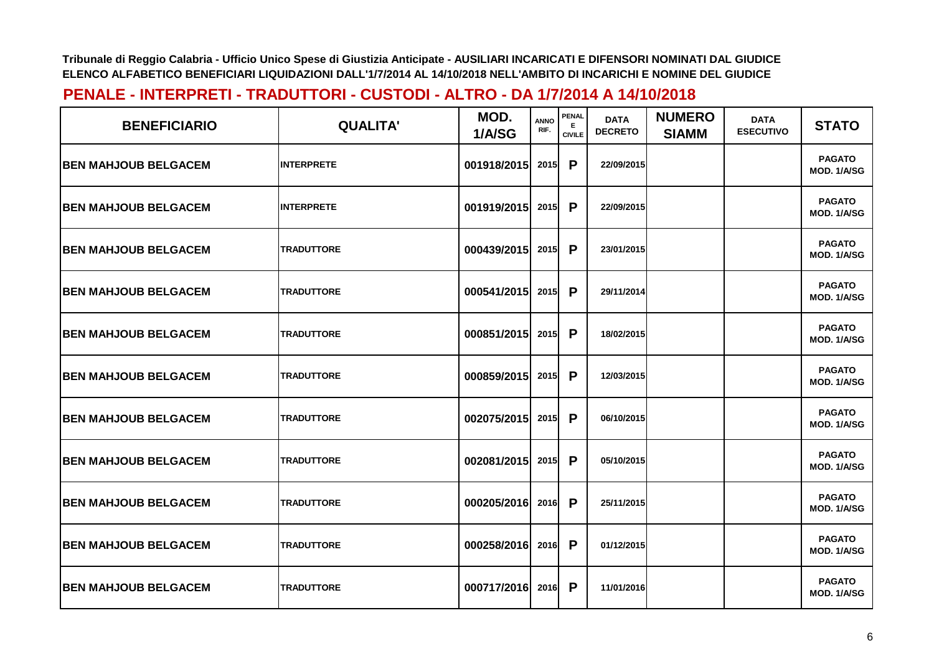| <b>BENEFICIARIO</b>          | <b>QUALITA'</b>   | MOD.<br>1/A/SG | <b>ANNO</b><br>RIF. | PENAL<br>Е<br><b>CIVILE</b> | <b>DATA</b><br><b>DECRETO</b> | <b>NUMERO</b><br><b>SIAMM</b> | <b>DATA</b><br><b>ESECUTIVO</b> | <b>STATO</b>                        |
|------------------------------|-------------------|----------------|---------------------|-----------------------------|-------------------------------|-------------------------------|---------------------------------|-------------------------------------|
| <b>IBEN MAHJOUB BELGACEM</b> | <b>INTERPRETE</b> | 001918/2015    | 2015                | P                           | 22/09/2015                    |                               |                                 | <b>PAGATO</b><br>MOD. 1/A/SG        |
| <b>BEN MAHJOUB BELGACEM</b>  | <b>INTERPRETE</b> | 001919/2015    | 2015                | P                           | 22/09/2015                    |                               |                                 | <b>PAGATO</b><br><b>MOD. 1/A/SG</b> |
| <b>BEN MAHJOUB BELGACEM</b>  | <b>TRADUTTORE</b> | 000439/2015    | 2015                | P                           | 23/01/2015                    |                               |                                 | <b>PAGATO</b><br>MOD. 1/A/SG        |
| <b>IBEN MAHJOUB BELGACEM</b> | <b>TRADUTTORE</b> | 000541/2015    | 2015                | P                           | 29/11/2014                    |                               |                                 | <b>PAGATO</b><br>MOD. 1/A/SG        |
| <b>IBEN MAHJOUB BELGACEM</b> | <b>TRADUTTORE</b> | 000851/2015    | 2015                | P                           | 18/02/2015                    |                               |                                 | <b>PAGATO</b><br>MOD. 1/A/SG        |
| <b>BEN MAHJOUB BELGACEM</b>  | <b>TRADUTTORE</b> | 000859/2015    | 2015                | P                           | 12/03/2015                    |                               |                                 | <b>PAGATO</b><br>MOD. 1/A/SG        |
| <b>BEN MAHJOUB BELGACEM</b>  | <b>TRADUTTORE</b> | 002075/2015    | 2015                | P                           | 06/10/2015                    |                               |                                 | <b>PAGATO</b><br>MOD. 1/A/SG        |
| <b>BEN MAHJOUB BELGACEM</b>  | <b>TRADUTTORE</b> | 002081/2015    | 2015                | P                           | 05/10/2015                    |                               |                                 | <b>PAGATO</b><br>MOD. 1/A/SG        |
| <b>IBEN MAHJOUB BELGACEM</b> | <b>TRADUTTORE</b> | 000205/2016    | 2016                | $\mathsf{P}$                | 25/11/2015                    |                               |                                 | <b>PAGATO</b><br><b>MOD. 1/A/SG</b> |
| <b>BEN MAHJOUB BELGACEM</b>  | <b>TRADUTTORE</b> | 000258/2016    | 2016                | P                           | 01/12/2015                    |                               |                                 | <b>PAGATO</b><br>MOD. 1/A/SG        |
| <b>BEN MAHJOUB BELGACEM</b>  | <b>TRADUTTORE</b> | 000717/2016    | 2016                | P                           | 11/01/2016                    |                               |                                 | <b>PAGATO</b><br>MOD. 1/A/SG        |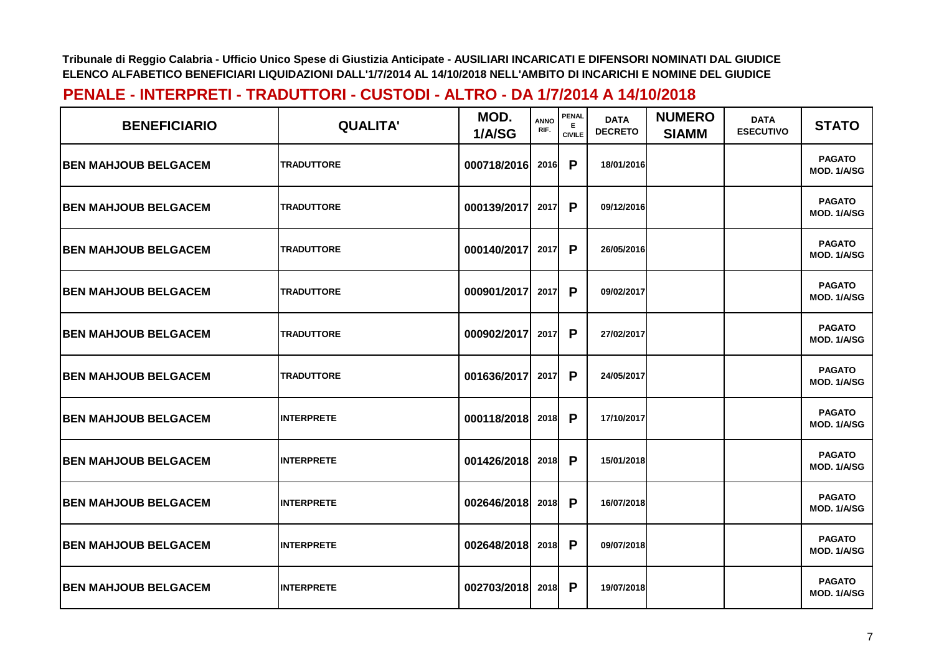| <b>BENEFICIARIO</b>          | <b>QUALITA'</b>   | MOD.<br>1/A/SG | <b>ANNO</b><br>RIF. | <b>PENAL</b><br>Е<br><b>CIVILE</b> | <b>DATA</b><br><b>DECRETO</b> | <b>NUMERO</b><br><b>SIAMM</b> | <b>DATA</b><br><b>ESECUTIVO</b> | <b>STATO</b>                        |
|------------------------------|-------------------|----------------|---------------------|------------------------------------|-------------------------------|-------------------------------|---------------------------------|-------------------------------------|
| <b>IBEN MAHJOUB BELGACEM</b> | <b>TRADUTTORE</b> | 000718/2016    | 2016                | P                                  | 18/01/2016                    |                               |                                 | <b>PAGATO</b><br><b>MOD. 1/A/SG</b> |
| <b>BEN MAHJOUB BELGACEM</b>  | <b>TRADUTTORE</b> | 000139/2017    | 2017                | P                                  | 09/12/2016                    |                               |                                 | <b>PAGATO</b><br><b>MOD. 1/A/SG</b> |
| <b>BEN MAHJOUB BELGACEM</b>  | <b>TRADUTTORE</b> | 000140/2017    | 2017                | P                                  | 26/05/2016                    |                               |                                 | <b>PAGATO</b><br><b>MOD. 1/A/SG</b> |
| <b>BEN MAHJOUB BELGACEM</b>  | <b>TRADUTTORE</b> | 000901/2017    | 2017                | P                                  | 09/02/2017                    |                               |                                 | <b>PAGATO</b><br>MOD. 1/A/SG        |
| <b>BEN MAHJOUB BELGACEM</b>  | <b>TRADUTTORE</b> | 000902/2017    | 2017                | P                                  | 27/02/2017                    |                               |                                 | <b>PAGATO</b><br>MOD. 1/A/SG        |
| <b>BEN MAHJOUB BELGACEM</b>  | <b>TRADUTTORE</b> | 001636/2017    | 2017                | P                                  | 24/05/2017                    |                               |                                 | <b>PAGATO</b><br>MOD. 1/A/SG        |
| <b>BEN MAHJOUB BELGACEM</b>  | <b>INTERPRETE</b> | 000118/2018    | 2018                | P                                  | 17/10/2017                    |                               |                                 | <b>PAGATO</b><br>MOD. 1/A/SG        |
| <b>BEN MAHJOUB BELGACEM</b>  | <b>INTERPRETE</b> | 001426/2018    | 2018                | P                                  | 15/01/2018                    |                               |                                 | <b>PAGATO</b><br>MOD. 1/A/SG        |
| <b>BEN MAHJOUB BELGACEM</b>  | <b>INTERPRETE</b> | 002646/2018    | 2018                | P                                  | 16/07/2018                    |                               |                                 | <b>PAGATO</b><br>MOD. 1/A/SG        |
| <b>BEN MAHJOUB BELGACEM</b>  | <b>INTERPRETE</b> | 002648/2018    | 2018                | P                                  | 09/07/2018                    |                               |                                 | <b>PAGATO</b><br>MOD. 1/A/SG        |
| <b>BEN MAHJOUB BELGACEM</b>  | <b>INTERPRETE</b> | 002703/2018    | 2018                | P                                  | 19/07/2018                    |                               |                                 | <b>PAGATO</b><br>MOD. 1/A/SG        |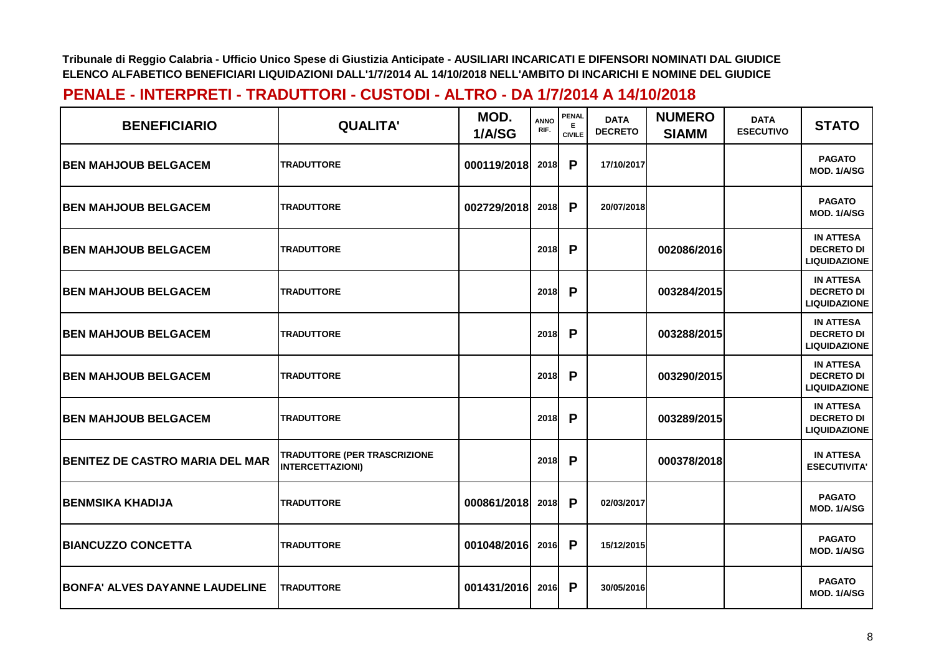| <b>BENEFICIARIO</b>                    | <b>QUALITA'</b>                                         | MOD.<br>1/A/SG | <b>ANNO</b><br>RIF. | <b>PENAL</b><br>Е<br><b>CIVILE</b> | <b>DATA</b><br><b>DECRETO</b> | <b>NUMERO</b><br><b>SIAMM</b> | <b>DATA</b><br><b>ESECUTIVO</b> | <b>STATO</b>                                                 |
|----------------------------------------|---------------------------------------------------------|----------------|---------------------|------------------------------------|-------------------------------|-------------------------------|---------------------------------|--------------------------------------------------------------|
| <b>IBEN MAHJOUB BELGACEM</b>           | <b>TRADUTTORE</b>                                       | 000119/2018    | 2018                | P                                  | 17/10/2017                    |                               |                                 | <b>PAGATO</b><br>MOD. 1/A/SG                                 |
| <b>BEN MAHJOUB BELGACEM</b>            | <b>TRADUTTORE</b>                                       | 002729/2018    | 2018                | P                                  | 20/07/2018                    |                               |                                 | <b>PAGATO</b><br>MOD. 1/A/SG                                 |
| <b>BEN MAHJOUB BELGACEM</b>            | <b>TRADUTTORE</b>                                       |                | <b>2018</b>         | P                                  |                               | 002086/2016                   |                                 | <b>IN ATTESA</b><br><b>DECRETO DI</b><br><b>LIQUIDAZIONE</b> |
| <b>BEN MAHJOUB BELGACEM</b>            | <b>TRADUTTORE</b>                                       |                | 2018                | P                                  |                               | 003284/2015                   |                                 | <b>IN ATTESA</b><br><b>DECRETO DI</b><br><b>LIQUIDAZIONE</b> |
| <b>BEN MAHJOUB BELGACEM</b>            | <b>TRADUTTORE</b>                                       |                | 2018                | P                                  |                               | 003288/2015                   |                                 | <b>IN ATTESA</b><br><b>DECRETO DI</b><br><b>LIQUIDAZIONE</b> |
| <b>BEN MAHJOUB BELGACEM</b>            | <b>TRADUTTORE</b>                                       |                | 2018                | P                                  |                               | 003290/2015                   |                                 | <b>IN ATTESA</b><br><b>DECRETO DI</b><br><b>LIQUIDAZIONE</b> |
| <b>BEN MAHJOUB BELGACEM</b>            | <b>TRADUTTORE</b>                                       |                | 2018                | P                                  |                               | 003289/2015                   |                                 | <b>IN ATTESA</b><br><b>DECRETO DI</b><br><b>LIQUIDAZIONE</b> |
| <b>BENITEZ DE CASTRO MARIA DEL MAR</b> | TRADUTTORE (PER TRASCRIZIONE<br><b>INTERCETTAZIONI)</b> |                | 2018                | P                                  |                               | 000378/2018                   |                                 | <b>IN ATTESA</b><br><b>ESECUTIVITA'</b>                      |
| <b>BENMSIKA KHADIJA</b>                | <b>TRADUTTORE</b>                                       | 000861/2018    | 2018                | P                                  | 02/03/2017                    |                               |                                 | <b>PAGATO</b><br><b>MOD. 1/A/SG</b>                          |
| <b>BIANCUZZO CONCETTA</b>              | <b>TRADUTTORE</b>                                       | 001048/2016    | 2016                | P                                  | 15/12/2015                    |                               |                                 | <b>PAGATO</b><br><b>MOD. 1/A/SG</b>                          |
| <b>BONFA' ALVES DAYANNE LAUDELINE</b>  | <b>TRADUTTORE</b>                                       | 001431/2016    | 2016                | P                                  | 30/05/2016                    |                               |                                 | <b>PAGATO</b><br>MOD. 1/A/SG                                 |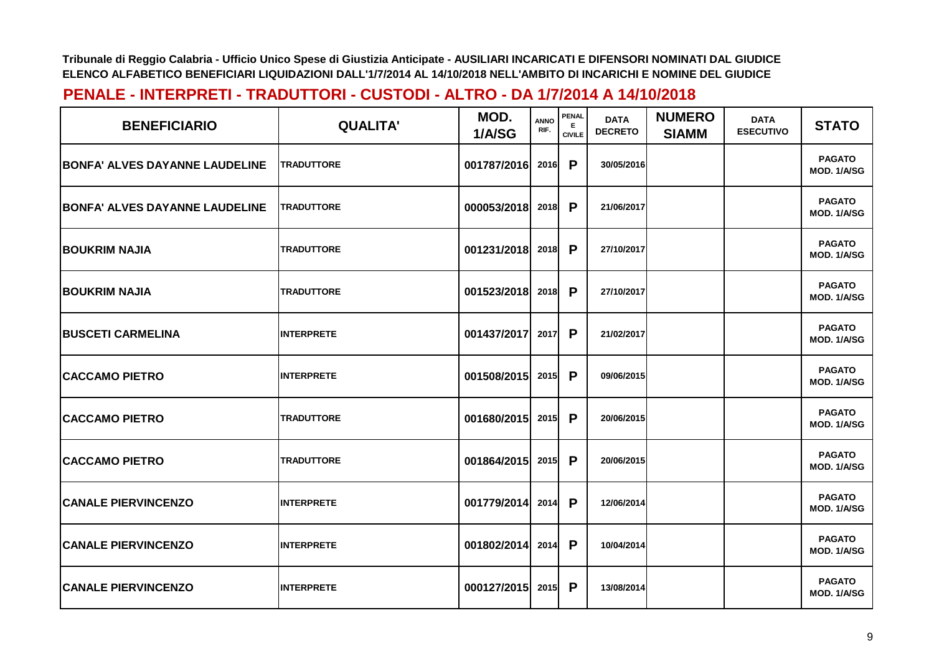| <b>BENEFICIARIO</b>                   | <b>QUALITA'</b>   | MOD.<br>1/A/SG | <b>ANNO</b><br>RIF. | <b>PENAL</b><br><b>CIVILE</b> | <b>DATA</b><br><b>DECRETO</b> | <b>NUMERO</b><br><b>SIAMM</b> | <b>DATA</b><br><b>ESECUTIVO</b> | <b>STATO</b>                 |
|---------------------------------------|-------------------|----------------|---------------------|-------------------------------|-------------------------------|-------------------------------|---------------------------------|------------------------------|
| <b>BONFA' ALVES DAYANNE LAUDELINE</b> | <b>TRADUTTORE</b> | 001787/2016    | <b>2016</b>         | P                             | 30/05/2016                    |                               |                                 | <b>PAGATO</b><br>MOD. 1/A/SG |
| <b>BONFA' ALVES DAYANNE LAUDELINE</b> | <b>TRADUTTORE</b> | 000053/2018    | 2018                | P                             | 21/06/2017                    |                               |                                 | <b>PAGATO</b><br>MOD. 1/A/SG |
| <b>BOUKRIM NAJIA</b>                  | <b>TRADUTTORE</b> | 001231/2018    | 2018                | P                             | 27/10/2017                    |                               |                                 | <b>PAGATO</b><br>MOD. 1/A/SG |
| <b>BOUKRIM NAJIA</b>                  | <b>TRADUTTORE</b> | 001523/2018    | 2018                | $\mathsf{P}$                  | 27/10/2017                    |                               |                                 | <b>PAGATO</b><br>MOD. 1/A/SG |
| <b>BUSCETI CARMELINA</b>              | <b>INTERPRETE</b> | 001437/2017    | 2017                | P                             | 21/02/2017                    |                               |                                 | <b>PAGATO</b><br>MOD. 1/A/SG |
| <b>CACCAMO PIETRO</b>                 | <b>INTERPRETE</b> | 001508/2015    | 2015                | $\mathsf{P}$                  | 09/06/2015                    |                               |                                 | <b>PAGATO</b><br>MOD. 1/A/SG |
| <b>CACCAMO PIETRO</b>                 | <b>TRADUTTORE</b> | 001680/2015    | 2015                | P                             | 20/06/2015                    |                               |                                 | <b>PAGATO</b><br>MOD. 1/A/SG |
| <b>CACCAMO PIETRO</b>                 | <b>TRADUTTORE</b> | 001864/2015    | 2015                | P                             | 20/06/2015                    |                               |                                 | <b>PAGATO</b><br>MOD. 1/A/SG |
| <b>CANALE PIERVINCENZO</b>            | <b>INTERPRETE</b> | 001779/2014    | 2014                | $\mathsf{P}$                  | 12/06/2014                    |                               |                                 | <b>PAGATO</b><br>MOD. 1/A/SG |
| <b>CANALE PIERVINCENZO</b>            | <b>INTERPRETE</b> | 001802/2014    | 2014                | P                             | 10/04/2014                    |                               |                                 | <b>PAGATO</b><br>MOD. 1/A/SG |
| <b>CANALE PIERVINCENZO</b>            | <b>INTERPRETE</b> | 000127/2015    | 2015                | P                             | 13/08/2014                    |                               |                                 | <b>PAGATO</b><br>MOD. 1/A/SG |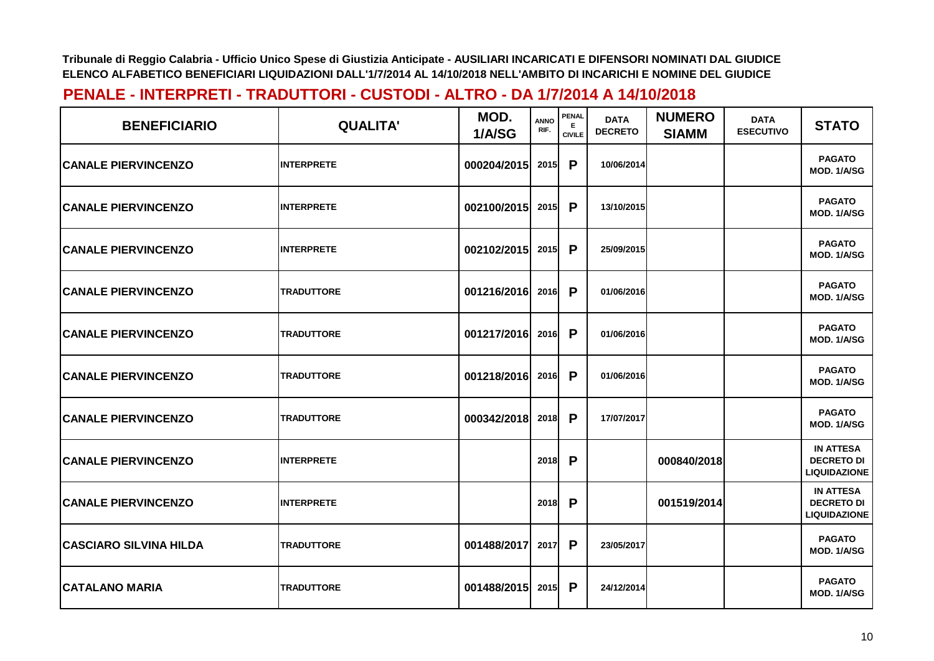| <b>BENEFICIARIO</b>           | <b>QUALITA'</b>   | MOD.<br>1/A/SG | ANNO<br>RIF. | <b>PENAL</b><br>E.<br><b>CIVILE</b> | <b>DATA</b><br><b>DECRETO</b> | <b>NUMERO</b><br><b>SIAMM</b> | <b>DATA</b><br><b>ESECUTIVO</b> | <b>STATO</b>                                                 |
|-------------------------------|-------------------|----------------|--------------|-------------------------------------|-------------------------------|-------------------------------|---------------------------------|--------------------------------------------------------------|
| <b>CANALE PIERVINCENZO</b>    | <b>INTERPRETE</b> | 000204/2015    | 2015         | P                                   | 10/06/2014                    |                               |                                 | <b>PAGATO</b><br>MOD. 1/A/SG                                 |
| <b>CANALE PIERVINCENZO</b>    | <b>INTERPRETE</b> | 002100/2015    | 2015         | P                                   | 13/10/2015                    |                               |                                 | <b>PAGATO</b><br><b>MOD. 1/A/SG</b>                          |
| <b>CANALE PIERVINCENZO</b>    | <b>INTERPRETE</b> | 002102/2015    | 2015         | P                                   | 25/09/2015                    |                               |                                 | <b>PAGATO</b><br>MOD. 1/A/SG                                 |
| <b>CANALE PIERVINCENZO</b>    | <b>TRADUTTORE</b> | 001216/2016    | 2016         | P                                   | 01/06/2016                    |                               |                                 | <b>PAGATO</b><br>MOD. 1/A/SG                                 |
| <b>CANALE PIERVINCENZO</b>    | <b>TRADUTTORE</b> | 001217/2016    | 2016         | P                                   | 01/06/2016                    |                               |                                 | <b>PAGATO</b><br>MOD. 1/A/SG                                 |
| <b>CANALE PIERVINCENZO</b>    | <b>TRADUTTORE</b> | 001218/2016    | 2016         | P                                   | 01/06/2016                    |                               |                                 | <b>PAGATO</b><br>MOD. 1/A/SG                                 |
| <b>CANALE PIERVINCENZO</b>    | <b>TRADUTTORE</b> | 000342/2018    | 2018         | P                                   | 17/07/2017                    |                               |                                 | <b>PAGATO</b><br>MOD. 1/A/SG                                 |
| <b>CANALE PIERVINCENZO</b>    | <b>INTERPRETE</b> |                | 2018         | P                                   |                               | 000840/2018                   |                                 | <b>IN ATTESA</b><br><b>DECRETO DI</b><br><b>LIQUIDAZIONE</b> |
| <b>CANALE PIERVINCENZO</b>    | <b>INTERPRETE</b> |                | 2018         | P                                   |                               | 001519/2014                   |                                 | <b>IN ATTESA</b><br><b>DECRETO DI</b><br><b>LIQUIDAZIONE</b> |
| <b>CASCIARO SILVINA HILDA</b> | <b>TRADUTTORE</b> | 001488/2017    | 2017         | P                                   | 23/05/2017                    |                               |                                 | <b>PAGATO</b><br>MOD. 1/A/SG                                 |
| CATALANO MARIA                | <b>TRADUTTORE</b> | 001488/2015    | 2015         | P                                   | 24/12/2014                    |                               |                                 | <b>PAGATO</b><br>MOD. 1/A/SG                                 |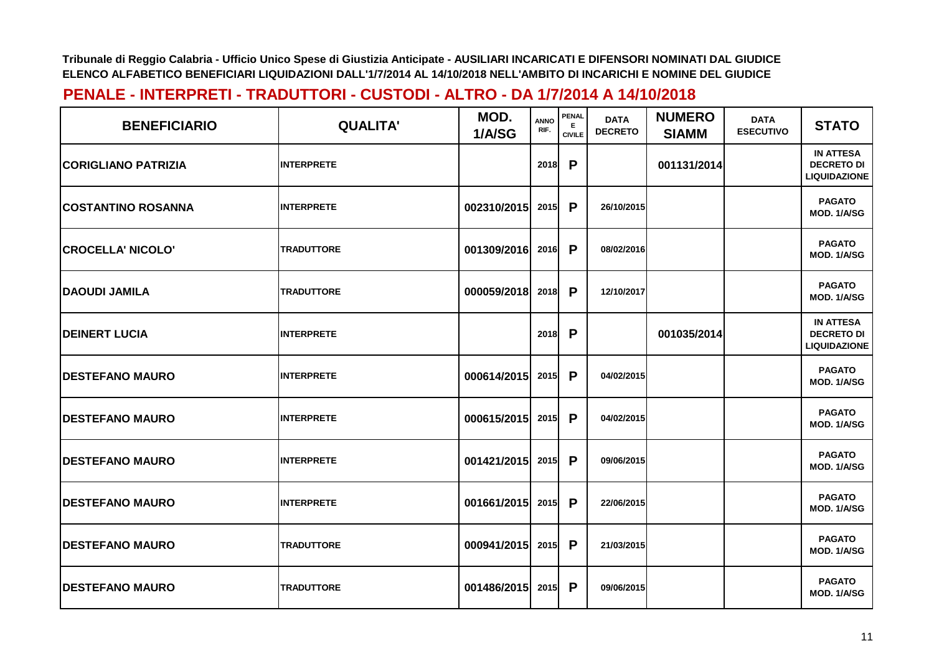| <b>BENEFICIARIO</b>        | <b>QUALITA'</b>   | MOD.<br>1/A/SG   | <b>ANNO</b><br>RIF. | PENAL<br>E.<br><b>CIVILE</b> | <b>DATA</b><br><b>DECRETO</b> | <b>NUMERO</b><br><b>SIAMM</b> | <b>DATA</b><br><b>ESECUTIVO</b> | <b>STATO</b>                                                 |
|----------------------------|-------------------|------------------|---------------------|------------------------------|-------------------------------|-------------------------------|---------------------------------|--------------------------------------------------------------|
| <b>CORIGLIANO PATRIZIA</b> | <b>INTERPRETE</b> |                  | 2018                | P                            |                               | 001131/2014                   |                                 | <b>IN ATTESA</b><br><b>DECRETO DI</b><br><b>LIQUIDAZIONE</b> |
| <b>COSTANTINO ROSANNA</b>  | <b>INTERPRETE</b> | 002310/2015      | 2015                | P                            | 26/10/2015                    |                               |                                 | <b>PAGATO</b><br>MOD. 1/A/SG                                 |
| <b>CROCELLA' NICOLO'</b>   | <b>TRADUTTORE</b> | 001309/2016      | 2016                | P                            | 08/02/2016                    |                               |                                 | <b>PAGATO</b><br>MOD. 1/A/SG                                 |
| <b>DAOUDI JAMILA</b>       | <b>TRADUTTORE</b> | 000059/2018      | 2018                | P                            | 12/10/2017                    |                               |                                 | <b>PAGATO</b><br>MOD. 1/A/SG                                 |
| <b>IDEINERT LUCIA</b>      | <b>INTERPRETE</b> |                  | 2018                | P                            |                               | 001035/2014                   |                                 | <b>IN ATTESA</b><br><b>DECRETO DI</b><br><b>LIQUIDAZIONE</b> |
| <b>IDESTEFANO MAURO</b>    | <b>INTERPRETE</b> | 000614/2015      | 2015                | P                            | 04/02/2015                    |                               |                                 | <b>PAGATO</b><br>MOD. 1/A/SG                                 |
| <b>IDESTEFANO MAURO</b>    | <b>INTERPRETE</b> | 000615/2015      | 2015                | P                            | 04/02/2015                    |                               |                                 | <b>PAGATO</b><br>MOD. 1/A/SG                                 |
| <b>IDESTEFANO MAURO</b>    | <b>INTERPRETE</b> | 001421/2015      | 2015                | P                            | 09/06/2015                    |                               |                                 | <b>PAGATO</b><br>MOD. 1/A/SG                                 |
| <b>DESTEFANO MAURO</b>     | <b>INTERPRETE</b> | 001661/2015      | 2015                | P                            | 22/06/2015                    |                               |                                 | <b>PAGATO</b><br><b>MOD. 1/A/SG</b>                          |
| <b>IDESTEFANO MAURO</b>    | <b>TRADUTTORE</b> | 000941/2015 2015 |                     | P                            | 21/03/2015                    |                               |                                 | <b>PAGATO</b><br>MOD. 1/A/SG                                 |
| <b>DESTEFANO MAURO</b>     | <b>TRADUTTORE</b> | 001486/2015      | 2015                | P                            | 09/06/2015                    |                               |                                 | <b>PAGATO</b><br>MOD. 1/A/SG                                 |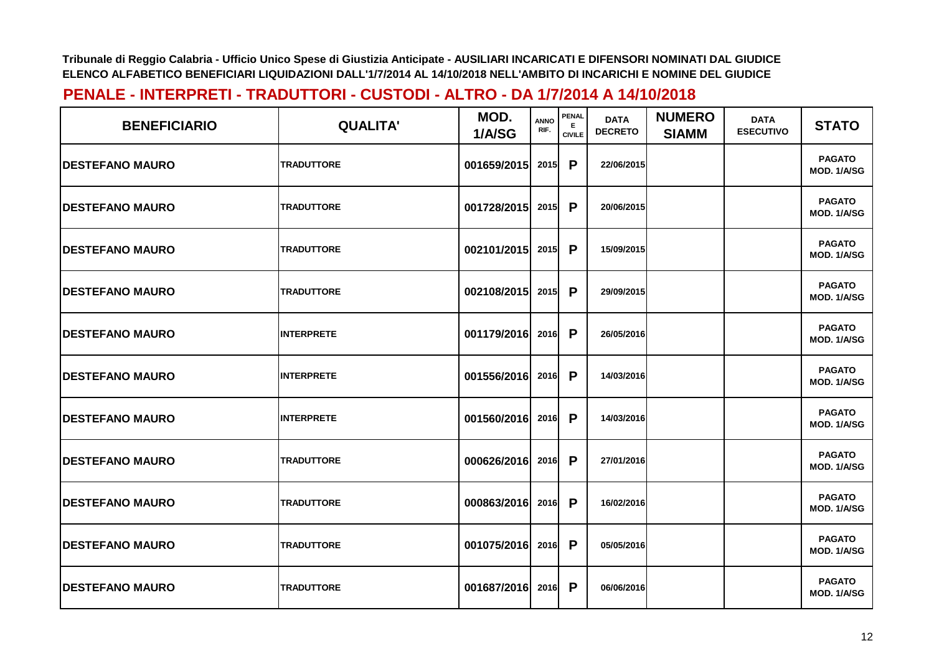| <b>BENEFICIARIO</b>     | <b>QUALITA'</b>   | MOD.<br>1/A/SG   | <b>ANNO</b><br>RIF. | <b>PENAL</b><br>E.<br><b>CIVILE</b> | <b>DATA</b><br><b>DECRETO</b> | <b>NUMERO</b><br><b>SIAMM</b> | <b>DATA</b><br><b>ESECUTIVO</b> | <b>STATO</b>                        |
|-------------------------|-------------------|------------------|---------------------|-------------------------------------|-------------------------------|-------------------------------|---------------------------------|-------------------------------------|
| <b>DESTEFANO MAURO</b>  | <b>TRADUTTORE</b> | 001659/2015      | 2015                | P                                   | 22/06/2015                    |                               |                                 | <b>PAGATO</b><br>MOD. 1/A/SG        |
| <b>DESTEFANO MAURO</b>  | <b>TRADUTTORE</b> | 001728/2015      | 2015                | P                                   | 20/06/2015                    |                               |                                 | <b>PAGATO</b><br>MOD. 1/A/SG        |
| <b>DESTEFANO MAURO</b>  | <b>TRADUTTORE</b> | 002101/2015      | 2015                | P                                   | 15/09/2015                    |                               |                                 | <b>PAGATO</b><br>MOD. 1/A/SG        |
| <b>DESTEFANO MAURO</b>  | <b>TRADUTTORE</b> | 002108/2015      | 2015                | P                                   | 29/09/2015                    |                               |                                 | <b>PAGATO</b><br>MOD. 1/A/SG        |
| <b>IDESTEFANO MAURO</b> | <b>INTERPRETE</b> | 001179/2016 2016 |                     | P                                   | 26/05/2016                    |                               |                                 | <b>PAGATO</b><br>MOD. 1/A/SG        |
| <b>IDESTEFANO MAURO</b> | <b>INTERPRETE</b> | 001556/2016      | 2016                | P                                   | 14/03/2016                    |                               |                                 | <b>PAGATO</b><br>MOD. 1/A/SG        |
| <b>DESTEFANO MAURO</b>  | <b>INTERPRETE</b> | 001560/2016      | 2016                | P                                   | 14/03/2016                    |                               |                                 | <b>PAGATO</b><br>MOD. 1/A/SG        |
| <b>DESTEFANO MAURO</b>  | <b>TRADUTTORE</b> | 000626/2016      | 2016                | P                                   | 27/01/2016                    |                               |                                 | <b>PAGATO</b><br>MOD. 1/A/SG        |
| <b>DESTEFANO MAURO</b>  | <b>TRADUTTORE</b> | 000863/2016      | 2016                | P                                   | 16/02/2016                    |                               |                                 | <b>PAGATO</b><br><b>MOD. 1/A/SG</b> |
| <b>DESTEFANO MAURO</b>  | <b>TRADUTTORE</b> | 001075/2016 2016 |                     | P                                   | 05/05/2016                    |                               |                                 | <b>PAGATO</b><br>MOD. 1/A/SG        |
| <b>DESTEFANO MAURO</b>  | <b>TRADUTTORE</b> | 001687/2016      | 2016                | P                                   | 06/06/2016                    |                               |                                 | <b>PAGATO</b><br>MOD. 1/A/SG        |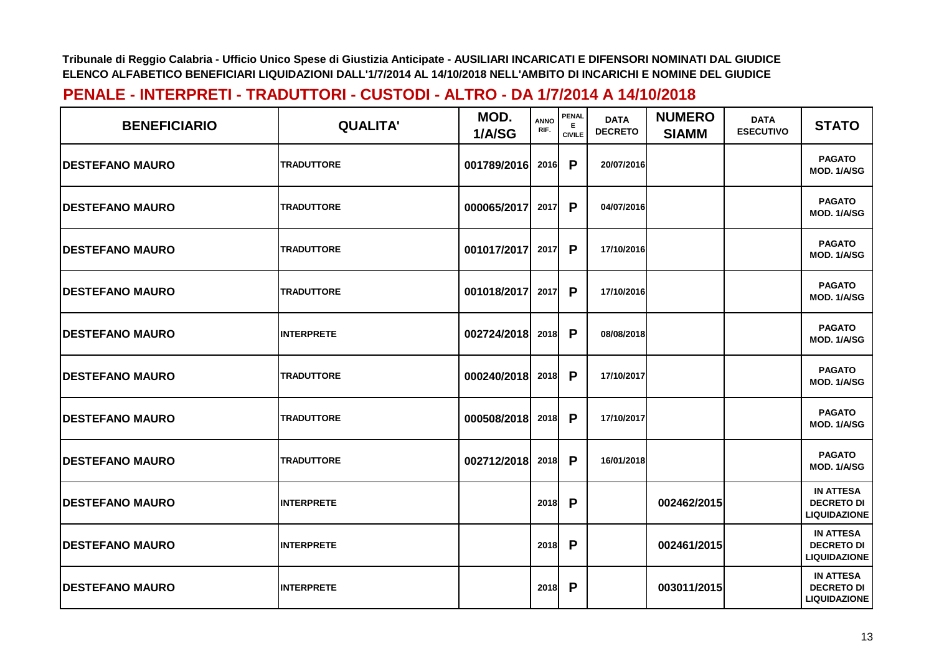| <b>BENEFICIARIO</b>     | <b>QUALITA'</b>   | MOD.<br>1/A/SG | <b>ANNO</b><br>RIF. | <b>PENAL</b><br>E.<br><b>CIVILE</b> | <b>DATA</b><br><b>DECRETO</b> | <b>NUMERO</b><br><b>SIAMM</b> | <b>DATA</b><br><b>ESECUTIVO</b> | <b>STATO</b>                                                 |
|-------------------------|-------------------|----------------|---------------------|-------------------------------------|-------------------------------|-------------------------------|---------------------------------|--------------------------------------------------------------|
| <b>DESTEFANO MAURO</b>  | <b>TRADUTTORE</b> | 001789/2016    | 2016                | P                                   | 20/07/2016                    |                               |                                 | <b>PAGATO</b><br>MOD. 1/A/SG                                 |
| <b>IDESTEFANO MAURO</b> | <b>TRADUTTORE</b> | 000065/2017    | 2017                | P                                   | 04/07/2016                    |                               |                                 | <b>PAGATO</b><br>MOD. 1/A/SG                                 |
| <b>DESTEFANO MAURO</b>  | <b>TRADUTTORE</b> | 001017/2017    | 2017                | P                                   | 17/10/2016                    |                               |                                 | <b>PAGATO</b><br>MOD. 1/A/SG                                 |
| <b>IDESTEFANO MAURO</b> | <b>TRADUTTORE</b> | 001018/2017    | 2017                | P                                   | 17/10/2016                    |                               |                                 | <b>PAGATO</b><br>MOD. 1/A/SG                                 |
| <b>DESTEFANO MAURO</b>  | <b>INTERPRETE</b> | 002724/2018    | 2018                | P                                   | 08/08/2018                    |                               |                                 | <b>PAGATO</b><br>MOD. 1/A/SG                                 |
| <b>DESTEFANO MAURO</b>  | <b>TRADUTTORE</b> | 000240/2018    | 2018                | P                                   | 17/10/2017                    |                               |                                 | <b>PAGATO</b><br>MOD. 1/A/SG                                 |
| <b>DESTEFANO MAURO</b>  | <b>TRADUTTORE</b> | 000508/2018    | 2018                | P                                   | 17/10/2017                    |                               |                                 | <b>PAGATO</b><br>MOD. 1/A/SG                                 |
| <b>DESTEFANO MAURO</b>  | <b>TRADUTTORE</b> | 002712/2018    | 2018                | P                                   | 16/01/2018                    |                               |                                 | <b>PAGATO</b><br>MOD. 1/A/SG                                 |
| <b>DESTEFANO MAURO</b>  | <b>INTERPRETE</b> |                | 2018                | P                                   |                               | 002462/2015                   |                                 | <b>IN ATTESA</b><br><b>DECRETO DI</b><br><b>LIQUIDAZIONE</b> |
| <b>DESTEFANO MAURO</b>  | <b>INTERPRETE</b> |                | 2018                | P                                   |                               | 002461/2015                   |                                 | <b>IN ATTESA</b><br><b>DECRETO DI</b><br><b>LIQUIDAZIONE</b> |
| <b>IDESTEFANO MAURO</b> | <b>INTERPRETE</b> |                | 2018                | P                                   |                               | 003011/2015                   |                                 | <b>IN ATTESA</b><br><b>DECRETO DI</b><br><b>LIQUIDAZIONE</b> |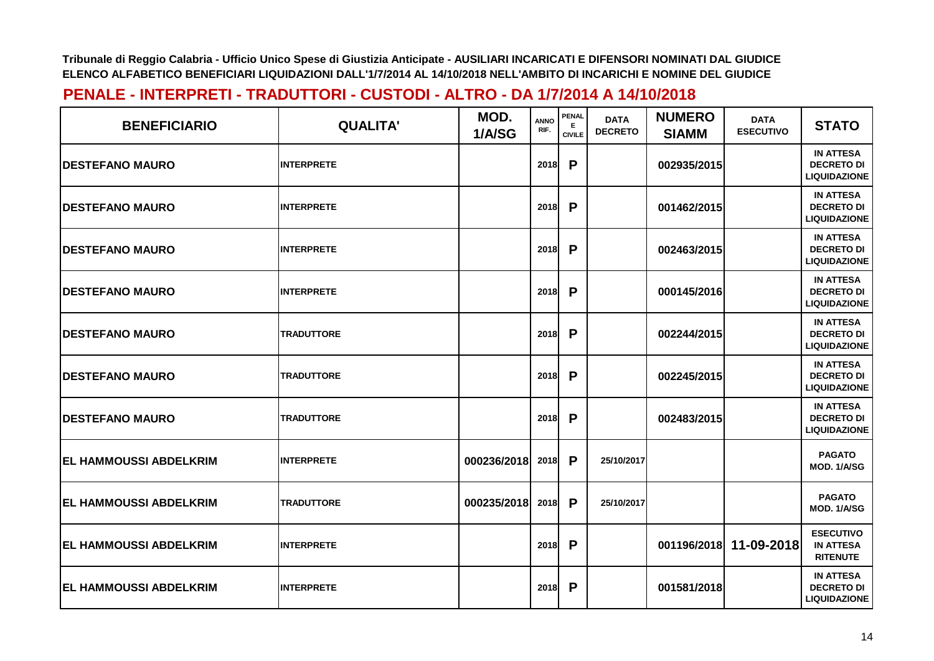| <b>BENEFICIARIO</b>           | <b>QUALITA'</b>   | MOD.<br>1/A/SG | <b>ANNO</b><br>RIF. | <b>PENAL</b><br>Е<br><b>CIVILE</b> | <b>DATA</b><br><b>DECRETO</b> | <b>NUMERO</b><br><b>SIAMM</b> | <b>DATA</b><br><b>ESECUTIVO</b> | <b>STATO</b>                                                 |
|-------------------------------|-------------------|----------------|---------------------|------------------------------------|-------------------------------|-------------------------------|---------------------------------|--------------------------------------------------------------|
| <b>DESTEFANO MAURO</b>        | <b>INTERPRETE</b> |                | 2018                | P                                  |                               | 002935/2015                   |                                 | <b>IN ATTESA</b><br><b>DECRETO DI</b><br><b>LIQUIDAZIONE</b> |
| <b>DESTEFANO MAURO</b>        | <b>INTERPRETE</b> |                | 2018                | P                                  |                               | 001462/2015                   |                                 | <b>IN ATTESA</b><br><b>DECRETO DI</b><br><b>LIQUIDAZIONE</b> |
| <b>DESTEFANO MAURO</b>        | <b>INTERPRETE</b> |                | 2018                | P                                  |                               | 002463/2015                   |                                 | <b>IN ATTESA</b><br><b>DECRETO DI</b><br><b>LIQUIDAZIONE</b> |
| <b>DESTEFANO MAURO</b>        | <b>INTERPRETE</b> |                | 2018                | P                                  |                               | 000145/2016                   |                                 | <b>IN ATTESA</b><br><b>DECRETO DI</b><br><b>LIQUIDAZIONE</b> |
| <b>IDESTEFANO MAURO</b>       | <b>TRADUTTORE</b> |                | 2018                | P                                  |                               | 002244/2015                   |                                 | <b>IN ATTESA</b><br><b>DECRETO DI</b><br><b>LIQUIDAZIONE</b> |
| <b>IDESTEFANO MAURO</b>       | <b>TRADUTTORE</b> |                | 2018                | P                                  |                               | 002245/2015                   |                                 | <b>IN ATTESA</b><br><b>DECRETO DI</b><br><b>LIQUIDAZIONE</b> |
| <b>DESTEFANO MAURO</b>        | <b>TRADUTTORE</b> |                | 2018                | P                                  |                               | 002483/2015                   |                                 | <b>IN ATTESA</b><br><b>DECRETO DI</b><br><b>LIQUIDAZIONE</b> |
| <b>EL HAMMOUSSI ABDELKRIM</b> | <b>INTERPRETE</b> | 000236/2018    | 2018                | P                                  | 25/10/2017                    |                               |                                 | <b>PAGATO</b><br>MOD. 1/A/SG                                 |
| <b>EL HAMMOUSSI ABDELKRIM</b> | <b>TRADUTTORE</b> | 000235/2018    | 2018                | $\mathsf{P}$                       | 25/10/2017                    |                               |                                 | <b>PAGATO</b><br>MOD. 1/A/SG                                 |
| <b>EL HAMMOUSSI ABDELKRIM</b> | <b>INTERPRETE</b> |                | 2018                | P                                  |                               | 001196/2018                   | 11-09-2018                      | <b>ESECUTIVO</b><br><b>IN ATTESA</b><br><b>RITENUTE</b>      |
| <b>EL HAMMOUSSI ABDELKRIM</b> | <b>INTERPRETE</b> |                | 2018                | P                                  |                               | 001581/2018                   |                                 | <b>IN ATTESA</b><br><b>DECRETO DI</b><br><b>LIQUIDAZIONE</b> |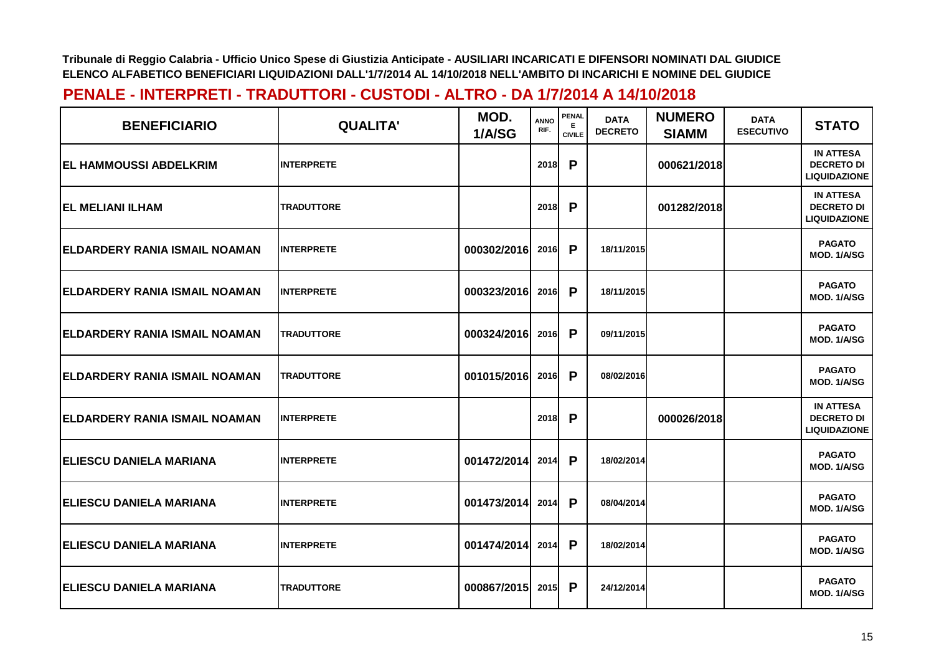| <b>BENEFICIARIO</b>                   | <b>QUALITA'</b>   | MOD.<br>1/A/SG | <b>ANNO</b><br>RIF. | <b>PENAL</b><br>Е<br><b>CIVILE</b> | <b>DATA</b><br><b>DECRETO</b> | <b>NUMERO</b><br><b>SIAMM</b> | <b>DATA</b><br><b>ESECUTIVO</b> | <b>STATO</b>                                                 |
|---------------------------------------|-------------------|----------------|---------------------|------------------------------------|-------------------------------|-------------------------------|---------------------------------|--------------------------------------------------------------|
| <b>IEL HAMMOUSSI ABDELKRIM</b>        | <b>INTERPRETE</b> |                | 2018                | P                                  |                               | 000621/2018                   |                                 | <b>IN ATTESA</b><br><b>DECRETO DI</b><br><b>LIQUIDAZIONE</b> |
| <b>EL MELIANI ILHAM</b>               | <b>TRADUTTORE</b> |                | 2018                | P                                  |                               | 001282/2018                   |                                 | <b>IN ATTESA</b><br><b>DECRETO DI</b><br><b>LIQUIDAZIONE</b> |
| ELDARDERY RANIA ISMAIL NOAMAN         | <b>INTERPRETE</b> | 000302/2016    | 2016                | P                                  | 18/11/2015                    |                               |                                 | <b>PAGATO</b><br><b>MOD. 1/A/SG</b>                          |
| ELDARDERY RANIA ISMAIL NOAMAN         | <b>INTERPRETE</b> | 000323/2016    | 2016                | P                                  | 18/11/2015                    |                               |                                 | <b>PAGATO</b><br>MOD. 1/A/SG                                 |
| IELDARDERY RANIA ISMAIL NOAMAN        | <b>TRADUTTORE</b> | 000324/2016    | 2016                | P                                  | 09/11/2015                    |                               |                                 | <b>PAGATO</b><br>MOD. 1/A/SG                                 |
| <b>IELDARDERY RANIA ISMAIL NOAMAN</b> | <b>TRADUTTORE</b> | 001015/2016    | 2016                | P                                  | 08/02/2016                    |                               |                                 | <b>PAGATO</b><br>MOD. 1/A/SG                                 |
| ELDARDERY RANIA ISMAIL NOAMAN         | <b>INTERPRETE</b> |                | 2018                | P                                  |                               | 000026/2018                   |                                 | <b>IN ATTESA</b><br><b>DECRETO DI</b><br><b>LIQUIDAZIONE</b> |
| <b>ELIESCU DANIELA MARIANA</b>        | <b>INTERPRETE</b> | 001472/2014    | 2014                | P                                  | 18/02/2014                    |                               |                                 | <b>PAGATO</b><br>MOD. 1/A/SG                                 |
| <b> ELIESCU DANIELA MARIANA</b>       | <b>INTERPRETE</b> | 001473/2014    | 2014                | $\mathsf{P}$                       | 08/04/2014                    |                               |                                 | <b>PAGATO</b><br>MOD. 1/A/SG                                 |
| <b>ELIESCU DANIELA MARIANA</b>        | <b>INTERPRETE</b> | 001474/2014    | 2014                | P                                  | 18/02/2014                    |                               |                                 | <b>PAGATO</b><br>MOD. 1/A/SG                                 |
| <b> ELIESCU DANIELA MARIANA</b>       | <b>TRADUTTORE</b> | 000867/2015    | 2015                | P                                  | 24/12/2014                    |                               |                                 | <b>PAGATO</b><br>MOD. 1/A/SG                                 |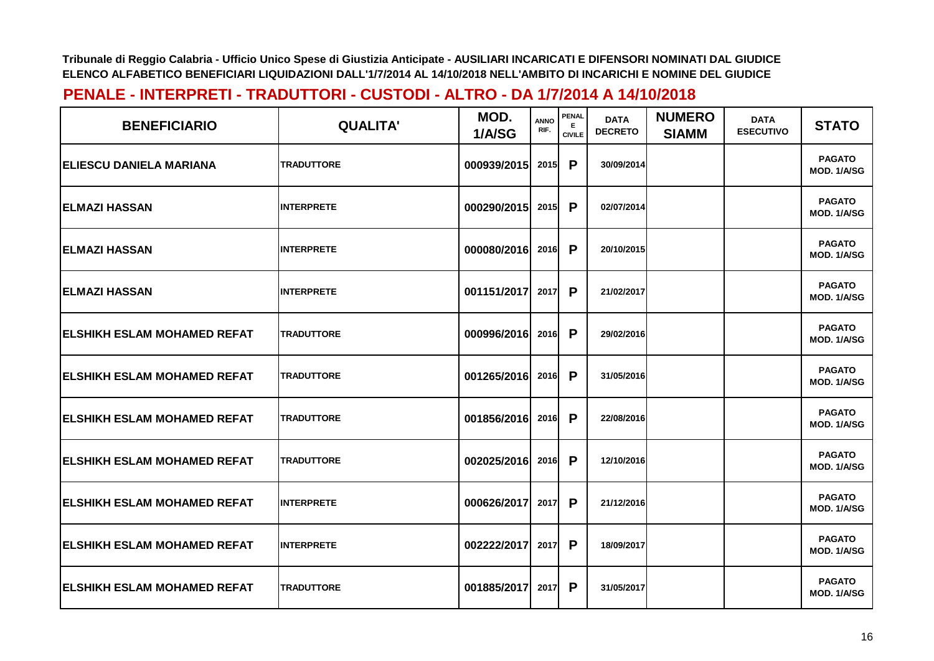| <b>BENEFICIARIO</b>                 | <b>QUALITA'</b>   | MOD.<br>1/A/SG | <b>ANNO</b><br>RIF. | PENAL<br>E.<br><b>CIVILE</b> | <b>DATA</b><br><b>DECRETO</b> | <b>NUMERO</b><br><b>SIAMM</b> | <b>DATA</b><br><b>ESECUTIVO</b> | <b>STATO</b>                 |
|-------------------------------------|-------------------|----------------|---------------------|------------------------------|-------------------------------|-------------------------------|---------------------------------|------------------------------|
| <b>ELIESCU DANIELA MARIANA</b>      | <b>TRADUTTORE</b> | 000939/2015    | 2015                | P                            | 30/09/2014                    |                               |                                 | <b>PAGATO</b><br>MOD. 1/A/SG |
| <b>IELMAZI HASSAN</b>               | <b>INTERPRETE</b> | 000290/2015    | 2015                | P                            | 02/07/2014                    |                               |                                 | <b>PAGATO</b><br>MOD. 1/A/SG |
| <b>ELMAZI HASSAN</b>                | <b>INTERPRETE</b> | 000080/2016    | 2016                | P                            | 20/10/2015                    |                               |                                 | <b>PAGATO</b><br>MOD. 1/A/SG |
| <b>IELMAZI HASSAN</b>               | <b>INTERPRETE</b> | 001151/2017    | 2017                | P                            | 21/02/2017                    |                               |                                 | <b>PAGATO</b><br>MOD. 1/A/SG |
| <b>IELSHIKH ESLAM MOHAMED REFAT</b> | <b>TRADUTTORE</b> | 000996/2016    | 2016                | P                            | 29/02/2016                    |                               |                                 | <b>PAGATO</b><br>MOD. 1/A/SG |
| <b>IELSHIKH ESLAM MOHAMED REFAT</b> | <b>TRADUTTORE</b> | 001265/2016    | 2016                | P                            | 31/05/2016                    |                               |                                 | <b>PAGATO</b><br>MOD. 1/A/SG |
| <b>ELSHIKH ESLAM MOHAMED REFAT</b>  | <b>TRADUTTORE</b> | 001856/2016    | 2016                | P                            | 22/08/2016                    |                               |                                 | <b>PAGATO</b><br>MOD. 1/A/SG |
| <b>IELSHIKH ESLAM MOHAMED REFAT</b> | <b>TRADUTTORE</b> | 002025/2016    | 2016                | P                            | 12/10/2016                    |                               |                                 | <b>PAGATO</b><br>MOD. 1/A/SG |
| <b>ELSHIKH ESLAM MOHAMED REFAT</b>  | <b>INTERPRETE</b> | 000626/2017    | 2017                | P                            | 21/12/2016                    |                               |                                 | <b>PAGATO</b><br>MOD. 1/A/SG |
| <b>IELSHIKH ESLAM MOHAMED REFAT</b> | <b>INTERPRETE</b> | 002222/2017    | 2017                | P                            | 18/09/2017                    |                               |                                 | <b>PAGATO</b><br>MOD. 1/A/SG |
| <b>ELSHIKH ESLAM MOHAMED REFAT</b>  | <b>TRADUTTORE</b> | 001885/2017    | 2017                | P                            | 31/05/2017                    |                               |                                 | <b>PAGATO</b><br>MOD. 1/A/SG |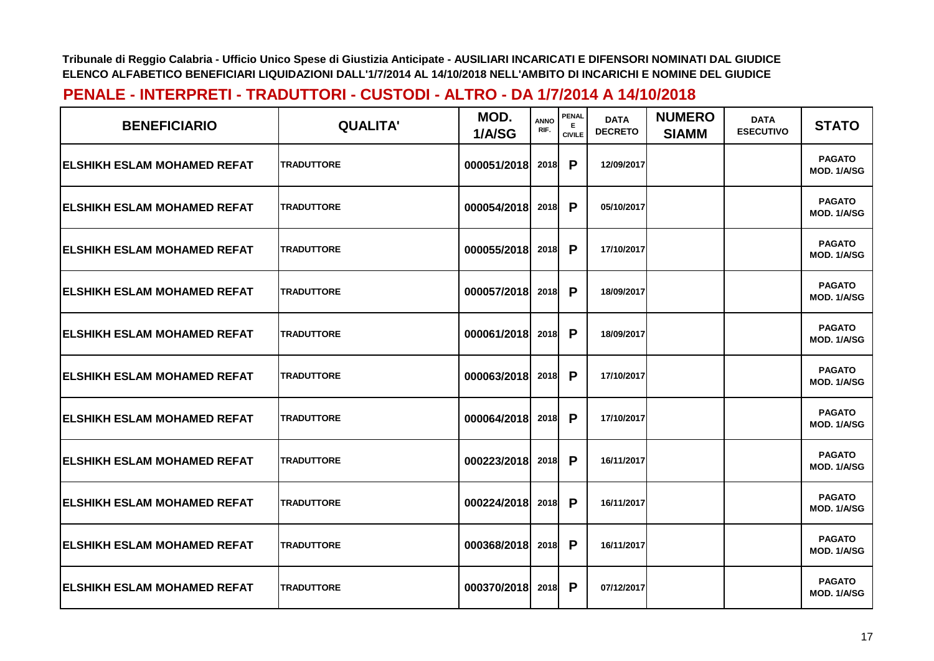| <b>BENEFICIARIO</b>                 | <b>QUALITA'</b>   | MOD.<br>1/A/SG | <b>ANNO</b><br>RIF. | PENAL<br>E.<br><b>CIVILE</b> | <b>DATA</b><br><b>DECRETO</b> | <b>NUMERO</b><br><b>SIAMM</b> | <b>DATA</b><br><b>ESECUTIVO</b> | <b>STATO</b>                 |
|-------------------------------------|-------------------|----------------|---------------------|------------------------------|-------------------------------|-------------------------------|---------------------------------|------------------------------|
| <b>IELSHIKH ESLAM MOHAMED REFAT</b> | <b>TRADUTTORE</b> | 000051/2018    | 2018                | P                            | 12/09/2017                    |                               |                                 | <b>PAGATO</b><br>MOD. 1/A/SG |
| <b>IELSHIKH ESLAM MOHAMED REFAT</b> | <b>TRADUTTORE</b> | 000054/2018    | 2018                | P                            | 05/10/2017                    |                               |                                 | <b>PAGATO</b><br>MOD. 1/A/SG |
| <b>ELSHIKH ESLAM MOHAMED REFAT</b>  | <b>TRADUTTORE</b> | 000055/2018    | 2018                | P                            | 17/10/2017                    |                               |                                 | <b>PAGATO</b><br>MOD. 1/A/SG |
| <b>IELSHIKH ESLAM MOHAMED REFAT</b> | <b>TRADUTTORE</b> | 000057/2018    | 2018                | P                            | 18/09/2017                    |                               |                                 | <b>PAGATO</b><br>MOD. 1/A/SG |
| <b>IELSHIKH ESLAM MOHAMED REFAT</b> | <b>TRADUTTORE</b> | 000061/2018    | 2018                | P                            | 18/09/2017                    |                               |                                 | <b>PAGATO</b><br>MOD. 1/A/SG |
| <b>IELSHIKH ESLAM MOHAMED REFAT</b> | <b>TRADUTTORE</b> | 000063/2018    | 2018                | P                            | 17/10/2017                    |                               |                                 | <b>PAGATO</b><br>MOD. 1/A/SG |
| <b>ELSHIKH ESLAM MOHAMED REFAT</b>  | <b>TRADUTTORE</b> | 000064/2018    | 2018                | P                            | 17/10/2017                    |                               |                                 | <b>PAGATO</b><br>MOD. 1/A/SG |
| <b>IELSHIKH ESLAM MOHAMED REFAT</b> | <b>TRADUTTORE</b> | 000223/2018    | 2018                | P                            | 16/11/2017                    |                               |                                 | <b>PAGATO</b><br>MOD. 1/A/SG |
| <b>ELSHIKH ESLAM MOHAMED REFAT</b>  | <b>TRADUTTORE</b> | 000224/2018    | 2018                | P                            | 16/11/2017                    |                               |                                 | <b>PAGATO</b><br>MOD. 1/A/SG |
| <b>IELSHIKH ESLAM MOHAMED REFAT</b> | <b>TRADUTTORE</b> | 000368/2018    | 2018                | P                            | 16/11/2017                    |                               |                                 | <b>PAGATO</b><br>MOD. 1/A/SG |
| <b>ELSHIKH ESLAM MOHAMED REFAT</b>  | <b>TRADUTTORE</b> | 000370/2018    | 2018                | P                            | 07/12/2017                    |                               |                                 | <b>PAGATO</b><br>MOD. 1/A/SG |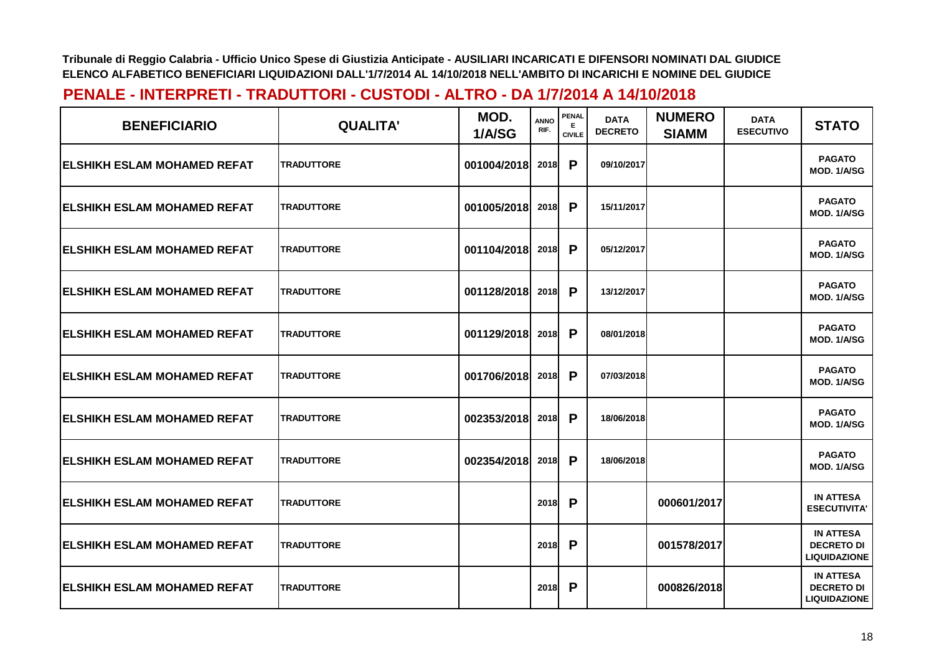| <b>BENEFICIARIO</b>                 | <b>QUALITA'</b>   | MOD.<br>1/A/SG | <b>ANNO</b><br>RIF. | <b>PENAL</b><br>Е<br><b>CIVILE</b> | <b>DATA</b><br><b>DECRETO</b> | <b>NUMERO</b><br><b>SIAMM</b> | <b>DATA</b><br><b>ESECUTIVO</b> | <b>STATO</b>                                                 |
|-------------------------------------|-------------------|----------------|---------------------|------------------------------------|-------------------------------|-------------------------------|---------------------------------|--------------------------------------------------------------|
| <b>IELSHIKH ESLAM MOHAMED REFAT</b> | <b>TRADUTTORE</b> | 001004/2018    | <b>2018</b>         | P                                  | 09/10/2017                    |                               |                                 | <b>PAGATO</b><br>MOD. 1/A/SG                                 |
| <b>IELSHIKH ESLAM MOHAMED REFAT</b> | <b>TRADUTTORE</b> | 001005/2018    | 2018                | P                                  | 15/11/2017                    |                               |                                 | <b>PAGATO</b><br>MOD. 1/A/SG                                 |
| <b>ELSHIKH ESLAM MOHAMED REFAT</b>  | <b>TRADUTTORE</b> | 001104/2018    | 2018                | P                                  | 05/12/2017                    |                               |                                 | <b>PAGATO</b><br>MOD. 1/A/SG                                 |
| <b>ELSHIKH ESLAM MOHAMED REFAT</b>  | <b>TRADUTTORE</b> | 001128/2018    | <b>2018</b>         | P                                  | 13/12/2017                    |                               |                                 | <b>PAGATO</b><br>MOD. 1/A/SG                                 |
| IELSHIKH ESLAM MOHAMED REFAT        | <b>TRADUTTORE</b> | 001129/2018    | 2018                | P                                  | 08/01/2018                    |                               |                                 | <b>PAGATO</b><br>MOD. 1/A/SG                                 |
| <b>IELSHIKH ESLAM MOHAMED REFAT</b> | <b>TRADUTTORE</b> | 001706/2018    | 2018                | P                                  | 07/03/2018                    |                               |                                 | <b>PAGATO</b><br>MOD. 1/A/SG                                 |
| <b>ELSHIKH ESLAM MOHAMED REFAT</b>  | <b>TRADUTTORE</b> | 002353/2018    | 2018                | P                                  | 18/06/2018                    |                               |                                 | <b>PAGATO</b><br>MOD. 1/A/SG                                 |
| <b>ELSHIKH ESLAM MOHAMED REFAT</b>  | <b>TRADUTTORE</b> | 002354/2018    | 2018                | P                                  | 18/06/2018                    |                               |                                 | <b>PAGATO</b><br>MOD. 1/A/SG                                 |
| <b>IELSHIKH ESLAM MOHAMED REFAT</b> | <b>TRADUTTORE</b> |                | 2018                | P                                  |                               | 000601/2017                   |                                 | <b>IN ATTESA</b><br><b>ESECUTIVITA'</b>                      |
| <b>ELSHIKH ESLAM MOHAMED REFAT</b>  | <b>TRADUTTORE</b> |                | 2018                | P                                  |                               | 001578/2017                   |                                 | <b>IN ATTESA</b><br><b>DECRETO DI</b><br><b>LIQUIDAZIONE</b> |
| <b>ELSHIKH ESLAM MOHAMED REFAT</b>  | <b>TRADUTTORE</b> |                | 2018                | P                                  |                               | 000826/2018                   |                                 | <b>IN ATTESA</b><br><b>DECRETO DI</b><br><b>LIQUIDAZIONE</b> |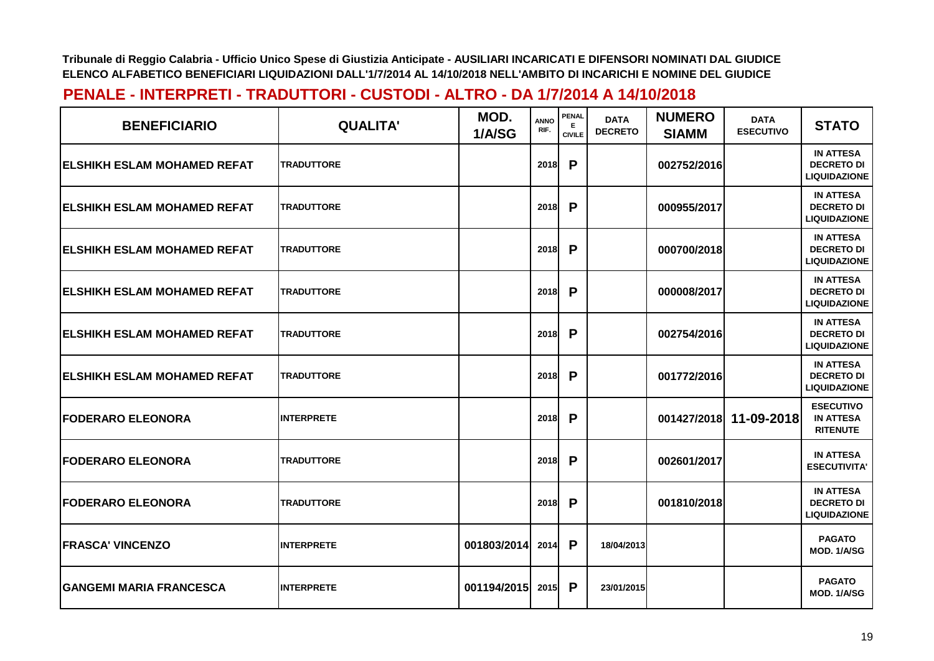| <b>BENEFICIARIO</b>                 | <b>QUALITA'</b>   | MOD.<br>1/A/SG | <b>ANNO</b><br>RIF. | <b>PENAL</b><br>Е<br><b>CIVILE</b> | <b>DATA</b><br><b>DECRETO</b> | <b>NUMERO</b><br><b>SIAMM</b> | <b>DATA</b><br><b>ESECUTIVO</b> | <b>STATO</b>                                                 |
|-------------------------------------|-------------------|----------------|---------------------|------------------------------------|-------------------------------|-------------------------------|---------------------------------|--------------------------------------------------------------|
| <b>IELSHIKH ESLAM MOHAMED REFAT</b> | <b>TRADUTTORE</b> |                | <b>2018</b>         | P                                  |                               | 002752/2016                   |                                 | <b>IN ATTESA</b><br><b>DECRETO DI</b><br><b>LIQUIDAZIONE</b> |
| <b>ELSHIKH ESLAM MOHAMED REFAT</b>  | <b>TRADUTTORE</b> |                | 2018                | P                                  |                               | 000955/2017                   |                                 | <b>IN ATTESA</b><br><b>DECRETO DI</b><br><b>LIQUIDAZIONE</b> |
| <b>IELSHIKH ESLAM MOHAMED REFAT</b> | <b>TRADUTTORE</b> |                | <b>2018</b>         | P                                  |                               | 000700/2018                   |                                 | <b>IN ATTESA</b><br><b>DECRETO DI</b><br><b>LIQUIDAZIONE</b> |
| <b>IELSHIKH ESLAM MOHAMED REFAT</b> | <b>TRADUTTORE</b> |                | 2018                | P                                  |                               | 000008/2017                   |                                 | <b>IN ATTESA</b><br><b>DECRETO DI</b><br><b>LIQUIDAZIONE</b> |
| <b>IELSHIKH ESLAM MOHAMED REFAT</b> | <b>TRADUTTORE</b> |                | 2018                | P                                  |                               | 002754/2016                   |                                 | <b>IN ATTESA</b><br><b>DECRETO DI</b><br><b>LIQUIDAZIONE</b> |
| <b>ELSHIKH ESLAM MOHAMED REFAT</b>  | <b>TRADUTTORE</b> |                | 2018                | P                                  |                               | 001772/2016                   |                                 | <b>IN ATTESA</b><br><b>DECRETO DI</b><br><b>LIQUIDAZIONE</b> |
| <b>FODERARO ELEONORA</b>            | <b>INTERPRETE</b> |                | 2018                | P                                  |                               | 001427/2018                   | 11-09-2018                      | <b>ESECUTIVO</b><br><b>IN ATTESA</b><br><b>RITENUTE</b>      |
| <b>FODERARO ELEONORA</b>            | <b>TRADUTTORE</b> |                | 2018                | P                                  |                               | 002601/2017                   |                                 | <b>IN ATTESA</b><br><b>ESECUTIVITA'</b>                      |
| <b> FODERARO ELEONORA</b>           | <b>TRADUTTORE</b> |                | 2018                | P                                  |                               | 001810/2018                   |                                 | <b>IN ATTESA</b><br><b>DECRETO DI</b><br><b>LIQUIDAZIONE</b> |
| <b>IFRASCA' VINCENZO</b>            | <b>INTERPRETE</b> | 001803/2014    | 2014                | P                                  | 18/04/2013                    |                               |                                 | <b>PAGATO</b><br>MOD. 1/A/SG                                 |
| <b> GANGEMI MARIA FRANCESCA</b>     | <b>INTERPRETE</b> | 001194/2015    | 2015                | P                                  | 23/01/2015                    |                               |                                 | <b>PAGATO</b><br>MOD. 1/A/SG                                 |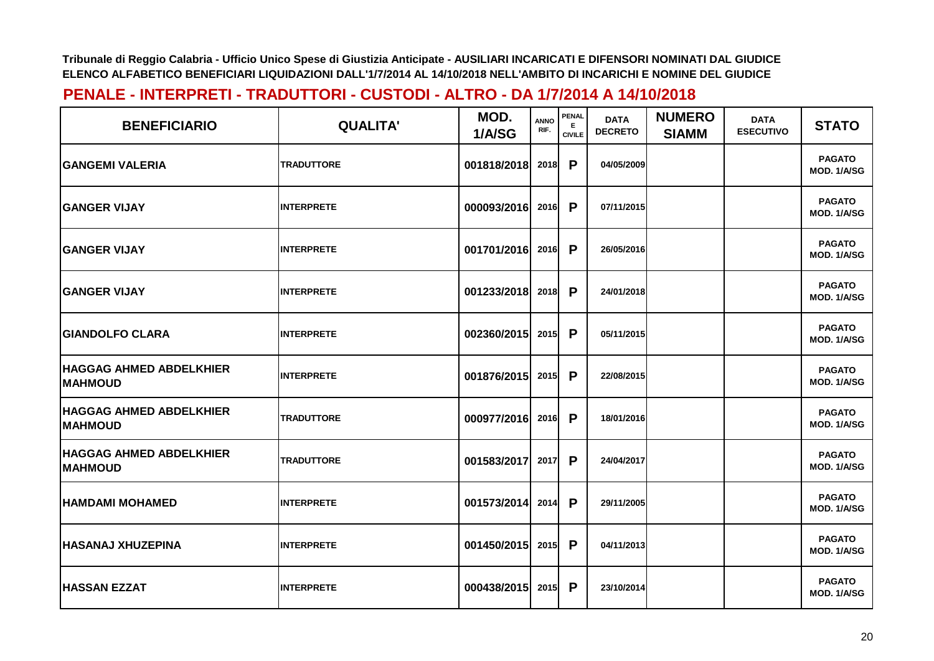| <b>BENEFICIARIO</b>                              | <b>QUALITA'</b>   | MOD.<br>1/A/SG | <b>ANNO</b><br>RIF. | PENAL<br>Е<br><b>CIVILE</b> | <b>DATA</b><br><b>DECRETO</b> | <b>NUMERO</b><br><b>SIAMM</b> | <b>DATA</b><br><b>ESECUTIVO</b> | <b>STATO</b>                 |
|--------------------------------------------------|-------------------|----------------|---------------------|-----------------------------|-------------------------------|-------------------------------|---------------------------------|------------------------------|
| <b>GANGEMI VALERIA</b>                           | <b>TRADUTTORE</b> | 001818/2018    | <b>2018</b>         | P                           | 04/05/2009                    |                               |                                 | <b>PAGATO</b><br>MOD. 1/A/SG |
| <b>GANGER VIJAY</b>                              | <b>INTERPRETE</b> | 000093/2016    | 2016                | P                           | 07/11/2015                    |                               |                                 | <b>PAGATO</b><br>MOD. 1/A/SG |
| <b>GANGER VIJAY</b>                              | <b>INTERPRETE</b> | 001701/2016    | 2016                | P                           | 26/05/2016                    |                               |                                 | <b>PAGATO</b><br>MOD. 1/A/SG |
| <b>GANGER VIJAY</b>                              | <b>INTERPRETE</b> | 001233/2018    | 2018                | $\mathsf{P}$                | 24/01/2018                    |                               |                                 | <b>PAGATO</b><br>MOD. 1/A/SG |
| <b>GIANDOLFO CLARA</b>                           | <b>INTERPRETE</b> | 002360/2015    | 2015                | P                           | 05/11/2015                    |                               |                                 | <b>PAGATO</b><br>MOD. 1/A/SG |
| <b>HAGGAG AHMED ABDELKHIER</b><br><b>MAHMOUD</b> | <b>INTERPRETE</b> | 001876/2015    | 2015                | P                           | 22/08/2015                    |                               |                                 | <b>PAGATO</b><br>MOD. 1/A/SG |
| <b>HAGGAG AHMED ABDELKHIER</b><br><b>MAHMOUD</b> | <b>TRADUTTORE</b> | 000977/2016    | 2016                | P                           | 18/01/2016                    |                               |                                 | <b>PAGATO</b><br>MOD. 1/A/SG |
| <b>HAGGAG AHMED ABDELKHIER</b><br><b>MAHMOUD</b> | <b>TRADUTTORE</b> | 001583/2017    | 2017                | P                           | 24/04/2017                    |                               |                                 | <b>PAGATO</b><br>MOD. 1/A/SG |
| <b>HAMDAMI MOHAMED</b>                           | <b>INTERPRETE</b> | 001573/2014    | 2014                | P                           | 29/11/2005                    |                               |                                 | <b>PAGATO</b><br>MOD. 1/A/SG |
| <b>HASANAJ XHUZEPINA</b>                         | <b>INTERPRETE</b> | 001450/2015    | 2015                | P                           | 04/11/2013                    |                               |                                 | <b>PAGATO</b><br>MOD. 1/A/SG |
| <b>HASSAN EZZAT</b>                              | <b>INTERPRETE</b> | 000438/2015    | 2015                | P                           | 23/10/2014                    |                               |                                 | <b>PAGATO</b><br>MOD. 1/A/SG |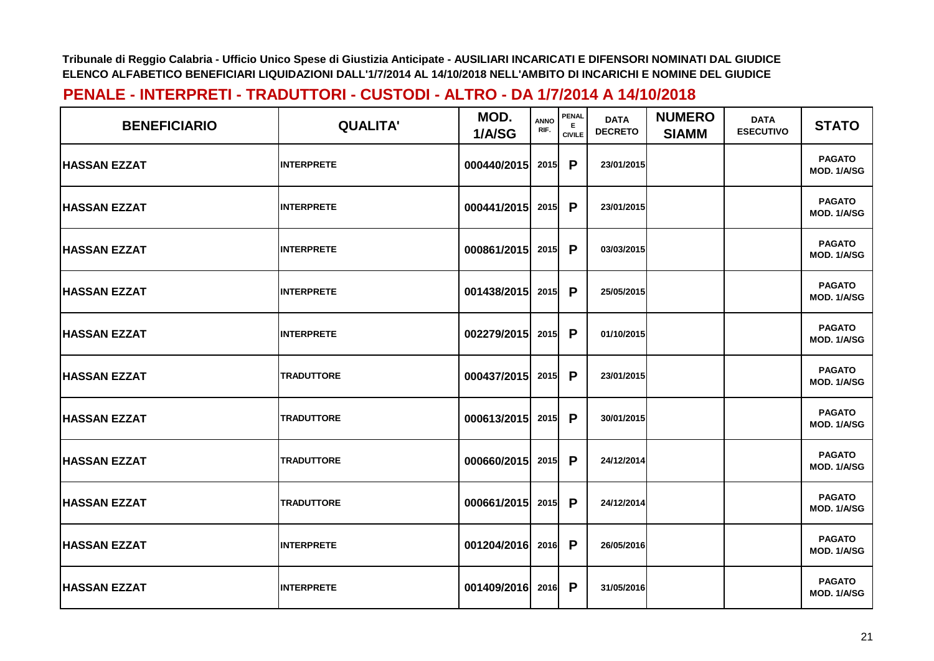| <b>BENEFICIARIO</b> | <b>QUALITA'</b>   | MOD.<br>1/A/SG     | <b>ANNO</b><br>RIF. | <b>PENAL</b><br>E.<br><b>CIVILE</b> | <b>DATA</b><br><b>DECRETO</b> | <b>NUMERO</b><br><b>SIAMM</b> | <b>DATA</b><br><b>ESECUTIVO</b> | <b>STATO</b>                 |
|---------------------|-------------------|--------------------|---------------------|-------------------------------------|-------------------------------|-------------------------------|---------------------------------|------------------------------|
| <b>HASSAN EZZAT</b> | <b>INTERPRETE</b> | 000440/2015        | 2015                | P                                   | 23/01/2015                    |                               |                                 | <b>PAGATO</b><br>MOD. 1/A/SG |
| <b>HASSAN EZZAT</b> | <b>INTERPRETE</b> | 000441/2015        | 2015                | P                                   | 23/01/2015                    |                               |                                 | <b>PAGATO</b><br>MOD. 1/A/SG |
| <b>HASSAN EZZAT</b> | <b>INTERPRETE</b> | 000861/2015 2015 P |                     |                                     | 03/03/2015                    |                               |                                 | <b>PAGATO</b><br>MOD. 1/A/SG |
| <b>HASSAN EZZAT</b> | <b>INTERPRETE</b> | 001438/2015 2015   |                     | P                                   | 25/05/2015                    |                               |                                 | <b>PAGATO</b><br>MOD. 1/A/SG |
| <b>HASSAN EZZAT</b> | <b>INTERPRETE</b> | 002279/2015        | 2015                | P                                   | 01/10/2015                    |                               |                                 | <b>PAGATO</b><br>MOD. 1/A/SG |
| <b>HASSAN EZZAT</b> | <b>TRADUTTORE</b> | 000437/2015 2015   |                     | P                                   | 23/01/2015                    |                               |                                 | <b>PAGATO</b><br>MOD. 1/A/SG |
| <b>HASSAN EZZAT</b> | <b>TRADUTTORE</b> | 000613/2015 2015   |                     | P                                   | 30/01/2015                    |                               |                                 | <b>PAGATO</b><br>MOD. 1/A/SG |
| <b>HASSAN EZZAT</b> | <b>TRADUTTORE</b> | 000660/2015        | 2015                | P                                   | 24/12/2014                    |                               |                                 | <b>PAGATO</b><br>MOD. 1/A/SG |
| <b>HASSAN EZZAT</b> | <b>TRADUTTORE</b> | 000661/2015        | 2015                | P                                   | 24/12/2014                    |                               |                                 | <b>PAGATO</b><br>MOD. 1/A/SG |
| <b>HASSAN EZZAT</b> | <b>INTERPRETE</b> | 001204/2016 2016   |                     | P                                   | 26/05/2016                    |                               |                                 | <b>PAGATO</b><br>MOD. 1/A/SG |
| <b>HASSAN EZZAT</b> | <b>INTERPRETE</b> | 001409/2016 2016   |                     | P                                   | 31/05/2016                    |                               |                                 | <b>PAGATO</b><br>MOD. 1/A/SG |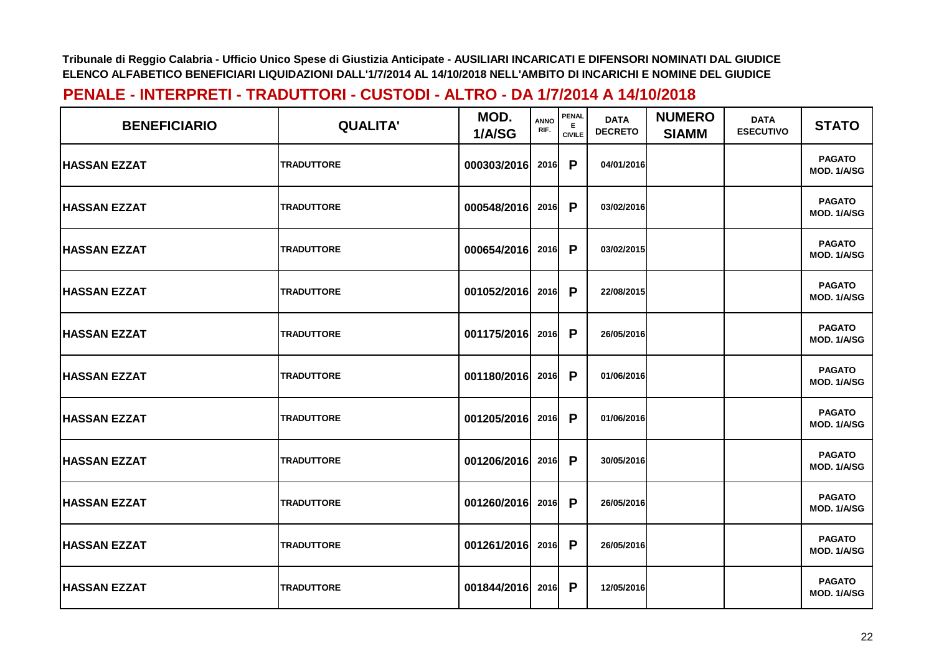| <b>BENEFICIARIO</b> | <b>QUALITA'</b>   | MOD.<br>1/A/SG   | <b>ANNO</b><br>RIF. | <b>PENAL</b><br><b>CIVILE</b> | <b>DATA</b><br><b>DECRETO</b> | <b>NUMERO</b><br><b>SIAMM</b> | <b>DATA</b><br><b>ESECUTIVO</b> | <b>STATO</b>                 |
|---------------------|-------------------|------------------|---------------------|-------------------------------|-------------------------------|-------------------------------|---------------------------------|------------------------------|
| <b>HASSAN EZZAT</b> | <b>TRADUTTORE</b> | 000303/2016      | 2016                | P                             | 04/01/2016                    |                               |                                 | <b>PAGATO</b><br>MOD. 1/A/SG |
| <b>HASSAN EZZAT</b> | <b>TRADUTTORE</b> | 000548/2016      | 2016                | P                             | 03/02/2016                    |                               |                                 | <b>PAGATO</b><br>MOD. 1/A/SG |
| <b>HASSAN EZZAT</b> | <b>TRADUTTORE</b> | 000654/2016      | 2016                | P                             | 03/02/2015                    |                               |                                 | <b>PAGATO</b><br>MOD. 1/A/SG |
| <b>HASSAN EZZAT</b> | <b>TRADUTTORE</b> | 001052/2016      | 2016                | P                             | 22/08/2015                    |                               |                                 | <b>PAGATO</b><br>MOD. 1/A/SG |
| <b>HASSAN EZZAT</b> | <b>TRADUTTORE</b> | 001175/2016      | 2016                | P                             | 26/05/2016                    |                               |                                 | <b>PAGATO</b><br>MOD. 1/A/SG |
| <b>HASSAN EZZAT</b> | <b>TRADUTTORE</b> | 001180/2016 2016 |                     | $\mathsf{P}$                  | 01/06/2016                    |                               |                                 | <b>PAGATO</b><br>MOD. 1/A/SG |
| <b>HASSAN EZZAT</b> | <b>TRADUTTORE</b> | 001205/2016      | 2016                | P                             | 01/06/2016                    |                               |                                 | <b>PAGATO</b><br>MOD. 1/A/SG |
| <b>HASSAN EZZAT</b> | <b>TRADUTTORE</b> | 001206/2016      | 2016                | P                             | 30/05/2016                    |                               |                                 | <b>PAGATO</b><br>MOD. 1/A/SG |
| <b>HASSAN EZZAT</b> | <b>TRADUTTORE</b> | 001260/2016      | 2016                | P                             | 26/05/2016                    |                               |                                 | <b>PAGATO</b><br>MOD. 1/A/SG |
| <b>HASSAN EZZAT</b> | <b>TRADUTTORE</b> | 001261/2016      | 2016                | $\mathsf{P}$                  | 26/05/2016                    |                               |                                 | <b>PAGATO</b><br>MOD. 1/A/SG |
| <b>HASSAN EZZAT</b> | <b>TRADUTTORE</b> | 001844/2016      | 2016                | P                             | 12/05/2016                    |                               |                                 | <b>PAGATO</b><br>MOD. 1/A/SG |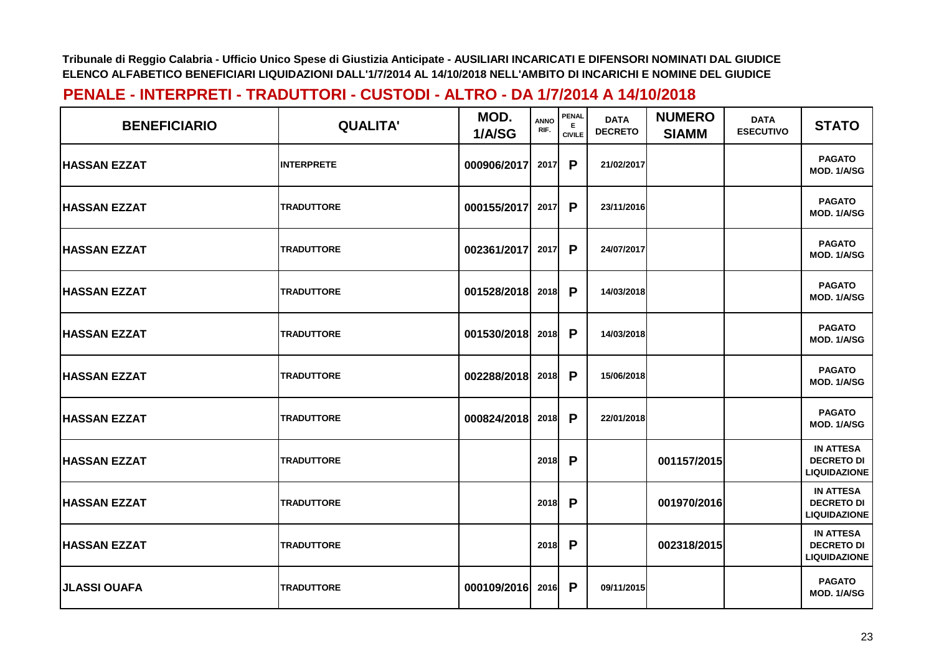| <b>BENEFICIARIO</b> | <b>QUALITA'</b>   | MOD.<br>1/A/SG   | <b>ANNO</b><br>RIF. | <b>PENAL</b><br>Е<br><b>CIVILE</b> | <b>DATA</b><br><b>DECRETO</b> | <b>NUMERO</b><br><b>SIAMM</b> | <b>DATA</b><br><b>ESECUTIVO</b> | <b>STATO</b>                                                 |
|---------------------|-------------------|------------------|---------------------|------------------------------------|-------------------------------|-------------------------------|---------------------------------|--------------------------------------------------------------|
| <b>HASSAN EZZAT</b> | <b>INTERPRETE</b> | 000906/2017      | 2017                | P                                  | 21/02/2017                    |                               |                                 | <b>PAGATO</b><br>MOD. 1/A/SG                                 |
| <b>HASSAN EZZAT</b> | <b>TRADUTTORE</b> | 000155/2017      | 2017                | P                                  | 23/11/2016                    |                               |                                 | <b>PAGATO</b><br>MOD. 1/A/SG                                 |
| <b>HASSAN EZZAT</b> | <b>TRADUTTORE</b> | 002361/2017      | 2017                | P                                  | 24/07/2017                    |                               |                                 | <b>PAGATO</b><br>MOD. 1/A/SG                                 |
| <b>HASSAN EZZAT</b> | <b>TRADUTTORE</b> | 001528/2018      | 2018                | P                                  | 14/03/2018                    |                               |                                 | <b>PAGATO</b><br>MOD. 1/A/SG                                 |
| <b>HASSAN EZZAT</b> | <b>TRADUTTORE</b> | 001530/2018      | 2018                | P                                  | 14/03/2018                    |                               |                                 | <b>PAGATO</b><br>MOD. 1/A/SG                                 |
| <b>HASSAN EZZAT</b> | <b>TRADUTTORE</b> | 002288/2018 2018 |                     | P                                  | 15/06/2018                    |                               |                                 | <b>PAGATO</b><br>MOD. 1/A/SG                                 |
| <b>HASSAN EZZAT</b> | <b>TRADUTTORE</b> | 000824/2018      | 2018                | P                                  | 22/01/2018                    |                               |                                 | <b>PAGATO</b><br>MOD. 1/A/SG                                 |
| <b>HASSAN EZZAT</b> | <b>TRADUTTORE</b> |                  | 2018                | P                                  |                               | 001157/2015                   |                                 | <b>IN ATTESA</b><br><b>DECRETO DI</b><br><b>LIQUIDAZIONE</b> |
| <b>HASSAN EZZAT</b> | <b>TRADUTTORE</b> |                  | 2018                | P                                  |                               | 001970/2016                   |                                 | <b>IN ATTESA</b><br><b>DECRETO DI</b><br><b>LIQUIDAZIONE</b> |
| <b>HASSAN EZZAT</b> | <b>TRADUTTORE</b> |                  | 2018                | P                                  |                               | 002318/2015                   |                                 | <b>IN ATTESA</b><br><b>DECRETO DI</b><br><b>LIQUIDAZIONE</b> |
| <b>JLASSI OUAFA</b> | <b>TRADUTTORE</b> | 000109/2016      | 2016                | P                                  | 09/11/2015                    |                               |                                 | <b>PAGATO</b><br>MOD. 1/A/SG                                 |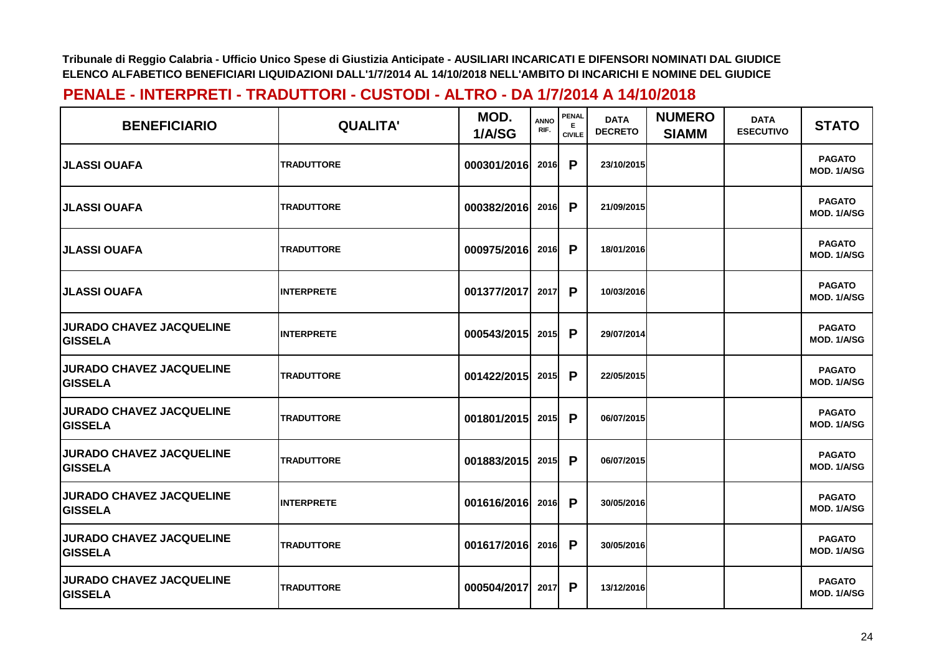| <b>BENEFICIARIO</b>                               | <b>QUALITA'</b>   | MOD.<br>1/A/SG | <b>ANNO</b><br>RIF. | PENAL<br>Е.<br><b>CIVILE</b> | <b>DATA</b><br><b>DECRETO</b> | <b>NUMERO</b><br><b>SIAMM</b> | <b>DATA</b><br><b>ESECUTIVO</b> | <b>STATO</b>                 |
|---------------------------------------------------|-------------------|----------------|---------------------|------------------------------|-------------------------------|-------------------------------|---------------------------------|------------------------------|
| <b>JLASSI OUAFA</b>                               | <b>TRADUTTORE</b> | 000301/2016    | 2016                | P                            | 23/10/2015                    |                               |                                 | <b>PAGATO</b><br>MOD. 1/A/SG |
| <b>JLASSI OUAFA</b>                               | <b>TRADUTTORE</b> | 000382/2016    | 2016                | P                            | 21/09/2015                    |                               |                                 | <b>PAGATO</b><br>MOD. 1/A/SG |
| JLASSI OUAFA                                      | <b>TRADUTTORE</b> | 000975/2016    | 2016                | P                            | 18/01/2016                    |                               |                                 | <b>PAGATO</b><br>MOD. 1/A/SG |
| <b>JLASSI OUAFA</b>                               | <b>INTERPRETE</b> | 001377/2017    | 2017                | P                            | 10/03/2016                    |                               |                                 | <b>PAGATO</b><br>MOD. 1/A/SG |
| <b>JURADO CHAVEZ JACQUELINE</b><br><b>GISSELA</b> | <b>INTERPRETE</b> | 000543/2015    | 2015                | P                            | 29/07/2014                    |                               |                                 | <b>PAGATO</b><br>MOD. 1/A/SG |
| <b>JURADO CHAVEZ JACQUELINE</b><br><b>GISSELA</b> | <b>TRADUTTORE</b> | 001422/2015    | 2015                | P                            | 22/05/2015                    |                               |                                 | <b>PAGATO</b><br>MOD. 1/A/SG |
| <b>JURADO CHAVEZ JACQUELINE</b><br><b>GISSELA</b> | <b>TRADUTTORE</b> | 001801/2015    | 2015                | P                            | 06/07/2015                    |                               |                                 | <b>PAGATO</b><br>MOD. 1/A/SG |
| <b>JURADO CHAVEZ JACQUELINE</b><br><b>GISSELA</b> | <b>TRADUTTORE</b> | 001883/2015    | 2015                | P                            | 06/07/2015                    |                               |                                 | <b>PAGATO</b><br>MOD. 1/A/SG |
| <b>JURADO CHAVEZ JACQUELINE</b><br><b>GISSELA</b> | <b>INTERPRETE</b> | 001616/2016    | 2016                | P                            | 30/05/2016                    |                               |                                 | <b>PAGATO</b><br>MOD. 1/A/SG |
| <b>JURADO CHAVEZ JACQUELINE</b><br><b>GISSELA</b> | <b>TRADUTTORE</b> | 001617/2016    | 2016                | P                            | 30/05/2016                    |                               |                                 | <b>PAGATO</b><br>MOD. 1/A/SG |
| <b>JURADO CHAVEZ JACQUELINE</b><br><b>GISSELA</b> | <b>TRADUTTORE</b> | 000504/2017    | 2017                | $\mathsf{P}$                 | 13/12/2016                    |                               |                                 | <b>PAGATO</b><br>MOD. 1/A/SG |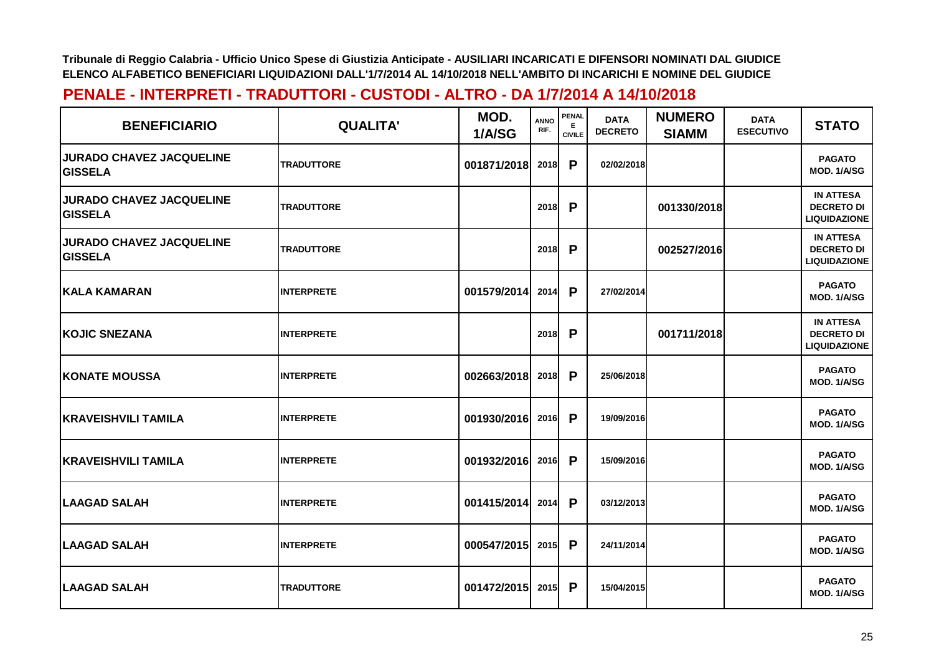| <b>BENEFICIARIO</b>                               | <b>QUALITA'</b>   | MOD.<br>1/A/SG | <b>ANNO</b><br>RIF. | <b>PENAL</b><br>Е<br><b>CIVILE</b> | <b>DATA</b><br><b>DECRETO</b> | <b>NUMERO</b><br><b>SIAMM</b> | <b>DATA</b><br><b>ESECUTIVO</b> | <b>STATO</b>                                                 |
|---------------------------------------------------|-------------------|----------------|---------------------|------------------------------------|-------------------------------|-------------------------------|---------------------------------|--------------------------------------------------------------|
| <b>JURADO CHAVEZ JACQUELINE</b><br><b>GISSELA</b> | <b>TRADUTTORE</b> | 001871/2018    | 2018                | P                                  | 02/02/2018                    |                               |                                 | <b>PAGATO</b><br>MOD. 1/A/SG                                 |
| <b>JURADO CHAVEZ JACQUELINE</b><br><b>GISSELA</b> | <b>TRADUTTORE</b> |                | 2018                | P                                  |                               | 001330/2018                   |                                 | <b>IN ATTESA</b><br><b>DECRETO DI</b><br><b>LIQUIDAZIONE</b> |
| <b>JURADO CHAVEZ JACQUELINE</b><br><b>GISSELA</b> | <b>TRADUTTORE</b> |                | 2018                | P                                  |                               | 002527/2016                   |                                 | <b>IN ATTESA</b><br><b>DECRETO DI</b><br><b>LIQUIDAZIONE</b> |
| <b>KALA KAMARAN</b>                               | <b>INTERPRETE</b> | 001579/2014    | 2014                | P                                  | 27/02/2014                    |                               |                                 | <b>PAGATO</b><br>MOD. 1/A/SG                                 |
| <b>IKOJIC SNEZANA</b>                             | <b>INTERPRETE</b> |                | 2018                | P                                  |                               | 001711/2018                   |                                 | <b>IN ATTESA</b><br><b>DECRETO DI</b><br><b>LIQUIDAZIONE</b> |
| <b>KONATE MOUSSA</b>                              | <b>INTERPRETE</b> | 002663/2018    | 2018                | P                                  | 25/06/2018                    |                               |                                 | <b>PAGATO</b><br>MOD. 1/A/SG                                 |
| <b>KRAVEISHVILI TAMILA</b>                        | <b>INTERPRETE</b> | 001930/2016    | 2016                | P                                  | 19/09/2016                    |                               |                                 | <b>PAGATO</b><br>MOD. 1/A/SG                                 |
| <b>KRAVEISHVILI TAMILA</b>                        | <b>INTERPRETE</b> | 001932/2016    | 2016                | P                                  | 15/09/2016                    |                               |                                 | <b>PAGATO</b><br>MOD. 1/A/SG                                 |
| <b>LAAGAD SALAH</b>                               | <b>INTERPRETE</b> | 001415/2014    | 2014                | P                                  | 03/12/2013                    |                               |                                 | <b>PAGATO</b><br>MOD. 1/A/SG                                 |
| <b>ILAAGAD SALAH</b>                              | <b>INTERPRETE</b> | 000547/2015    | 2015                | P                                  | 24/11/2014                    |                               |                                 | <b>PAGATO</b><br>MOD. 1/A/SG                                 |
| <b>LAAGAD SALAH</b>                               | <b>TRADUTTORE</b> | 001472/2015    | 2015                | P                                  | 15/04/2015                    |                               |                                 | <b>PAGATO</b><br>MOD. 1/A/SG                                 |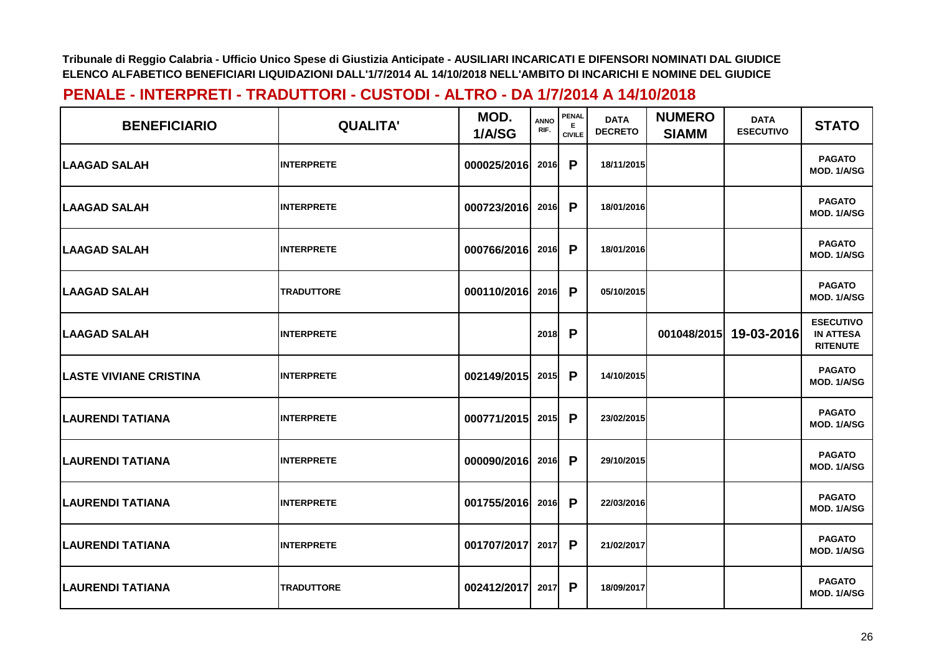| <b>BENEFICIARIO</b>           | <b>QUALITA'</b>   | MOD.<br>1/A/SG | <b>ANNO</b><br>RIF. | <b>PENAL</b><br>Е.<br><b>CIVILE</b> | <b>DATA</b><br><b>DECRETO</b> | <b>NUMERO</b><br><b>SIAMM</b> | <b>DATA</b><br><b>ESECUTIVO</b> | <b>STATO</b>                                            |
|-------------------------------|-------------------|----------------|---------------------|-------------------------------------|-------------------------------|-------------------------------|---------------------------------|---------------------------------------------------------|
| <b>LAAGAD SALAH</b>           | <b>INTERPRETE</b> | 000025/2016    | 2016                | P                                   | 18/11/2015                    |                               |                                 | <b>PAGATO</b><br>MOD. 1/A/SG                            |
| <b>LAAGAD SALAH</b>           | <b>INTERPRETE</b> | 000723/2016    | 2016                | P                                   | 18/01/2016                    |                               |                                 | <b>PAGATO</b><br>MOD. 1/A/SG                            |
| <b>LAAGAD SALAH</b>           | <b>INTERPRETE</b> | 000766/2016    | 2016                | $\mathsf{P}$                        | 18/01/2016                    |                               |                                 | <b>PAGATO</b><br>MOD. 1/A/SG                            |
| <b>LAAGAD SALAH</b>           | <b>TRADUTTORE</b> | 000110/2016    | 2016                | P                                   | 05/10/2015                    |                               |                                 | <b>PAGATO</b><br>MOD. 1/A/SG                            |
| <b>LAAGAD SALAH</b>           | <b>INTERPRETE</b> |                | 2018                | P                                   |                               | 001048/2015                   | 19-03-2016                      | <b>ESECUTIVO</b><br><b>IN ATTESA</b><br><b>RITENUTE</b> |
| <b>LASTE VIVIANE CRISTINA</b> | <b>INTERPRETE</b> | 002149/2015    | 2015                | $\mathsf{P}$                        | 14/10/2015                    |                               |                                 | <b>PAGATO</b><br>MOD. 1/A/SG                            |
| LAURENDI TATIANA              | <b>INTERPRETE</b> | 000771/2015    | 2015                | P                                   | 23/02/2015                    |                               |                                 | <b>PAGATO</b><br>MOD. 1/A/SG                            |
| <b>LAURENDI TATIANA</b>       | <b>INTERPRETE</b> | 000090/2016    | 2016                | P                                   | 29/10/2015                    |                               |                                 | <b>PAGATO</b><br>MOD. 1/A/SG                            |
| LAURENDI TATIANA              | <b>INTERPRETE</b> | 001755/2016    | 2016                | $\mathsf{P}$                        | 22/03/2016                    |                               |                                 | <b>PAGATO</b><br>MOD. 1/A/SG                            |
| LAURENDI TATIANA              | <b>INTERPRETE</b> | 001707/2017    | 2017                | P                                   | 21/02/2017                    |                               |                                 | <b>PAGATO</b><br>MOD. 1/A/SG                            |
| LAURENDI TATIANA              | <b>TRADUTTORE</b> | 002412/2017    | 2017                | P                                   | 18/09/2017                    |                               |                                 | <b>PAGATO</b><br>MOD. 1/A/SG                            |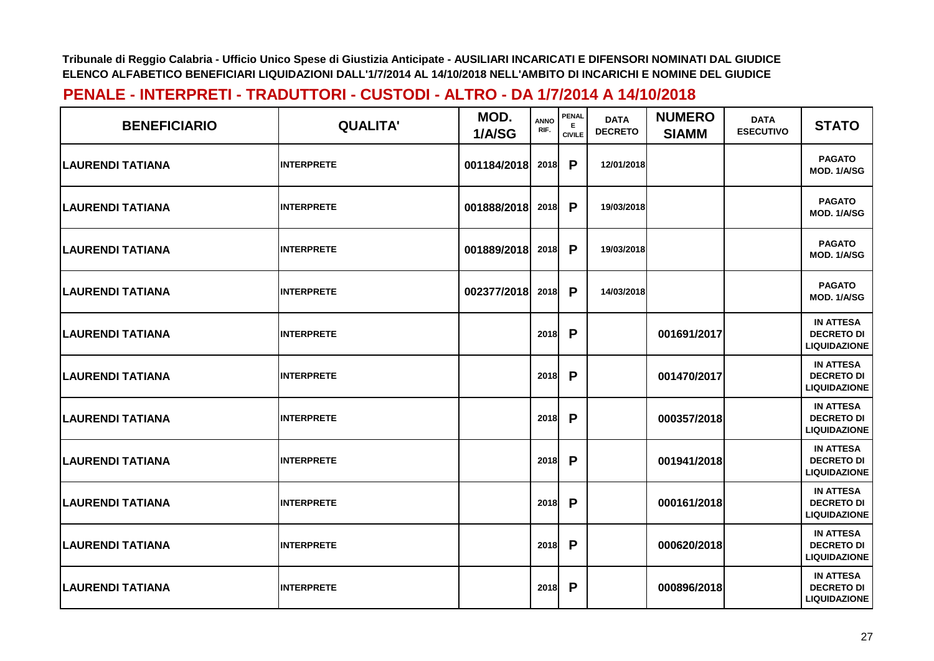| <b>BENEFICIARIO</b>     | <b>QUALITA'</b>   | MOD.<br>1/A/SG | <b>ANNO</b><br>RIF. | <b>PENAL</b><br>E.<br><b>CIVILE</b> | <b>DATA</b><br><b>DECRETO</b> | <b>NUMERO</b><br><b>SIAMM</b> | <b>DATA</b><br><b>ESECUTIVO</b> | <b>STATO</b>                                                 |
|-------------------------|-------------------|----------------|---------------------|-------------------------------------|-------------------------------|-------------------------------|---------------------------------|--------------------------------------------------------------|
| <b>LAURENDI TATIANA</b> | <b>INTERPRETE</b> | 001184/2018    | 2018                | P                                   | 12/01/2018                    |                               |                                 | <b>PAGATO</b><br>MOD. 1/A/SG                                 |
| <b>LAURENDI TATIANA</b> | <b>INTERPRETE</b> | 001888/2018    | 2018                | P                                   | 19/03/2018                    |                               |                                 | <b>PAGATO</b><br>MOD. 1/A/SG                                 |
| <b>LAURENDI TATIANA</b> | <b>INTERPRETE</b> | 001889/2018    | 2018                | P                                   | 19/03/2018                    |                               |                                 | <b>PAGATO</b><br>MOD. 1/A/SG                                 |
| <b>LAURENDI TATIANA</b> | <b>INTERPRETE</b> | 002377/2018    | 2018                | P                                   | 14/03/2018                    |                               |                                 | <b>PAGATO</b><br>MOD. 1/A/SG                                 |
| <b>LAURENDI TATIANA</b> | <b>INTERPRETE</b> |                | 2018                | P                                   |                               | 001691/2017                   |                                 | <b>IN ATTESA</b><br><b>DECRETO DI</b><br><b>LIQUIDAZIONE</b> |
| LAURENDI TATIANA        | <b>INTERPRETE</b> |                | 2018                | P                                   |                               | 001470/2017                   |                                 | <b>IN ATTESA</b><br><b>DECRETO DI</b><br><b>LIQUIDAZIONE</b> |
| <b>LAURENDI TATIANA</b> | <b>INTERPRETE</b> |                | 2018                | P                                   |                               | 000357/2018                   |                                 | <b>IN ATTESA</b><br><b>DECRETO DI</b><br><b>LIQUIDAZIONE</b> |
| <b>LAURENDI TATIANA</b> | <b>INTERPRETE</b> |                | 2018                | P                                   |                               | 001941/2018                   |                                 | <b>IN ATTESA</b><br><b>DECRETO DI</b><br><b>LIQUIDAZIONE</b> |
| LAURENDI TATIANA        | <b>INTERPRETE</b> |                | 2018                | P                                   |                               | 000161/2018                   |                                 | <b>IN ATTESA</b><br><b>DECRETO DI</b><br><b>LIQUIDAZIONE</b> |
| <b>LAURENDI TATIANA</b> | <b>INTERPRETE</b> |                | 2018                | P                                   |                               | 000620/2018                   |                                 | <b>IN ATTESA</b><br><b>DECRETO DI</b><br><b>LIQUIDAZIONE</b> |
| LAURENDI TATIANA        | <b>INTERPRETE</b> |                | 2018                | P                                   |                               | 000896/2018                   |                                 | <b>IN ATTESA</b><br><b>DECRETO DI</b><br><b>LIQUIDAZIONE</b> |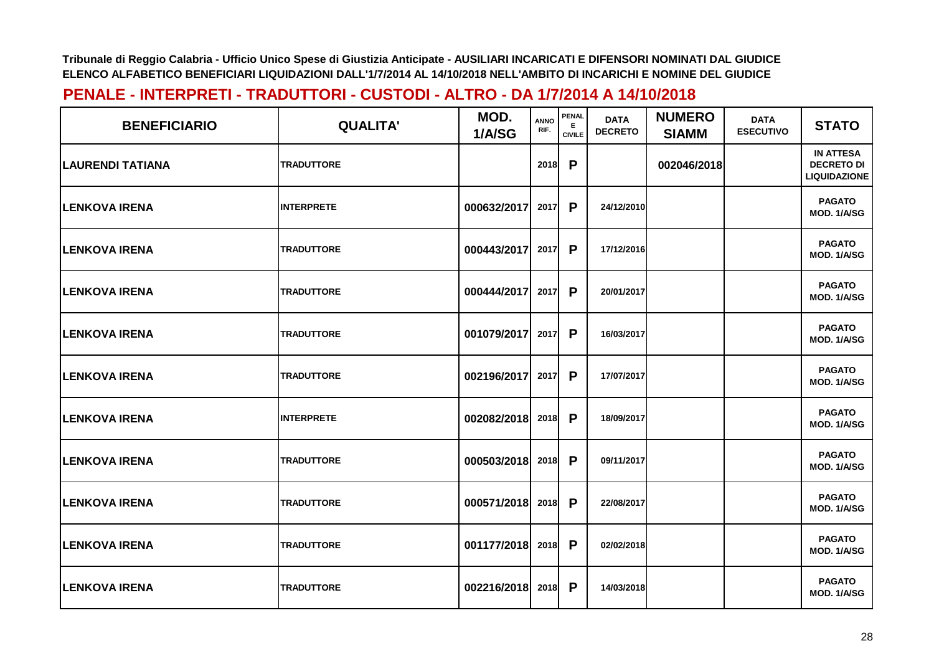| <b>BENEFICIARIO</b>      | <b>QUALITA'</b>   | MOD.<br>1/A/SG | <b>ANNO</b><br>RIF. | PENAL<br>Е<br><b>CIVILE</b> | <b>DATA</b><br><b>DECRETO</b> | <b>NUMERO</b><br><b>SIAMM</b> | <b>DATA</b><br><b>ESECUTIVO</b> | <b>STATO</b>                                                 |
|--------------------------|-------------------|----------------|---------------------|-----------------------------|-------------------------------|-------------------------------|---------------------------------|--------------------------------------------------------------|
| <b>ILAURENDI TATIANA</b> | <b>TRADUTTORE</b> |                | 2018                | P                           |                               | 002046/2018                   |                                 | <b>IN ATTESA</b><br><b>DECRETO DI</b><br><b>LIQUIDAZIONE</b> |
| <b>LENKOVA IRENA</b>     | <b>INTERPRETE</b> | 000632/2017    | 2017                | P                           | 24/12/2010                    |                               |                                 | <b>PAGATO</b><br>MOD. 1/A/SG                                 |
| <b>LENKOVA IRENA</b>     | <b>TRADUTTORE</b> | 000443/2017    | 2017                | P                           | 17/12/2016                    |                               |                                 | <b>PAGATO</b><br>MOD. 1/A/SG                                 |
| <b>LENKOVA IRENA</b>     | <b>TRADUTTORE</b> | 000444/2017    | 2017                | P                           | 20/01/2017                    |                               |                                 | <b>PAGATO</b><br>MOD. 1/A/SG                                 |
| <b>LENKOVA IRENA</b>     | <b>TRADUTTORE</b> | 001079/2017    | 2017                | P                           | 16/03/2017                    |                               |                                 | <b>PAGATO</b><br>MOD. 1/A/SG                                 |
| <b>ILENKOVA IRENA</b>    | <b>TRADUTTORE</b> | 002196/2017    | 2017                | P                           | 17/07/2017                    |                               |                                 | <b>PAGATO</b><br>MOD. 1/A/SG                                 |
| <b>LENKOVA IRENA</b>     | <b>INTERPRETE</b> | 002082/2018    | 2018                | P                           | 18/09/2017                    |                               |                                 | <b>PAGATO</b><br>MOD. 1/A/SG                                 |
| <b>LENKOVA IRENA</b>     | <b>TRADUTTORE</b> | 000503/2018    | 2018                | P                           | 09/11/2017                    |                               |                                 | <b>PAGATO</b><br>MOD. 1/A/SG                                 |
| <b>LENKOVA IRENA</b>     | <b>TRADUTTORE</b> | 000571/2018    | 2018                | $\mathsf{P}$                | 22/08/2017                    |                               |                                 | <b>PAGATO</b><br>MOD. 1/A/SG                                 |
| <b>LENKOVA IRENA</b>     | <b>TRADUTTORE</b> | 001177/2018    | 2018                | P                           | 02/02/2018                    |                               |                                 | <b>PAGATO</b><br>MOD. 1/A/SG                                 |
| <b>LENKOVA IRENA</b>     | <b>TRADUTTORE</b> | 002216/2018    | 2018                | P                           | 14/03/2018                    |                               |                                 | <b>PAGATO</b><br>MOD. 1/A/SG                                 |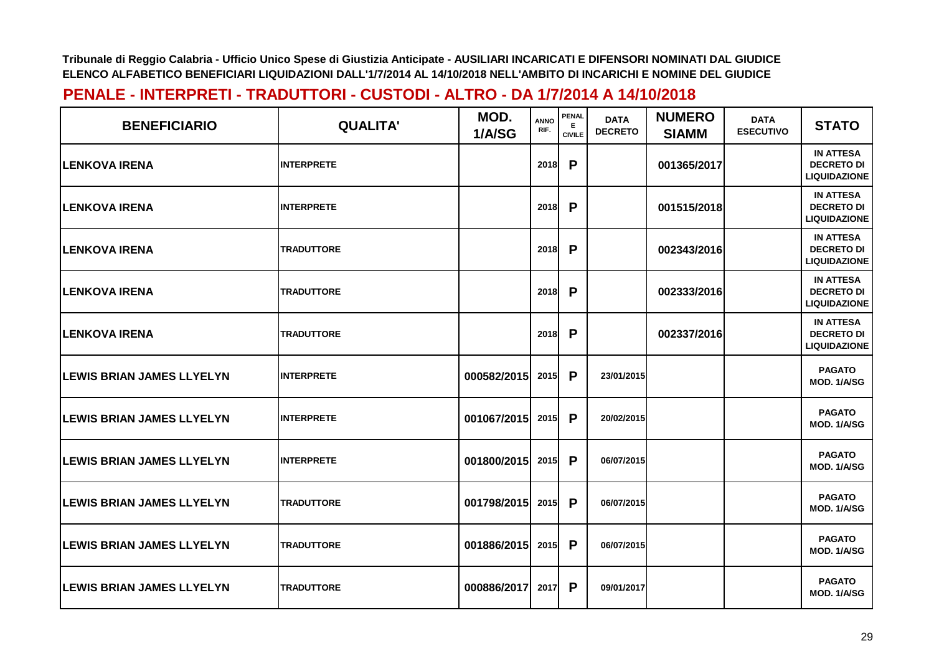| <b>BENEFICIARIO</b>               | <b>QUALITA'</b>   | MOD.<br>1/A/SG | <b>ANNO</b><br>RIF. | <b>PENAL</b><br>E<br><b>CIVILE</b> | <b>DATA</b><br><b>DECRETO</b> | <b>NUMERO</b><br><b>SIAMM</b> | <b>DATA</b><br><b>ESECUTIVO</b> | <b>STATO</b>                                                 |
|-----------------------------------|-------------------|----------------|---------------------|------------------------------------|-------------------------------|-------------------------------|---------------------------------|--------------------------------------------------------------|
| <b>LENKOVA IRENA</b>              | <b>INTERPRETE</b> |                | 2018                | P                                  |                               | 001365/2017                   |                                 | <b>IN ATTESA</b><br><b>DECRETO DI</b><br><b>LIQUIDAZIONE</b> |
| <b>ILENKOVA IRENA</b>             | <b>INTERPRETE</b> |                | 2018                | P                                  |                               | 001515/2018                   |                                 | <b>IN ATTESA</b><br><b>DECRETO DI</b><br><b>LIQUIDAZIONE</b> |
| <b>ILENKOVA IRENA</b>             | <b>TRADUTTORE</b> |                | 2018                | P                                  |                               | 002343/2016                   |                                 | <b>IN ATTESA</b><br><b>DECRETO DI</b><br><b>LIQUIDAZIONE</b> |
| <b>ILENKOVA IRENA</b>             | <b>TRADUTTORE</b> |                | 2018                | P                                  |                               | 002333/2016                   |                                 | <b>IN ATTESA</b><br><b>DECRETO DI</b><br><b>LIQUIDAZIONE</b> |
| <b>LENKOVA IRENA</b>              | <b>TRADUTTORE</b> |                | 2018                | P                                  |                               | 002337/2016                   |                                 | <b>IN ATTESA</b><br><b>DECRETO DI</b><br><b>LIQUIDAZIONE</b> |
| <b>LEWIS BRIAN JAMES LLYELYN</b>  | <b>INTERPRETE</b> | 000582/2015    | 2015                | P                                  | 23/01/2015                    |                               |                                 | <b>PAGATO</b><br>MOD. 1/A/SG                                 |
| <b>LEWIS BRIAN JAMES LLYELYN</b>  | <b>INTERPRETE</b> | 001067/2015    | 2015                | P                                  | 20/02/2015                    |                               |                                 | <b>PAGATO</b><br>MOD. 1/A/SG                                 |
| <b>LEWIS BRIAN JAMES LLYELYN</b>  | <b>INTERPRETE</b> | 001800/2015    | 2015                | P                                  | 06/07/2015                    |                               |                                 | <b>PAGATO</b><br>MOD. 1/A/SG                                 |
| <b>LEWIS BRIAN JAMES LLYELYN</b>  | <b>TRADUTTORE</b> | 001798/2015    | 2015                | $\mathsf{P}$                       | 06/07/2015                    |                               |                                 | <b>PAGATO</b><br>MOD. 1/A/SG                                 |
| <b>ILEWIS BRIAN JAMES LLYELYN</b> | <b>TRADUTTORE</b> | 001886/2015    | 2015                | P                                  | 06/07/2015                    |                               |                                 | <b>PAGATO</b><br>MOD. 1/A/SG                                 |
| <b>LEWIS BRIAN JAMES LLYELYN</b>  | <b>TRADUTTORE</b> | 000886/2017    | 2017                | P                                  | 09/01/2017                    |                               |                                 | <b>PAGATO</b><br>MOD. 1/A/SG                                 |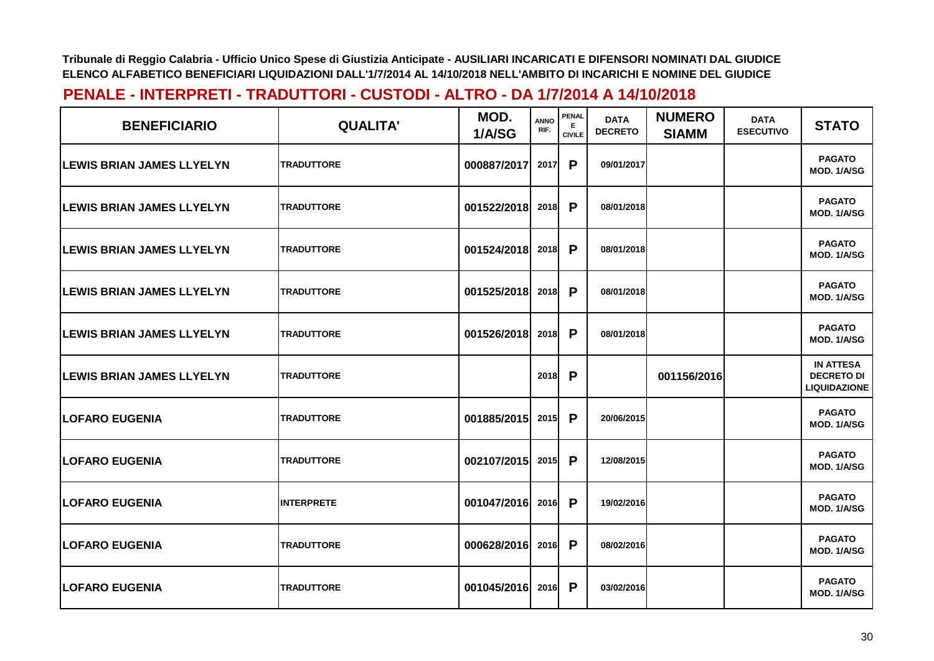| <b>BENEFICIARIO</b>               | <b>QUALITA'</b>   | MOD.<br>1/A/SG | <b>ANNO</b><br>RIF. | <b>PENAL</b><br>Е<br><b>CIVILE</b> | <b>DATA</b><br><b>DECRETO</b> | <b>NUMERO</b><br><b>SIAMM</b> | <b>DATA</b><br><b>ESECUTIVO</b> | <b>STATO</b>                                                 |
|-----------------------------------|-------------------|----------------|---------------------|------------------------------------|-------------------------------|-------------------------------|---------------------------------|--------------------------------------------------------------|
| <b>ILEWIS BRIAN JAMES LLYELYN</b> | <b>TRADUTTORE</b> | 000887/2017    | 2017                | P                                  | 09/01/2017                    |                               |                                 | <b>PAGATO</b><br>MOD. 1/A/SG                                 |
| <b>LEWIS BRIAN JAMES LLYELYN</b>  | <b>TRADUTTORE</b> | 001522/2018    | 2018                | P                                  | 08/01/2018                    |                               |                                 | <b>PAGATO</b><br>MOD. 1/A/SG                                 |
| <b>LEWIS BRIAN JAMES LLYELYN</b>  | <b>TRADUTTORE</b> | 001524/2018    | 2018                | P                                  | 08/01/2018                    |                               |                                 | <b>PAGATO</b><br>MOD. 1/A/SG                                 |
| <b>LEWIS BRIAN JAMES LLYELYN</b>  | <b>TRADUTTORE</b> | 001525/2018    | 2018                | P                                  | 08/01/2018                    |                               |                                 | <b>PAGATO</b><br>MOD. 1/A/SG                                 |
| <b>LEWIS BRIAN JAMES LLYELYN</b>  | <b>TRADUTTORE</b> | 001526/2018    | 2018                | P                                  | 08/01/2018                    |                               |                                 | <b>PAGATO</b><br>MOD. 1/A/SG                                 |
| <b>ILEWIS BRIAN JAMES LLYELYN</b> | <b>TRADUTTORE</b> |                | 2018                | P                                  |                               | 001156/2016                   |                                 | <b>IN ATTESA</b><br><b>DECRETO DI</b><br><b>LIQUIDAZIONE</b> |
| <b>LOFARO EUGENIA</b>             | <b>TRADUTTORE</b> | 001885/2015    | 2015                | P                                  | 20/06/2015                    |                               |                                 | <b>PAGATO</b><br>MOD. 1/A/SG                                 |
| <b>LOFARO EUGENIA</b>             | <b>TRADUTTORE</b> | 002107/2015    | 2015                | P                                  | 12/08/2015                    |                               |                                 | <b>PAGATO</b><br>MOD. 1/A/SG                                 |
| <b>LOFARO EUGENIA</b>             | <b>INTERPRETE</b> | 001047/2016    | 2016                | $\mathsf{P}$                       | 19/02/2016                    |                               |                                 | <b>PAGATO</b><br><b>MOD. 1/A/SG</b>                          |
| <b>LOFARO EUGENIA</b>             | <b>TRADUTTORE</b> | 000628/2016    | 2016                | P                                  | 08/02/2016                    |                               |                                 | <b>PAGATO</b><br>MOD. 1/A/SG                                 |
| <b>ILOFARO EUGENIA</b>            | <b>TRADUTTORE</b> | 001045/2016    | 2016                | P                                  | 03/02/2016                    |                               |                                 | <b>PAGATO</b><br>MOD. 1/A/SG                                 |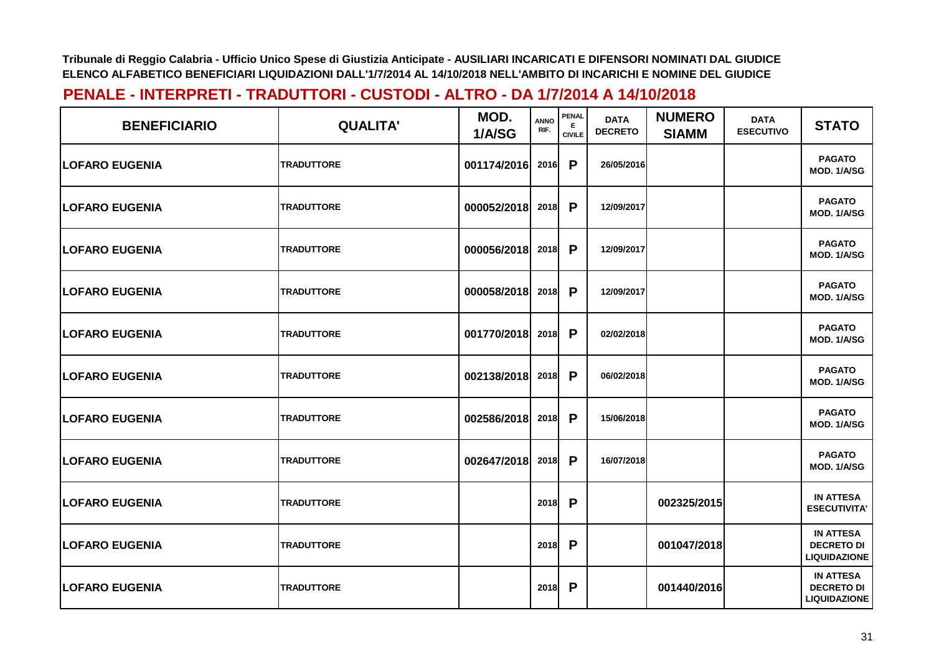| <b>BENEFICIARIO</b>    | <b>QUALITA'</b>   | MOD.<br>1/A/SG | <b>ANNO</b><br>RIF. | PENAL<br>Е<br><b>CIVILE</b> | <b>DATA</b><br><b>DECRETO</b> | <b>NUMERO</b><br><b>SIAMM</b> | <b>DATA</b><br><b>ESECUTIVO</b> | <b>STATO</b>                                                 |
|------------------------|-------------------|----------------|---------------------|-----------------------------|-------------------------------|-------------------------------|---------------------------------|--------------------------------------------------------------|
| <b>LOFARO EUGENIA</b>  | <b>TRADUTTORE</b> | 001174/2016    | 2016                | P                           | 26/05/2016                    |                               |                                 | <b>PAGATO</b><br>MOD. 1/A/SG                                 |
| <b>LOFARO EUGENIA</b>  | <b>TRADUTTORE</b> | 000052/2018    | 2018                | P                           | 12/09/2017                    |                               |                                 | <b>PAGATO</b><br>MOD. 1/A/SG                                 |
| <b>LOFARO EUGENIA</b>  | <b>TRADUTTORE</b> | 000056/2018    | 2018                | P                           | 12/09/2017                    |                               |                                 | <b>PAGATO</b><br>MOD. 1/A/SG                                 |
| <b>ILOFARO EUGENIA</b> | <b>TRADUTTORE</b> | 000058/2018    | 2018                | $\mathsf{P}$                | 12/09/2017                    |                               |                                 | <b>PAGATO</b><br>MOD. 1/A/SG                                 |
| <b>LOFARO EUGENIA</b>  | <b>TRADUTTORE</b> | 001770/2018    | 2018                | P                           | 02/02/2018                    |                               |                                 | <b>PAGATO</b><br>MOD. 1/A/SG                                 |
| <b>LOFARO EUGENIA</b>  | <b>TRADUTTORE</b> | 002138/2018    | 2018                | $\mathsf{P}$                | 06/02/2018                    |                               |                                 | <b>PAGATO</b><br>MOD. 1/A/SG                                 |
| <b>LOFARO EUGENIA</b>  | <b>TRADUTTORE</b> | 002586/2018    | 2018                | $\mathsf{P}$                | 15/06/2018                    |                               |                                 | <b>PAGATO</b><br>MOD. 1/A/SG                                 |
| <b>LOFARO EUGENIA</b>  | <b>TRADUTTORE</b> | 002647/2018    | 2018                | P                           | 16/07/2018                    |                               |                                 | <b>PAGATO</b><br>MOD. 1/A/SG                                 |
| <b>LOFARO EUGENIA</b>  | <b>TRADUTTORE</b> |                | 2018                | P                           |                               | 002325/2015                   |                                 | <b>IN ATTESA</b><br><b>ESECUTIVITA'</b>                      |
| <b>LOFARO EUGENIA</b>  | <b>TRADUTTORE</b> |                | 2018                | P                           |                               | 001047/2018                   |                                 | <b>IN ATTESA</b><br><b>DECRETO DI</b><br><b>LIQUIDAZIONE</b> |
| <b>LOFARO EUGENIA</b>  | <b>TRADUTTORE</b> |                | 2018                | P                           |                               | 001440/2016                   |                                 | <b>IN ATTESA</b><br><b>DECRETO DI</b><br><b>LIQUIDAZIONE</b> |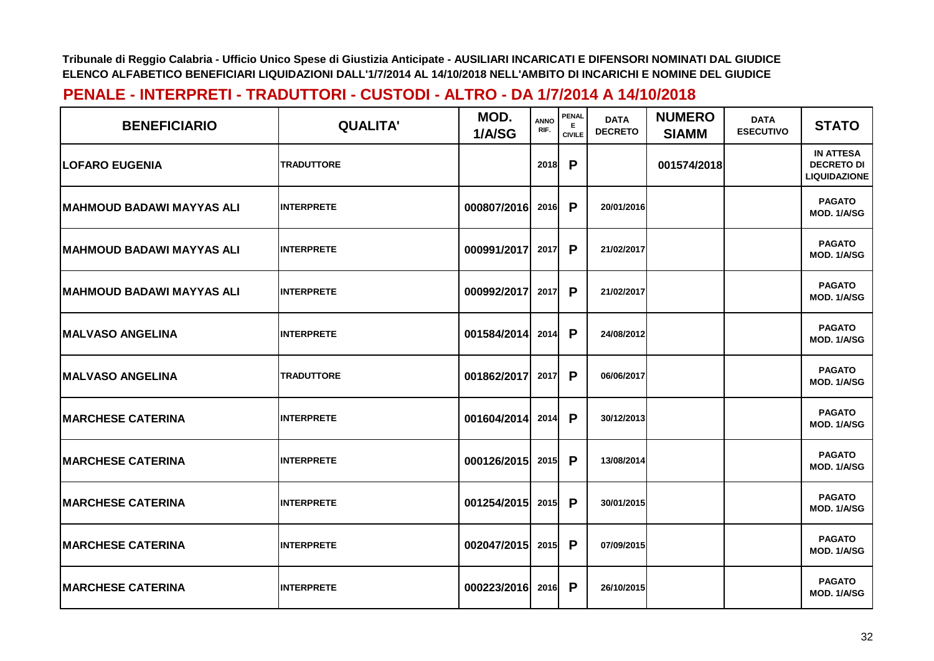| <b>BENEFICIARIO</b>              | <b>QUALITA'</b>   | MOD.<br>1/A/SG   | <b>ANNO</b><br>RIF. | PENAL<br>E.<br><b>CIVILE</b> | <b>DATA</b><br><b>DECRETO</b> | <b>NUMERO</b><br><b>SIAMM</b> | <b>DATA</b><br><b>ESECUTIVO</b> | <b>STATO</b>                                                 |
|----------------------------------|-------------------|------------------|---------------------|------------------------------|-------------------------------|-------------------------------|---------------------------------|--------------------------------------------------------------|
| <b>ILOFARO EUGENIA</b>           | <b>TRADUTTORE</b> |                  | 2018                | P                            |                               | 001574/2018                   |                                 | <b>IN ATTESA</b><br><b>DECRETO DI</b><br><b>LIQUIDAZIONE</b> |
| MAHMOUD BADAWI MAYYAS ALI        | <b>INTERPRETE</b> | 000807/2016      | 2016                | P                            | 20/01/2016                    |                               |                                 | <b>PAGATO</b><br>MOD. 1/A/SG                                 |
| <b>MAHMOUD BADAWI MAYYAS ALI</b> | <b>INTERPRETE</b> | 000991/2017      | 2017                | P                            | 21/02/2017                    |                               |                                 | <b>PAGATO</b><br>MOD. 1/A/SG                                 |
| MAHMOUD BADAWI MAYYAS ALI        | <b>INTERPRETE</b> | 000992/2017      | 2017                | P                            | 21/02/2017                    |                               |                                 | <b>PAGATO</b><br>MOD. 1/A/SG                                 |
| <b>IMALVASO ANGELINA</b>         | <b>INTERPRETE</b> | 001584/2014      | 2014                | P                            | 24/08/2012                    |                               |                                 | <b>PAGATO</b><br>MOD. 1/A/SG                                 |
| <b>IMALVASO ANGELINA</b>         | <b>TRADUTTORE</b> | 001862/2017      | 2017                | P                            | 06/06/2017                    |                               |                                 | <b>PAGATO</b><br>MOD. 1/A/SG                                 |
| <b>MARCHESE CATERINA</b>         | <b>INTERPRETE</b> | 001604/2014      | 2014                | P                            | 30/12/2013                    |                               |                                 | <b>PAGATO</b><br>MOD. 1/A/SG                                 |
| <b>IMARCHESE CATERINA</b>        | <b>INTERPRETE</b> | 000126/2015      | 2015                | P                            | 13/08/2014                    |                               |                                 | <b>PAGATO</b><br>MOD. 1/A/SG                                 |
| <b>MARCHESE CATERINA</b>         | <b>INTERPRETE</b> | 001254/2015      | 2015                | P                            | 30/01/2015                    |                               |                                 | <b>PAGATO</b><br><b>MOD. 1/A/SG</b>                          |
| <b>IMARCHESE CATERINA</b>        | <b>INTERPRETE</b> | 002047/2015 2015 |                     | P                            | 07/09/2015                    |                               |                                 | <b>PAGATO</b><br>MOD. 1/A/SG                                 |
| <b>MARCHESE CATERINA</b>         | <b>INTERPRETE</b> | 000223/2016      | 2016                | P                            | 26/10/2015                    |                               |                                 | <b>PAGATO</b><br>MOD. 1/A/SG                                 |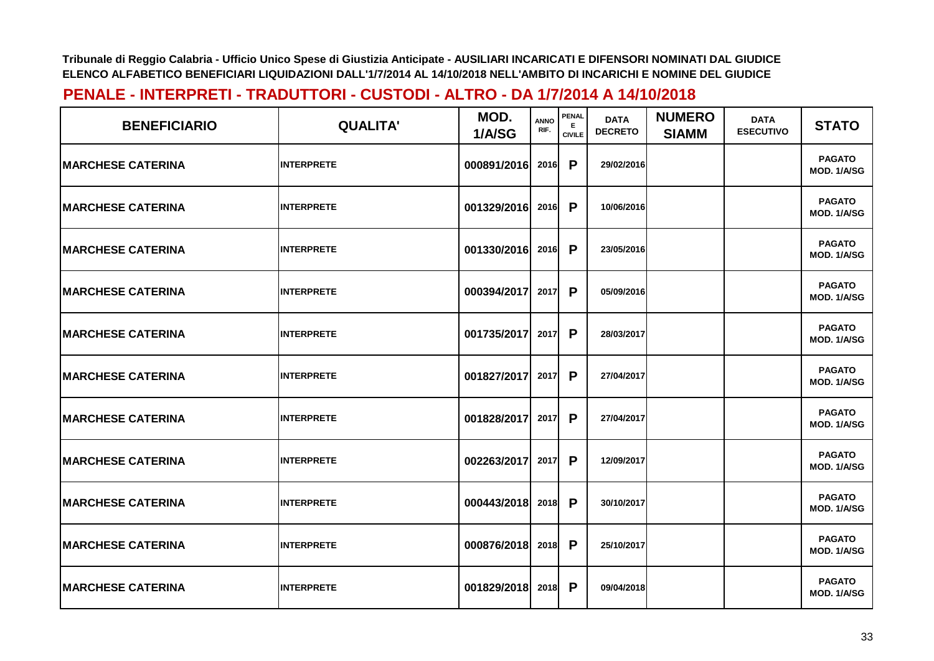| <b>BENEFICIARIO</b>       | <b>QUALITA'</b>   | MOD.<br>1/A/SG | <b>ANNO</b><br>RIF. | <b>PENAL</b><br>Е<br><b>CIVILE</b> | <b>DATA</b><br><b>DECRETO</b> | <b>NUMERO</b><br><b>SIAMM</b> | <b>DATA</b><br><b>ESECUTIVO</b> | <b>STATO</b>                        |
|---------------------------|-------------------|----------------|---------------------|------------------------------------|-------------------------------|-------------------------------|---------------------------------|-------------------------------------|
| <b>IMARCHESE CATERINA</b> | <b>INTERPRETE</b> | 000891/2016    | 2016                | P                                  | 29/02/2016                    |                               |                                 | <b>PAGATO</b><br>MOD. 1/A/SG        |
| <b>IMARCHESE CATERINA</b> | <b>INTERPRETE</b> | 001329/2016    | 2016                | P                                  | 10/06/2016                    |                               |                                 | <b>PAGATO</b><br><b>MOD. 1/A/SG</b> |
| <b>MARCHESE CATERINA</b>  | <b>INTERPRETE</b> | 001330/2016    | 2016                | P                                  | 23/05/2016                    |                               |                                 | <b>PAGATO</b><br>MOD. 1/A/SG        |
| <b>MARCHESE CATERINA</b>  | <b>INTERPRETE</b> | 000394/2017    | 2017                | P                                  | 05/09/2016                    |                               |                                 | <b>PAGATO</b><br>MOD. 1/A/SG        |
| <b>MARCHESE CATERINA</b>  | <b>INTERPRETE</b> | 001735/2017    | 2017                | P                                  | 28/03/2017                    |                               |                                 | <b>PAGATO</b><br>MOD. 1/A/SG        |
| <b>IMARCHESE CATERINA</b> | <b>INTERPRETE</b> | 001827/2017    | 2017                | P                                  | 27/04/2017                    |                               |                                 | <b>PAGATO</b><br>MOD. 1/A/SG        |
| <b>MARCHESE CATERINA</b>  | <b>INTERPRETE</b> | 001828/2017    | 2017                | P                                  | 27/04/2017                    |                               |                                 | <b>PAGATO</b><br>MOD. 1/A/SG        |
| <b>MARCHESE CATERINA</b>  | <b>INTERPRETE</b> | 002263/2017    | 2017                | P                                  | 12/09/2017                    |                               |                                 | <b>PAGATO</b><br>MOD. 1/A/SG        |
| <b>MARCHESE CATERINA</b>  | <b>INTERPRETE</b> | 000443/2018    | 2018                | P                                  | 30/10/2017                    |                               |                                 | <b>PAGATO</b><br><b>MOD. 1/A/SG</b> |
| <b>MARCHESE CATERINA</b>  | <b>INTERPRETE</b> | 000876/2018    | 2018                | P                                  | 25/10/2017                    |                               |                                 | <b>PAGATO</b><br>MOD. 1/A/SG        |
| <b>MARCHESE CATERINA</b>  | <b>INTERPRETE</b> | 001829/2018    | 2018                | P                                  | 09/04/2018                    |                               |                                 | <b>PAGATO</b><br>MOD. 1/A/SG        |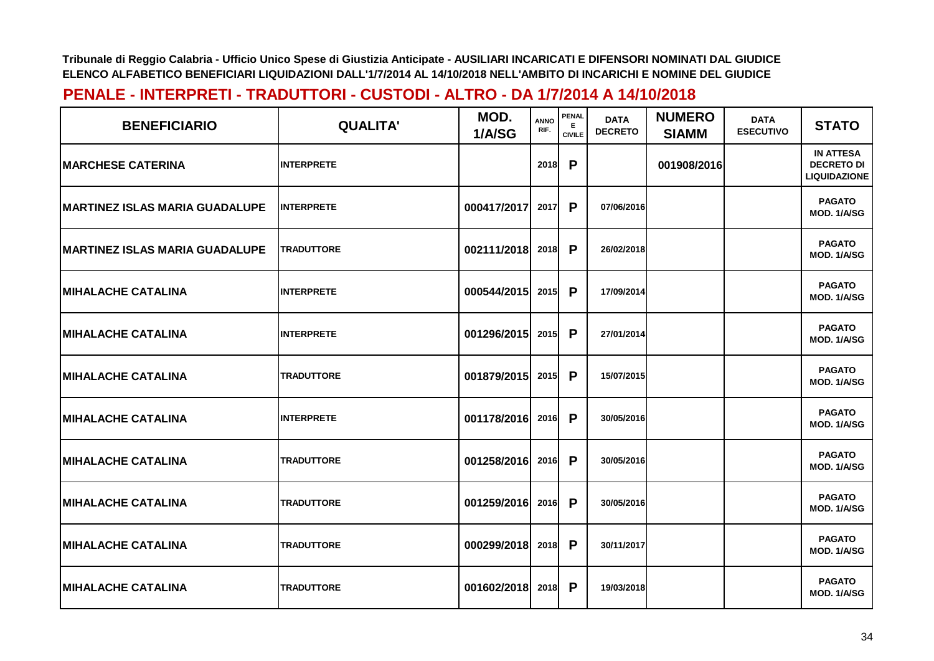| <b>BENEFICIARIO</b>                   | <b>QUALITA'</b>   | MOD.<br>1/A/SG   | <b>ANNO</b><br>RIF. | PENAL<br>E.<br><b>CIVILE</b> | <b>DATA</b><br><b>DECRETO</b> | <b>NUMERO</b><br><b>SIAMM</b> | <b>DATA</b><br><b>ESECUTIVO</b> | <b>STATO</b>                                                 |
|---------------------------------------|-------------------|------------------|---------------------|------------------------------|-------------------------------|-------------------------------|---------------------------------|--------------------------------------------------------------|
| <b>IMARCHESE CATERINA</b>             | <b>INTERPRETE</b> |                  | 2018                | P                            |                               | 001908/2016                   |                                 | <b>IN ATTESA</b><br><b>DECRETO DI</b><br><b>LIQUIDAZIONE</b> |
| <b>MARTINEZ ISLAS MARIA GUADALUPE</b> | <b>INTERPRETE</b> | 000417/2017      | 2017                | P                            | 07/06/2016                    |                               |                                 | <b>PAGATO</b><br>MOD. 1/A/SG                                 |
| <b>MARTINEZ ISLAS MARIA GUADALUPE</b> | <b>TRADUTTORE</b> | 002111/2018      | 2018                | P                            | 26/02/2018                    |                               |                                 | <b>PAGATO</b><br>MOD. 1/A/SG                                 |
| <b>MIHALACHE CATALINA</b>             | <b>INTERPRETE</b> | 000544/2015      | 2015                | P                            | 17/09/2014                    |                               |                                 | <b>PAGATO</b><br><b>MOD. 1/A/SG</b>                          |
| <b> MIHALACHE CATALINA</b>            | <b>INTERPRETE</b> | 001296/2015      | 2015                | P                            | 27/01/2014                    |                               |                                 | <b>PAGATO</b><br>MOD. 1/A/SG                                 |
| <b>MIHALACHE CATALINA</b>             | <b>TRADUTTORE</b> | 001879/2015 2015 |                     | P                            | 15/07/2015                    |                               |                                 | <b>PAGATO</b><br>MOD. 1/A/SG                                 |
| <b>MIHALACHE CATALINA</b>             | <b>INTERPRETE</b> | 001178/2016      | 2016                | P                            | 30/05/2016                    |                               |                                 | <b>PAGATO</b><br>MOD. 1/A/SG                                 |
| <b>IMIHALACHE CATALINA</b>            | <b>TRADUTTORE</b> | 001258/2016      | 2016                | P                            | 30/05/2016                    |                               |                                 | <b>PAGATO</b><br>MOD. 1/A/SG                                 |
| <b>MIHALACHE CATALINA</b>             | <b>TRADUTTORE</b> | 001259/2016      | 2016                | P                            | 30/05/2016                    |                               |                                 | <b>PAGATO</b><br>MOD. 1/A/SG                                 |
| <b> MIHALACHE CATALINA</b>            | <b>TRADUTTORE</b> | 000299/2018      | 2018                | P                            | 30/11/2017                    |                               |                                 | <b>PAGATO</b><br>MOD. 1/A/SG                                 |
| <b>MIHALACHE CATALINA</b>             | <b>TRADUTTORE</b> | 001602/2018      | 2018                | P                            | 19/03/2018                    |                               |                                 | <b>PAGATO</b><br>MOD. 1/A/SG                                 |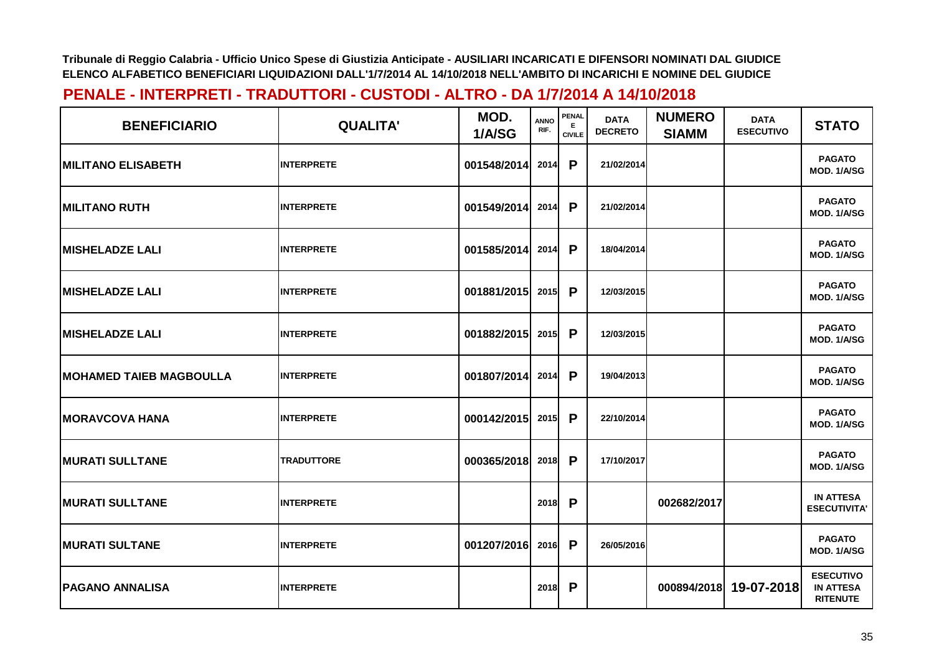| <b>BENEFICIARIO</b>            | <b>QUALITA'</b>   | MOD.<br>1/A/SG | <b>ANNO</b><br>RIF. | <b>PENAL</b><br>Е.<br><b>CIVILE</b> | <b>DATA</b><br><b>DECRETO</b> | <b>NUMERO</b><br><b>SIAMM</b> | <b>DATA</b><br><b>ESECUTIVO</b> | <b>STATO</b>                                            |
|--------------------------------|-------------------|----------------|---------------------|-------------------------------------|-------------------------------|-------------------------------|---------------------------------|---------------------------------------------------------|
| <b>MILITANO ELISABETH</b>      | <b>INTERPRETE</b> | 001548/2014    | 2014                | P                                   | 21/02/2014                    |                               |                                 | <b>PAGATO</b><br>MOD. 1/A/SG                            |
| <b>MILITANO RUTH</b>           | <b>INTERPRETE</b> | 001549/2014    | 2014                | P                                   | 21/02/2014                    |                               |                                 | <b>PAGATO</b><br>MOD. 1/A/SG                            |
| <b>MISHELADZE LALI</b>         | <b>INTERPRETE</b> | 001585/2014    | 2014                | P                                   | 18/04/2014                    |                               |                                 | <b>PAGATO</b><br>MOD. 1/A/SG                            |
| <b>MISHELADZE LALI</b>         | <b>INTERPRETE</b> | 001881/2015    | 2015                | P                                   | 12/03/2015                    |                               |                                 | <b>PAGATO</b><br>MOD. 1/A/SG                            |
| <b>IMISHELADZE LALI</b>        | <b>INTERPRETE</b> | 001882/2015    | 2015                | P                                   | 12/03/2015                    |                               |                                 | <b>PAGATO</b><br>MOD. 1/A/SG                            |
| <b>MOHAMED TAIEB MAGBOULLA</b> | <b>INTERPRETE</b> | 001807/2014    | 2014                | $\mathsf{P}$                        | 19/04/2013                    |                               |                                 | <b>PAGATO</b><br>MOD. 1/A/SG                            |
| <b>MORAVCOVA HANA</b>          | <b>INTERPRETE</b> | 000142/2015    | 2015                | P                                   | 22/10/2014                    |                               |                                 | <b>PAGATO</b><br>MOD. 1/A/SG                            |
| <b>MURATI SULLTANE</b>         | <b>TRADUTTORE</b> | 000365/2018    | 2018                | P                                   | 17/10/2017                    |                               |                                 | <b>PAGATO</b><br>MOD. 1/A/SG                            |
| <b>MURATI SULLTANE</b>         | <b>INTERPRETE</b> |                | 2018                | $\mathsf{P}$                        |                               | 002682/2017                   |                                 | <b>IN ATTESA</b><br><b>ESECUTIVITA'</b>                 |
| <b>MURATI SULTANE</b>          | <b>INTERPRETE</b> | 001207/2016    | 2016                | $\mathsf{P}$                        | 26/05/2016                    |                               |                                 | <b>PAGATO</b><br>MOD. 1/A/SG                            |
| <b> PAGANO ANNALISA</b>        | <b>INTERPRETE</b> |                | 2018                | P                                   |                               | 000894/2018                   | 19-07-2018                      | <b>ESECUTIVO</b><br><b>IN ATTESA</b><br><b>RITENUTE</b> |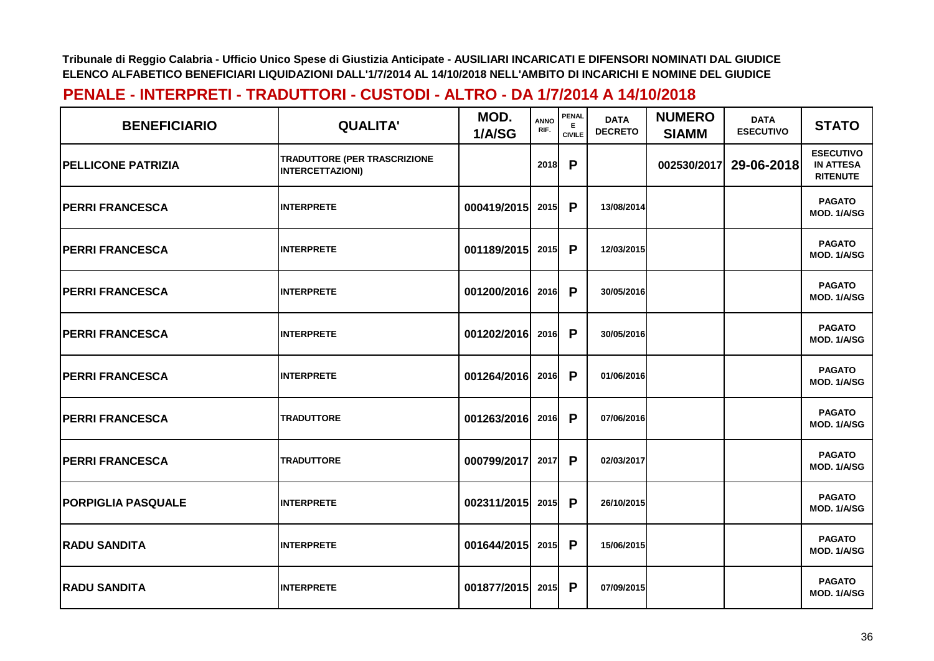| <b>BENEFICIARIO</b>       | <b>QUALITA'</b>                                         | MOD.<br>1/A/SG | <b>ANNO</b><br>RIF. | <b>PENAL</b><br>E.<br><b>CIVILE</b> | <b>DATA</b><br><b>DECRETO</b> | <b>NUMERO</b><br><b>SIAMM</b> | <b>DATA</b><br><b>ESECUTIVO</b> | <b>STATO</b>                                            |
|---------------------------|---------------------------------------------------------|----------------|---------------------|-------------------------------------|-------------------------------|-------------------------------|---------------------------------|---------------------------------------------------------|
| <b>PELLICONE PATRIZIA</b> | TRADUTTORE (PER TRASCRIZIONE<br><b>INTERCETTAZIONI)</b> |                | 2018                | P                                   |                               | 002530/2017                   | 29-06-2018                      | <b>ESECUTIVO</b><br><b>IN ATTESA</b><br><b>RITENUTE</b> |
| <b>PERRI FRANCESCA</b>    | <b>INTERPRETE</b>                                       | 000419/2015    | 2015                | P                                   | 13/08/2014                    |                               |                                 | <b>PAGATO</b><br>MOD. 1/A/SG                            |
| <b>PERRI FRANCESCA</b>    | <b>INTERPRETE</b>                                       | 001189/2015    | 2015                | P                                   | 12/03/2015                    |                               |                                 | <b>PAGATO</b><br>MOD. 1/A/SG                            |
| <b>PERRI FRANCESCA</b>    | <b>INTERPRETE</b>                                       | 001200/2016    | 2016                | P                                   | 30/05/2016                    |                               |                                 | <b>PAGATO</b><br>MOD. 1/A/SG                            |
| <b>PERRI FRANCESCA</b>    | <b>INTERPRETE</b>                                       | 001202/2016    | 2016                | P                                   | 30/05/2016                    |                               |                                 | <b>PAGATO</b><br>MOD. 1/A/SG                            |
| <b>PERRI FRANCESCA</b>    | <b>INTERPRETE</b>                                       | 001264/2016    | 2016                | P                                   | 01/06/2016                    |                               |                                 | <b>PAGATO</b><br>MOD. 1/A/SG                            |
| <b>PERRI FRANCESCA</b>    | <b>TRADUTTORE</b>                                       | 001263/2016    | 2016                | P                                   | 07/06/2016                    |                               |                                 | <b>PAGATO</b><br>MOD. 1/A/SG                            |
| <b>PERRI FRANCESCA</b>    | <b>TRADUTTORE</b>                                       | 000799/2017    | 2017                | P                                   | 02/03/2017                    |                               |                                 | <b>PAGATO</b><br>MOD. 1/A/SG                            |
| <b>PORPIGLIA PASQUALE</b> | <b>INTERPRETE</b>                                       | 002311/2015    | 2015                | P                                   | 26/10/2015                    |                               |                                 | <b>PAGATO</b><br><b>MOD. 1/A/SG</b>                     |
| <b>RADU SANDITA</b>       | <b>INTERPRETE</b>                                       | 001644/2015    | 2015                | P                                   | 15/06/2015                    |                               |                                 | <b>PAGATO</b><br>MOD. 1/A/SG                            |
| <b>RADU SANDITA</b>       | <b>INTERPRETE</b>                                       | 001877/2015    | 2015                | P                                   | 07/09/2015                    |                               |                                 | <b>PAGATO</b><br>MOD. 1/A/SG                            |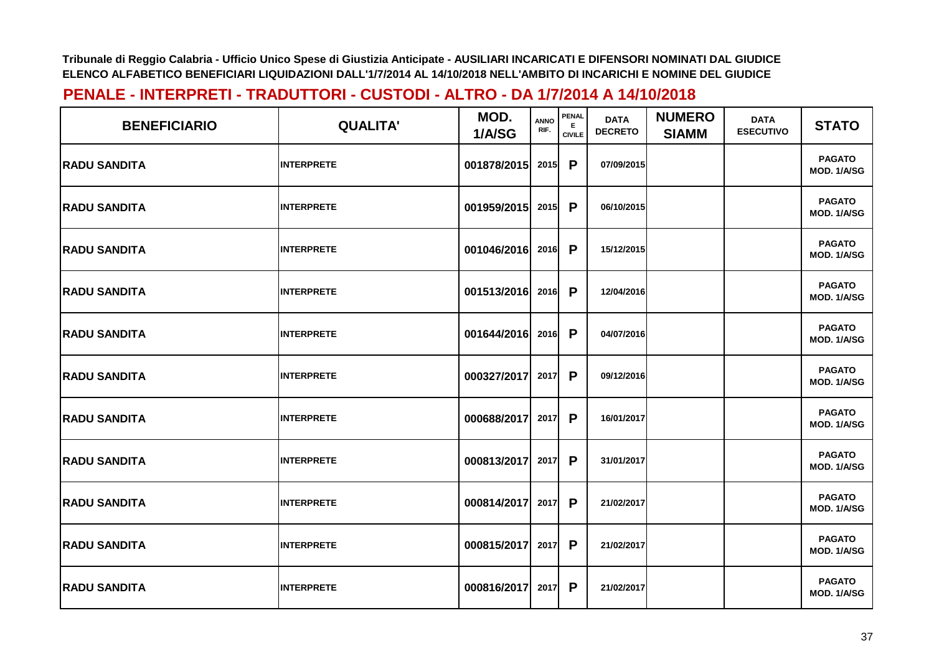| <b>BENEFICIARIO</b> | <b>QUALITA'</b>   | MOD.<br>1/A/SG | <b>ANNO</b><br>RIF. | PENAL<br>E.<br><b>CIVILE</b> | <b>DATA</b><br><b>DECRETO</b> | <b>NUMERO</b><br><b>SIAMM</b> | <b>DATA</b><br><b>ESECUTIVO</b> | <b>STATO</b>                 |
|---------------------|-------------------|----------------|---------------------|------------------------------|-------------------------------|-------------------------------|---------------------------------|------------------------------|
| <b>RADU SANDITA</b> | <b>INTERPRETE</b> | 001878/2015    | 2015                | $\mathsf{P}$                 | 07/09/2015                    |                               |                                 | <b>PAGATO</b><br>MOD. 1/A/SG |
| <b>RADU SANDITA</b> | <b>INTERPRETE</b> | 001959/2015    | 2015                | $\mathsf{P}$                 | 06/10/2015                    |                               |                                 | <b>PAGATO</b><br>MOD. 1/A/SG |
| <b>RADU SANDITA</b> | <b>INTERPRETE</b> | 001046/2016    | 2016                | $\mathsf{P}$                 | 15/12/2015                    |                               |                                 | <b>PAGATO</b><br>MOD. 1/A/SG |
| <b>RADU SANDITA</b> | <b>INTERPRETE</b> | 001513/2016    | 2016                | $\mathsf{P}$                 | 12/04/2016                    |                               |                                 | <b>PAGATO</b><br>MOD. 1/A/SG |
| <b>RADU SANDITA</b> | <b>INTERPRETE</b> | 001644/2016    | 2016                | $\mathsf{P}$                 | 04/07/2016                    |                               |                                 | <b>PAGATO</b><br>MOD. 1/A/SG |
| <b>RADU SANDITA</b> | <b>INTERPRETE</b> | 000327/2017    | 2017                | $\mathsf{P}$                 | 09/12/2016                    |                               |                                 | <b>PAGATO</b><br>MOD. 1/A/SG |
| <b>RADU SANDITA</b> | <b>INTERPRETE</b> | 000688/2017    | 2017                | $\mathsf{P}$                 | 16/01/2017                    |                               |                                 | <b>PAGATO</b><br>MOD. 1/A/SG |
| <b>RADU SANDITA</b> | <b>INTERPRETE</b> | 000813/2017    | 2017                | P                            | 31/01/2017                    |                               |                                 | <b>PAGATO</b><br>MOD. 1/A/SG |
| <b>RADU SANDITA</b> | <b>INTERPRETE</b> | 000814/2017    | 2017                | $\mathsf{P}$                 | 21/02/2017                    |                               |                                 | <b>PAGATO</b><br>MOD. 1/A/SG |
| <b>RADU SANDITA</b> | <b>INTERPRETE</b> | 000815/2017    | 2017                | $\mathsf{P}$                 | 21/02/2017                    |                               |                                 | <b>PAGATO</b><br>MOD. 1/A/SG |
| <b>RADU SANDITA</b> | <b>INTERPRETE</b> | 000816/2017    | 2017                | $\mathsf{P}$                 | 21/02/2017                    |                               |                                 | <b>PAGATO</b><br>MOD. 1/A/SG |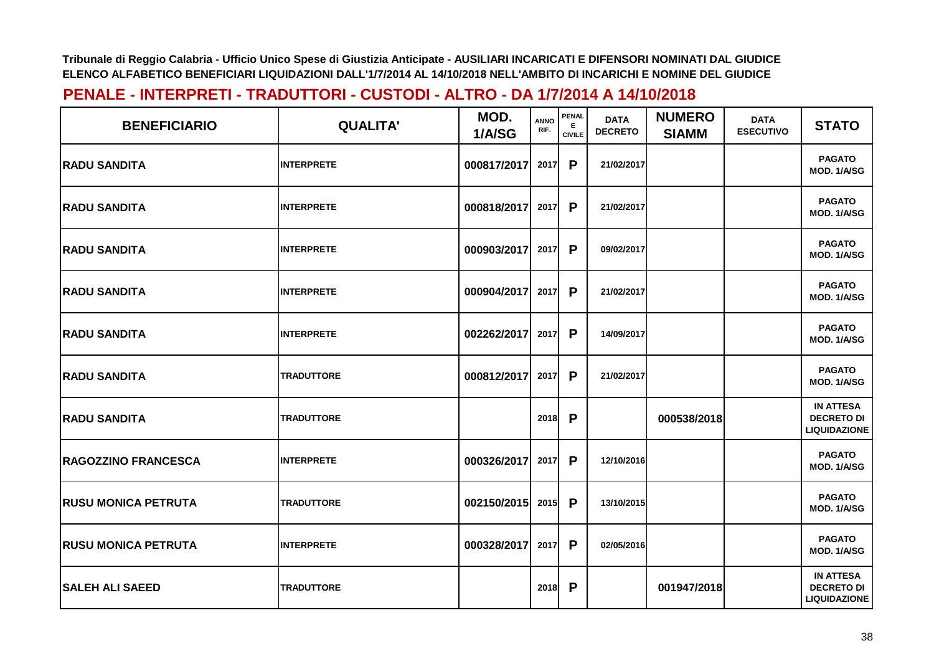| <b>BENEFICIARIO</b>        | <b>QUALITA'</b>   | MOD.<br>1/A/SG | <b>ANNO</b><br>RIF. | PENAL<br>E.<br><b>CIVILE</b> | <b>DATA</b><br><b>DECRETO</b> | <b>NUMERO</b><br><b>SIAMM</b> | <b>DATA</b><br><b>ESECUTIVO</b> | <b>STATO</b>                                                 |
|----------------------------|-------------------|----------------|---------------------|------------------------------|-------------------------------|-------------------------------|---------------------------------|--------------------------------------------------------------|
| <b>RADU SANDITA</b>        | <b>INTERPRETE</b> | 000817/2017    | 2017                | P                            | 21/02/2017                    |                               |                                 | <b>PAGATO</b><br>MOD. 1/A/SG                                 |
| <b>RADU SANDITA</b>        | <b>INTERPRETE</b> | 000818/2017    | 2017                | P                            | 21/02/2017                    |                               |                                 | <b>PAGATO</b><br>MOD. 1/A/SG                                 |
| <b>RADU SANDITA</b>        | <b>INTERPRETE</b> | 000903/2017    | 2017                | P                            | 09/02/2017                    |                               |                                 | <b>PAGATO</b><br>MOD. 1/A/SG                                 |
| <b>RADU SANDITA</b>        | <b>INTERPRETE</b> | 000904/2017    | 2017                | $\mathsf{P}$                 | 21/02/2017                    |                               |                                 | <b>PAGATO</b><br>MOD. 1/A/SG                                 |
| <b>RADU SANDITA</b>        | <b>INTERPRETE</b> | 002262/2017    | 2017                | P                            | 14/09/2017                    |                               |                                 | <b>PAGATO</b><br>MOD. 1/A/SG                                 |
| <b>RADU SANDITA</b>        | <b>TRADUTTORE</b> | 000812/2017    | 2017                | P                            | 21/02/2017                    |                               |                                 | <b>PAGATO</b><br>MOD. 1/A/SG                                 |
| <b>RADU SANDITA</b>        | <b>TRADUTTORE</b> |                | 2018                | P                            |                               | 000538/2018                   |                                 | <b>IN ATTESA</b><br><b>DECRETO DI</b><br><b>LIQUIDAZIONE</b> |
| <b>RAGOZZINO FRANCESCA</b> | <b>INTERPRETE</b> | 000326/2017    | 2017                | P                            | 12/10/2016                    |                               |                                 | <b>PAGATO</b><br>MOD. 1/A/SG                                 |
| <b>RUSU MONICA PETRUTA</b> | <b>TRADUTTORE</b> | 002150/2015    | 2015                | P                            | 13/10/2015                    |                               |                                 | <b>PAGATO</b><br>MOD. 1/A/SG                                 |
| <b>RUSU MONICA PETRUTA</b> | <b>INTERPRETE</b> | 000328/2017    | 2017                | P                            | 02/05/2016                    |                               |                                 | <b>PAGATO</b><br>MOD. 1/A/SG                                 |
| <b>SALEH ALI SAEED</b>     | <b>TRADUTTORE</b> |                | 2018                | $\mathsf{P}$                 |                               | 001947/2018                   |                                 | <b>IN ATTESA</b><br><b>DECRETO DI</b><br><b>LIQUIDAZIONE</b> |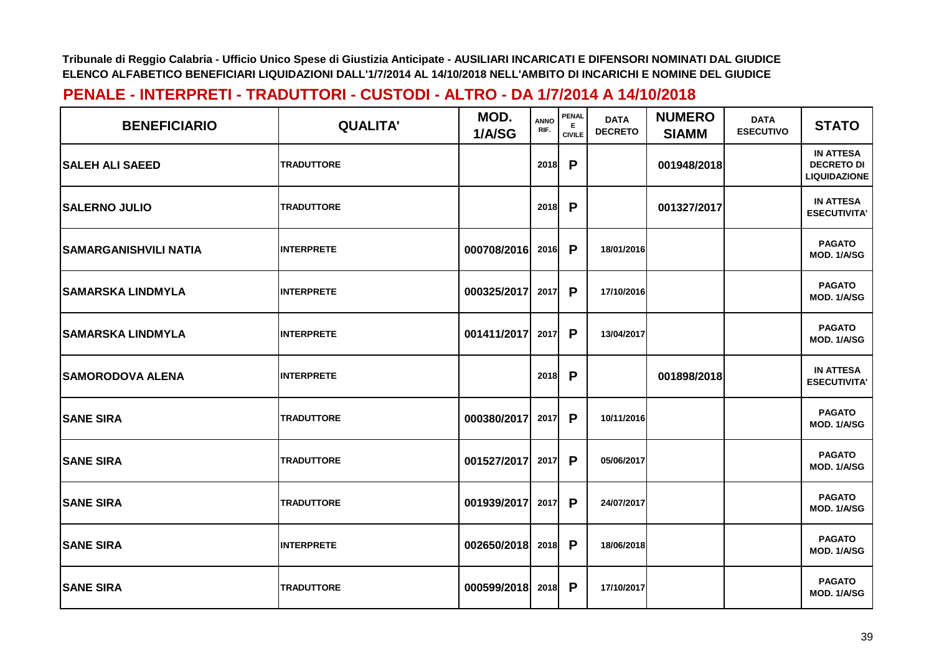| <b>BENEFICIARIO</b>          | <b>QUALITA'</b>   | MOD.<br>1/A/SG | <b>ANNO</b><br>RIF. | PENAL<br>Е.<br><b>CIVILE</b> | <b>DATA</b><br><b>DECRETO</b> | <b>NUMERO</b><br><b>SIAMM</b> | <b>DATA</b><br><b>ESECUTIVO</b> | <b>STATO</b>                                                 |
|------------------------------|-------------------|----------------|---------------------|------------------------------|-------------------------------|-------------------------------|---------------------------------|--------------------------------------------------------------|
| <b>SALEH ALI SAEED</b>       | <b>TRADUTTORE</b> |                | 2018                | P                            |                               | 001948/2018                   |                                 | <b>IN ATTESA</b><br><b>DECRETO DI</b><br><b>LIQUIDAZIONE</b> |
| <b>SALERNO JULIO</b>         | <b>TRADUTTORE</b> |                | 2018                | P                            |                               | 001327/2017                   |                                 | <b>IN ATTESA</b><br><b>ESECUTIVITA'</b>                      |
| <b>SAMARGANISHVILI NATIA</b> | <b>INTERPRETE</b> | 000708/2016    | 2016                | P                            | 18/01/2016                    |                               |                                 | <b>PAGATO</b><br>MOD. 1/A/SG                                 |
| <b>SAMARSKA LINDMYLA</b>     | <b>INTERPRETE</b> | 000325/2017    | 2017                | P                            | 17/10/2016                    |                               |                                 | <b>PAGATO</b><br>MOD. 1/A/SG                                 |
| <b>SAMARSKA LINDMYLA</b>     | <b>INTERPRETE</b> | 001411/2017    | 2017                | P                            | 13/04/2017                    |                               |                                 | <b>PAGATO</b><br>MOD. 1/A/SG                                 |
| <b>SAMORODOVA ALENA</b>      | <b>INTERPRETE</b> |                | 2018                | P                            |                               | 001898/2018                   |                                 | <b>IN ATTESA</b><br><b>ESECUTIVITA'</b>                      |
| <b>SANE SIRA</b>             | <b>TRADUTTORE</b> | 000380/2017    | 2017                | P                            | 10/11/2016                    |                               |                                 | <b>PAGATO</b><br>MOD. 1/A/SG                                 |
| <b>SANE SIRA</b>             | <b>TRADUTTORE</b> | 001527/2017    | 2017                | P                            | 05/06/2017                    |                               |                                 | <b>PAGATO</b><br>MOD. 1/A/SG                                 |
| <b>SANE SIRA</b>             | <b>TRADUTTORE</b> | 001939/2017    | 2017                | P                            | 24/07/2017                    |                               |                                 | <b>PAGATO</b><br>MOD. 1/A/SG                                 |
| <b>SANE SIRA</b>             | <b>INTERPRETE</b> | 002650/2018    | 2018                | $\mathsf{P}$                 | 18/06/2018                    |                               |                                 | <b>PAGATO</b><br>MOD. 1/A/SG                                 |
| <b>SANE SIRA</b>             | <b>TRADUTTORE</b> | 000599/2018    | 2018                | $\mathsf{P}$                 | 17/10/2017                    |                               |                                 | <b>PAGATO</b><br>MOD. 1/A/SG                                 |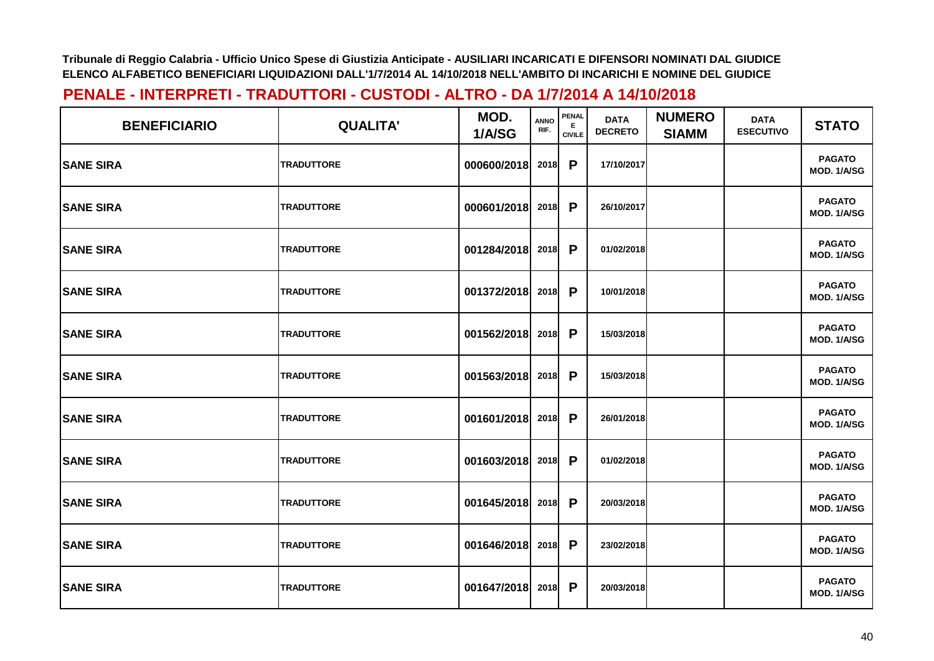| <b>BENEFICIARIO</b> | <b>QUALITA'</b>   | MOD.<br>1/A/SG   | <b>ANNO</b><br>RIF. | <b>PENAL</b><br>Е<br><b>CIVILE</b> | <b>DATA</b><br><b>DECRETO</b> | <b>NUMERO</b><br><b>SIAMM</b> | <b>DATA</b><br><b>ESECUTIVO</b> | <b>STATO</b>                 |
|---------------------|-------------------|------------------|---------------------|------------------------------------|-------------------------------|-------------------------------|---------------------------------|------------------------------|
| <b>SANE SIRA</b>    | <b>TRADUTTORE</b> | 000600/2018      | 2018                | P                                  | 17/10/2017                    |                               |                                 | <b>PAGATO</b><br>MOD. 1/A/SG |
| <b>SANE SIRA</b>    | <b>TRADUTTORE</b> | 000601/2018      | 2018                | <b>P</b>                           | 26/10/2017                    |                               |                                 | <b>PAGATO</b><br>MOD. 1/A/SG |
| <b>SANE SIRA</b>    | <b>TRADUTTORE</b> | 001284/2018 2018 |                     | $\mathsf{P}$                       | 01/02/2018                    |                               |                                 | <b>PAGATO</b><br>MOD. 1/A/SG |
| <b>SANE SIRA</b>    | <b>TRADUTTORE</b> | 001372/2018 2018 |                     | $\mathsf{P}$                       | 10/01/2018                    |                               |                                 | <b>PAGATO</b><br>MOD. 1/A/SG |
| <b>SANE SIRA</b>    | <b>TRADUTTORE</b> | 001562/2018 2018 |                     | P                                  | 15/03/2018                    |                               |                                 | <b>PAGATO</b><br>MOD. 1/A/SG |
| <b>SANE SIRA</b>    | <b>TRADUTTORE</b> | 001563/2018 2018 |                     | $\mathsf{P}$                       | 15/03/2018                    |                               |                                 | <b>PAGATO</b><br>MOD. 1/A/SG |
| <b>SANE SIRA</b>    | <b>TRADUTTORE</b> | 001601/2018 2018 |                     | P                                  | 26/01/2018                    |                               |                                 | <b>PAGATO</b><br>MOD. 1/A/SG |
| <b>SANE SIRA</b>    | <b>TRADUTTORE</b> | 001603/2018      | 2018                | P                                  | 01/02/2018                    |                               |                                 | <b>PAGATO</b><br>MOD. 1/A/SG |
| <b>SANE SIRA</b>    | <b>TRADUTTORE</b> | 001645/2018      | 2018                | $\mathsf{P}$                       | 20/03/2018                    |                               |                                 | <b>PAGATO</b><br>MOD. 1/A/SG |
| <b>SANE SIRA</b>    | <b>TRADUTTORE</b> | 001646/2018 2018 |                     | $\mathsf{P}$                       | 23/02/2018                    |                               |                                 | <b>PAGATO</b><br>MOD. 1/A/SG |
| <b>SANE SIRA</b>    | <b>TRADUTTORE</b> | 001647/2018      | 2018                | P                                  | 20/03/2018                    |                               |                                 | <b>PAGATO</b><br>MOD. 1/A/SG |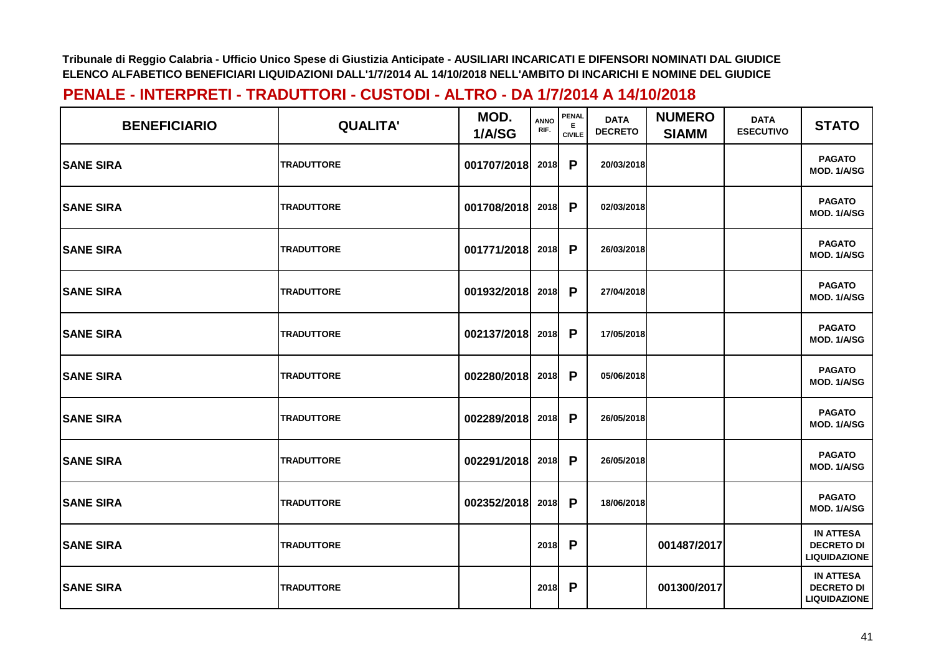| <b>BENEFICIARIO</b> | <b>QUALITA'</b>   | MOD.<br>1/A/SG   | <b>ANNO</b><br>RIF. | <b>PENAL</b><br>Е<br><b>CIVILE</b> | <b>DATA</b><br><b>DECRETO</b> | <b>NUMERO</b><br><b>SIAMM</b> | <b>DATA</b><br><b>ESECUTIVO</b> | <b>STATO</b>                                                 |
|---------------------|-------------------|------------------|---------------------|------------------------------------|-------------------------------|-------------------------------|---------------------------------|--------------------------------------------------------------|
| <b>ISANE SIRA</b>   | <b>TRADUTTORE</b> | 001707/2018      | 2018                | P                                  | 20/03/2018                    |                               |                                 | <b>PAGATO</b><br>MOD. 1/A/SG                                 |
| <b>SANE SIRA</b>    | <b>TRADUTTORE</b> | 001708/2018 2018 |                     | P                                  | 02/03/2018                    |                               |                                 | <b>PAGATO</b><br>MOD. 1/A/SG                                 |
| <b>SANE SIRA</b>    | <b>TRADUTTORE</b> | 001771/2018 2018 |                     | P                                  | 26/03/2018                    |                               |                                 | <b>PAGATO</b><br>MOD. 1/A/SG                                 |
| <b>SANE SIRA</b>    | <b>TRADUTTORE</b> | 001932/2018 2018 |                     | $\mathsf{P}$                       | 27/04/2018                    |                               |                                 | <b>PAGATO</b><br>MOD. 1/A/SG                                 |
| <b>SANE SIRA</b>    | <b>TRADUTTORE</b> | 002137/2018 2018 |                     | P                                  | 17/05/2018                    |                               |                                 | <b>PAGATO</b><br>MOD. 1/A/SG                                 |
| <b>SANE SIRA</b>    | <b>TRADUTTORE</b> | 002280/2018 2018 |                     | P                                  | 05/06/2018                    |                               |                                 | <b>PAGATO</b><br>MOD. 1/A/SG                                 |
| <b>SANE SIRA</b>    | <b>TRADUTTORE</b> | 002289/2018 2018 |                     | P                                  | 26/05/2018                    |                               |                                 | <b>PAGATO</b><br>MOD. 1/A/SG                                 |
| <b>SANE SIRA</b>    | <b>TRADUTTORE</b> | 002291/2018      | 2018                | P                                  | 26/05/2018                    |                               |                                 | <b>PAGATO</b><br>MOD. 1/A/SG                                 |
| <b>SANE SIRA</b>    | TRADUTTORE        | 002352/2018 2018 |                     | P                                  | 18/06/2018                    |                               |                                 | <b>PAGATO</b><br>MOD. 1/A/SG                                 |
| <b>SANE SIRA</b>    | <b>TRADUTTORE</b> |                  | 2018                | P                                  |                               | 001487/2017                   |                                 | <b>IN ATTESA</b><br><b>DECRETO DI</b><br><b>LIQUIDAZIONE</b> |
| <b>SANE SIRA</b>    | <b>TRADUTTORE</b> |                  | 2018                | P                                  |                               | 001300/2017                   |                                 | <b>IN ATTESA</b><br><b>DECRETO DI</b><br><b>LIQUIDAZIONE</b> |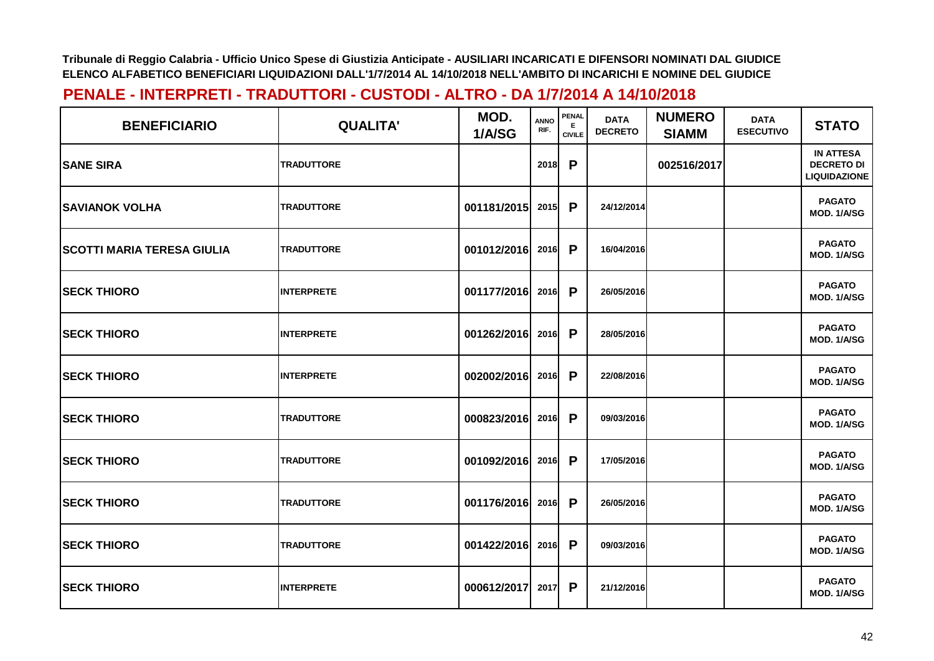| <b>BENEFICIARIO</b>               | <b>QUALITA'</b>   | MOD.<br>1/A/SG   | <b>ANNO</b><br>RIF. | PENAL<br>Е<br><b>CIVILE</b> | <b>DATA</b><br><b>DECRETO</b> | <b>NUMERO</b><br><b>SIAMM</b> | <b>DATA</b><br><b>ESECUTIVO</b> | <b>STATO</b>                                                 |
|-----------------------------------|-------------------|------------------|---------------------|-----------------------------|-------------------------------|-------------------------------|---------------------------------|--------------------------------------------------------------|
| <b>SANE SIRA</b>                  | <b>TRADUTTORE</b> |                  | 2018                | P                           |                               | 002516/2017                   |                                 | <b>IN ATTESA</b><br><b>DECRETO DI</b><br><b>LIQUIDAZIONE</b> |
| <b>SAVIANOK VOLHA</b>             | <b>TRADUTTORE</b> | 001181/2015      | 2015                | P                           | 24/12/2014                    |                               |                                 | <b>PAGATO</b><br>MOD. 1/A/SG                                 |
| <b>SCOTTI MARIA TERESA GIULIA</b> | <b>TRADUTTORE</b> | 001012/2016 2016 |                     | P                           | 16/04/2016                    |                               |                                 | <b>PAGATO</b><br>MOD. 1/A/SG                                 |
| <b>SECK THIORO</b>                | <b>INTERPRETE</b> | 001177/2016 2016 |                     | $\mathsf{P}$                | 26/05/2016                    |                               |                                 | <b>PAGATO</b><br>MOD. 1/A/SG                                 |
| <b>SECK THIORO</b>                | <b>INTERPRETE</b> | 001262/2016 2016 |                     | P                           | 28/05/2016                    |                               |                                 | <b>PAGATO</b><br>MOD. 1/A/SG                                 |
| <b>SECK THIORO</b>                | <b>INTERPRETE</b> | 002002/2016 2016 |                     | P                           | 22/08/2016                    |                               |                                 | <b>PAGATO</b><br>MOD. 1/A/SG                                 |
| <b>SECK THIORO</b>                | <b>TRADUTTORE</b> | 000823/2016 2016 |                     | P                           | 09/03/2016                    |                               |                                 | <b>PAGATO</b><br>MOD. 1/A/SG                                 |
| <b>SECK THIORO</b>                | <b>TRADUTTORE</b> | 001092/2016      | 2016                | P                           | 17/05/2016                    |                               |                                 | <b>PAGATO</b><br>MOD. 1/A/SG                                 |
| <b>SECK THIORO</b>                | <b>TRADUTTORE</b> | 001176/2016 2016 |                     | P                           | 26/05/2016                    |                               |                                 | <b>PAGATO</b><br>MOD. 1/A/SG                                 |
| <b>SECK THIORO</b>                | TRADUTTORE        | 001422/2016 2016 |                     | P                           | 09/03/2016                    |                               |                                 | <b>PAGATO</b><br>MOD. 1/A/SG                                 |
| <b>SECK THIORO</b>                | <b>INTERPRETE</b> | 000612/2017      | 2017                | P                           | 21/12/2016                    |                               |                                 | <b>PAGATO</b><br>MOD. 1/A/SG                                 |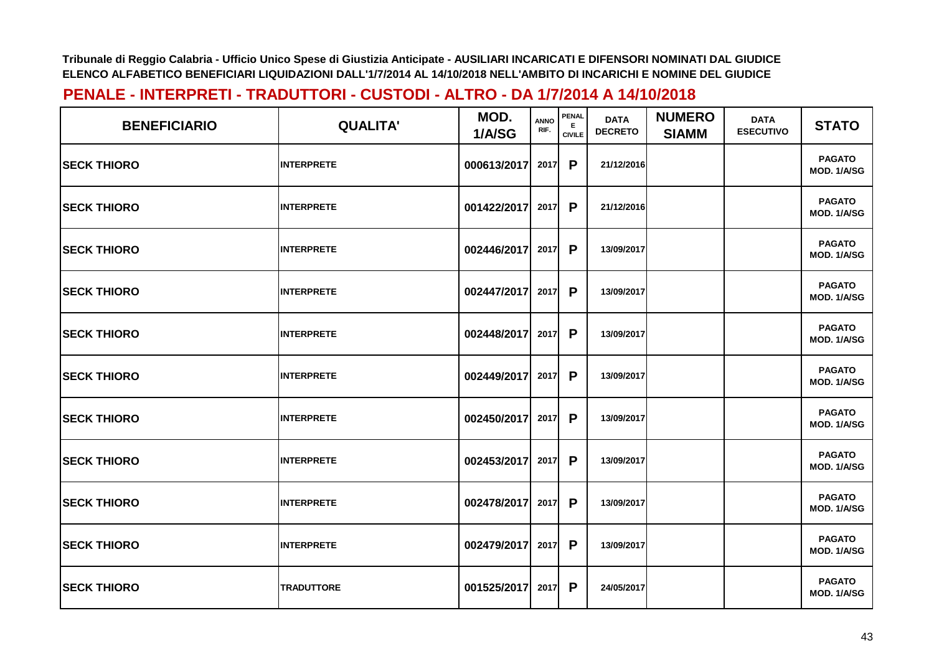| <b>BENEFICIARIO</b> | <b>QUALITA'</b>   | MOD.<br>1/A/SG   | <b>ANNO</b><br>RIF. | <b>PENAL</b><br>Е<br><b>CIVILE</b> | <b>DATA</b><br><b>DECRETO</b> | <b>NUMERO</b><br><b>SIAMM</b> | <b>DATA</b><br><b>ESECUTIVO</b> | <b>STATO</b>                 |
|---------------------|-------------------|------------------|---------------------|------------------------------------|-------------------------------|-------------------------------|---------------------------------|------------------------------|
| <b>SECK THIORO</b>  | <b>INTERPRETE</b> | 000613/2017      | 2017                | P                                  | 21/12/2016                    |                               |                                 | <b>PAGATO</b><br>MOD. 1/A/SG |
| <b>SECK THIORO</b>  | <b>INTERPRETE</b> | 001422/2017      | 2017                | P                                  | 21/12/2016                    |                               |                                 | <b>PAGATO</b><br>MOD. 1/A/SG |
| <b>SECK THIORO</b>  | <b>INTERPRETE</b> | 002446/2017      | 2017                | P                                  | 13/09/2017                    |                               |                                 | <b>PAGATO</b><br>MOD. 1/A/SG |
| <b>SECK THIORO</b>  | <b>INTERPRETE</b> | 002447/2017 2017 |                     | $\mathsf{P}$                       | 13/09/2017                    |                               |                                 | <b>PAGATO</b><br>MOD. 1/A/SG |
| <b>SECK THIORO</b>  | <b>INTERPRETE</b> | 002448/2017 2017 |                     | P                                  | 13/09/2017                    |                               |                                 | <b>PAGATO</b><br>MOD. 1/A/SG |
| <b>SECK THIORO</b>  | <b>INTERPRETE</b> | 002449/2017 2017 |                     | P                                  | 13/09/2017                    |                               |                                 | <b>PAGATO</b><br>MOD. 1/A/SG |
| <b>SECK THIORO</b>  | <b>INTERPRETE</b> | 002450/2017      | 2017                | P                                  | 13/09/2017                    |                               |                                 | <b>PAGATO</b><br>MOD. 1/A/SG |
| <b>SECK THIORO</b>  | <b>INTERPRETE</b> | 002453/2017      | 2017                | P                                  | 13/09/2017                    |                               |                                 | <b>PAGATO</b><br>MOD. 1/A/SG |
| <b>SECK THIORO</b>  | <b>INTERPRETE</b> | 002478/2017 2017 |                     | P                                  | 13/09/2017                    |                               |                                 | <b>PAGATO</b><br>MOD. 1/A/SG |
| <b>SECK THIORO</b>  | <b>INTERPRETE</b> | 002479/2017 2017 |                     | P                                  | 13/09/2017                    |                               |                                 | <b>PAGATO</b><br>MOD. 1/A/SG |
| <b>SECK THIORO</b>  | <b>TRADUTTORE</b> | 001525/2017 2017 |                     | P                                  | 24/05/2017                    |                               |                                 | <b>PAGATO</b><br>MOD. 1/A/SG |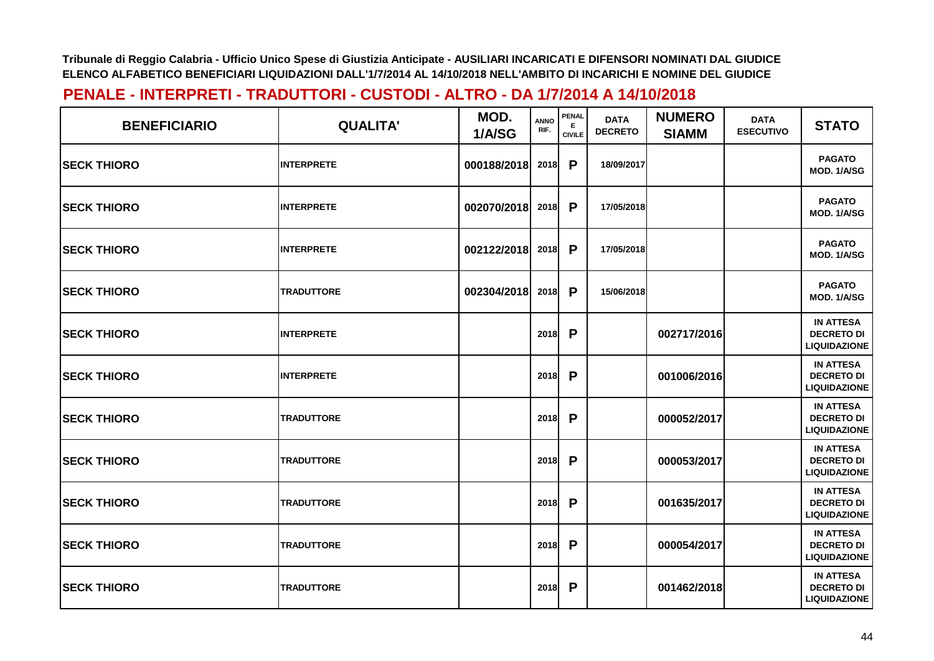| <b>BENEFICIARIO</b> | <b>QUALITA'</b>   | MOD.<br>1/A/SG | ANNO<br>RIF. | <b>PENAL</b><br><b>CIVILE</b> | <b>DATA</b><br><b>DECRETO</b> | <b>NUMERO</b><br><b>SIAMM</b> | <b>DATA</b><br><b>ESECUTIVO</b> | <b>STATO</b>                                                 |
|---------------------|-------------------|----------------|--------------|-------------------------------|-------------------------------|-------------------------------|---------------------------------|--------------------------------------------------------------|
| <b>SECK THIORO</b>  | <b>INTERPRETE</b> | 000188/2018    | 2018         | P                             | 18/09/2017                    |                               |                                 | <b>PAGATO</b><br>MOD. 1/A/SG                                 |
| <b>SECK THIORO</b>  | <b>INTERPRETE</b> | 002070/2018    | 2018         | P                             | 17/05/2018                    |                               |                                 | <b>PAGATO</b><br>MOD. 1/A/SG                                 |
| <b>SECK THIORO</b>  | <b>INTERPRETE</b> | 002122/2018    | 2018         | P                             | 17/05/2018                    |                               |                                 | <b>PAGATO</b><br>MOD. 1/A/SG                                 |
| <b>SECK THIORO</b>  | <b>TRADUTTORE</b> | 002304/2018    | 2018         | P                             | 15/06/2018                    |                               |                                 | <b>PAGATO</b><br>MOD. 1/A/SG                                 |
| <b>SECK THIORO</b>  | <b>INTERPRETE</b> |                | 2018         | P                             |                               | 002717/2016                   |                                 | <b>IN ATTESA</b><br><b>DECRETO DI</b><br><b>LIQUIDAZIONE</b> |
| <b>SECK THIORO</b>  | <b>INTERPRETE</b> |                | 2018         | P                             |                               | 001006/2016                   |                                 | <b>IN ATTESA</b><br><b>DECRETO DI</b><br><b>LIQUIDAZIONE</b> |
| <b>SECK THIORO</b>  | <b>TRADUTTORE</b> |                | 2018         | P                             |                               | 000052/2017                   |                                 | <b>IN ATTESA</b><br><b>DECRETO DI</b><br><b>LIQUIDAZIONE</b> |
| <b>SECK THIORO</b>  | <b>TRADUTTORE</b> |                | 2018         | P                             |                               | 000053/2017                   |                                 | <b>IN ATTESA</b><br><b>DECRETO DI</b><br><b>LIQUIDAZIONE</b> |
| <b>SECK THIORO</b>  | <b>TRADUTTORE</b> |                | 2018         | P                             |                               | 001635/2017                   |                                 | <b>IN ATTESA</b><br><b>DECRETO DI</b><br><b>LIQUIDAZIONE</b> |
| <b>SECK THIORO</b>  | <b>TRADUTTORE</b> |                | 2018         | P                             |                               | 000054/2017                   |                                 | <b>IN ATTESA</b><br><b>DECRETO DI</b><br><b>LIQUIDAZIONE</b> |
| <b>SECK THIORO</b>  | <b>TRADUTTORE</b> |                | 2018         | P                             |                               | 001462/2018                   |                                 | <b>IN ATTESA</b><br><b>DECRETO DI</b><br><b>LIQUIDAZIONE</b> |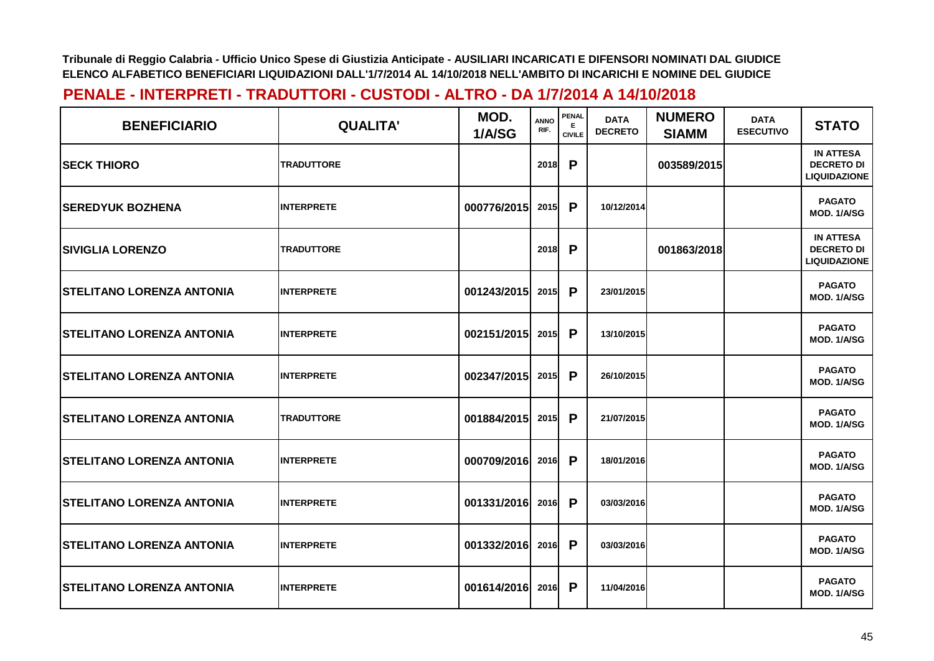| <b>BENEFICIARIO</b>               | <b>QUALITA'</b>   | MOD.<br>1/A/SG | <b>ANNO</b><br>RIF. | PENAL<br>E.<br><b>CIVILE</b> | <b>DATA</b><br><b>DECRETO</b> | <b>NUMERO</b><br><b>SIAMM</b> | <b>DATA</b><br><b>ESECUTIVO</b> | <b>STATO</b>                                                 |
|-----------------------------------|-------------------|----------------|---------------------|------------------------------|-------------------------------|-------------------------------|---------------------------------|--------------------------------------------------------------|
| <b>ISECK THIORO</b>               | <b>TRADUTTORE</b> |                | 2018                | P                            |                               | 003589/2015                   |                                 | <b>IN ATTESA</b><br><b>DECRETO DI</b><br><b>LIQUIDAZIONE</b> |
| <b>ISEREDYUK BOZHENA</b>          | <b>INTERPRETE</b> | 000776/2015    | 2015                | P                            | 10/12/2014                    |                               |                                 | <b>PAGATO</b><br>MOD. 1/A/SG                                 |
| <b>SIVIGLIA LORENZO</b>           | <b>TRADUTTORE</b> |                | 2018                | P                            |                               | 001863/2018                   |                                 | <b>IN ATTESA</b><br><b>DECRETO DI</b><br><b>LIQUIDAZIONE</b> |
| <b>STELITANO LORENZA ANTONIA</b>  | <b>INTERPRETE</b> | 001243/2015    | 2015                | P                            | 23/01/2015                    |                               |                                 | <b>PAGATO</b><br>MOD. 1/A/SG                                 |
| <b> STELITANO LORENZA ANTONIA</b> | <b>INTERPRETE</b> | 002151/2015    | 2015                | P                            | 13/10/2015                    |                               |                                 | <b>PAGATO</b><br>MOD. 1/A/SG                                 |
| <b>STELITANO LORENZA ANTONIA</b>  | <b>INTERPRETE</b> | 002347/2015    | 2015                | P                            | 26/10/2015                    |                               |                                 | <b>PAGATO</b><br>MOD. 1/A/SG                                 |
| <b>STELITANO LORENZA ANTONIA</b>  | <b>TRADUTTORE</b> | 001884/2015    | 2015                | P                            | 21/07/2015                    |                               |                                 | <b>PAGATO</b><br>MOD. 1/A/SG                                 |
| <b>STELITANO LORENZA ANTONIA</b>  | <b>INTERPRETE</b> | 000709/2016    | 2016                | P                            | 18/01/2016                    |                               |                                 | <b>PAGATO</b><br>MOD. 1/A/SG                                 |
| <b>STELITANO LORENZA ANTONIA</b>  | <b>INTERPRETE</b> | 001331/2016    | 2016                | P                            | 03/03/2016                    |                               |                                 | <b>PAGATO</b><br><b>MOD. 1/A/SG</b>                          |
| <b> STELITANO LORENZA ANTONIA</b> | <b>INTERPRETE</b> | 001332/2016    | 2016                | P                            | 03/03/2016                    |                               |                                 | <b>PAGATO</b><br>MOD. 1/A/SG                                 |
| <b>STELITANO LORENZA ANTONIA</b>  | <b>INTERPRETE</b> | 001614/2016    | 2016                | P                            | 11/04/2016                    |                               |                                 | <b>PAGATO</b><br>MOD. 1/A/SG                                 |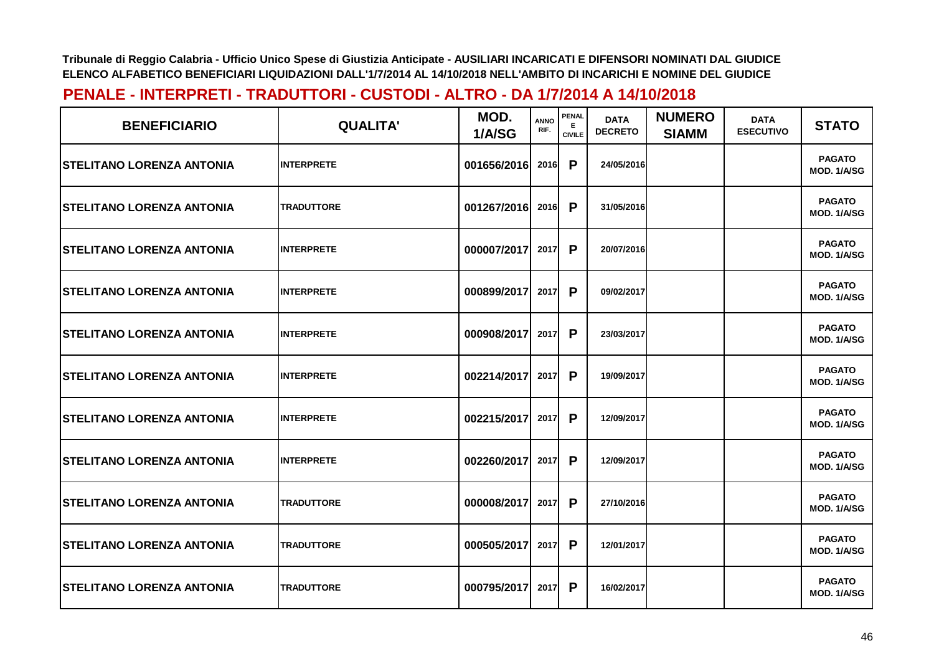| <b>BENEFICIARIO</b>               | <b>QUALITA'</b>   | MOD.<br>1/A/SG | <b>ANNO</b><br>RIF. | <b>PENAL</b><br>Е<br><b>CIVILE</b> | <b>DATA</b><br><b>DECRETO</b> | <b>NUMERO</b><br><b>SIAMM</b> | <b>DATA</b><br><b>ESECUTIVO</b> | <b>STATO</b>                        |
|-----------------------------------|-------------------|----------------|---------------------|------------------------------------|-------------------------------|-------------------------------|---------------------------------|-------------------------------------|
| <b>ISTELITANO LORENZA ANTONIA</b> | <b>INTERPRETE</b> | 001656/2016    | <b>2016</b>         | P                                  | 24/05/2016                    |                               |                                 | <b>PAGATO</b><br>MOD. 1/A/SG        |
| <b> STELITANO LORENZA ANTONIA</b> | <b>TRADUTTORE</b> | 001267/2016    | 2016                | P                                  | 31/05/2016                    |                               |                                 | <b>PAGATO</b><br><b>MOD. 1/A/SG</b> |
| <b>STELITANO LORENZA ANTONIA</b>  | <b>INTERPRETE</b> | 000007/2017    | 2017                | P                                  | 20/07/2016                    |                               |                                 | <b>PAGATO</b><br><b>MOD. 1/A/SG</b> |
| <b> STELITANO LORENZA ANTONIA</b> | <b>INTERPRETE</b> | 000899/2017    | 2017                | P                                  | 09/02/2017                    |                               |                                 | <b>PAGATO</b><br>MOD. 1/A/SG        |
| <b> STELITANO LORENZA ANTONIA</b> | <b>INTERPRETE</b> | 000908/2017    | 2017                | P                                  | 23/03/2017                    |                               |                                 | <b>PAGATO</b><br>MOD. 1/A/SG        |
| <b> STELITANO LORENZA ANTONIA</b> | <b>INTERPRETE</b> | 002214/2017    | 2017                | P                                  | 19/09/2017                    |                               |                                 | <b>PAGATO</b><br>MOD. 1/A/SG        |
| <b>STELITANO LORENZA ANTONIA</b>  | <b>INTERPRETE</b> | 002215/2017    | 2017                | P                                  | 12/09/2017                    |                               |                                 | <b>PAGATO</b><br>MOD. 1/A/SG        |
| <b>STELITANO LORENZA ANTONIA</b>  | <b>INTERPRETE</b> | 002260/2017    | 2017                | P                                  | 12/09/2017                    |                               |                                 | <b>PAGATO</b><br><b>MOD. 1/A/SG</b> |
| <b> STELITANO LORENZA ANTONIA</b> | <b>TRADUTTORE</b> | 000008/2017    | 2017                | P                                  | 27/10/2016                    |                               |                                 | <b>PAGATO</b><br><b>MOD. 1/A/SG</b> |
| <b>STELITANO LORENZA ANTONIA</b>  | <b>TRADUTTORE</b> | 000505/2017    | 2017                | P                                  | 12/01/2017                    |                               |                                 | <b>PAGATO</b><br>MOD. 1/A/SG        |
| <b>STELITANO LORENZA ANTONIA</b>  | <b>TRADUTTORE</b> | 000795/2017    | 2017                | P                                  | 16/02/2017                    |                               |                                 | <b>PAGATO</b><br>MOD. 1/A/SG        |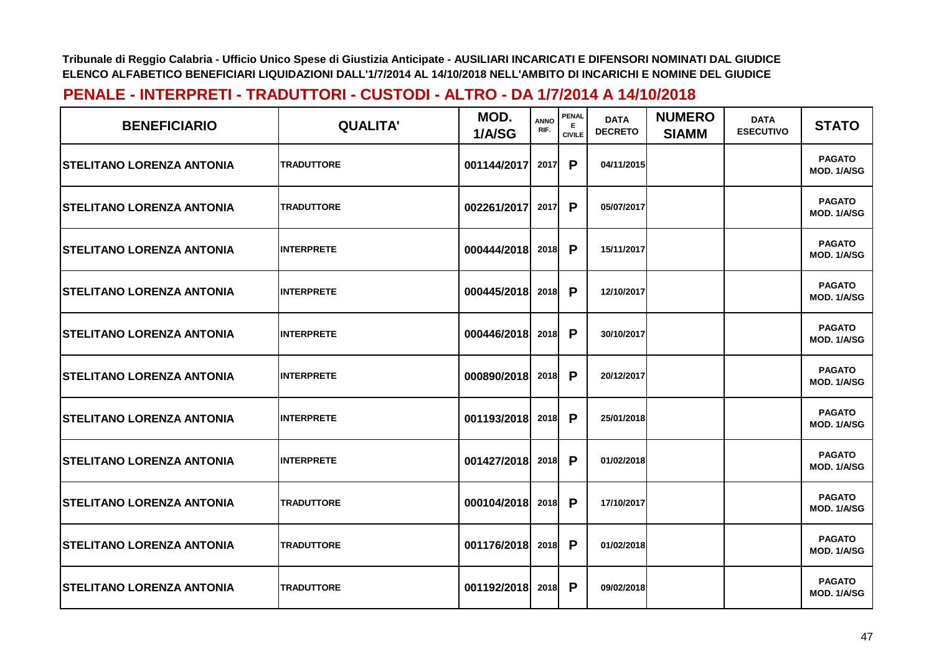| <b>BENEFICIARIO</b>               | <b>QUALITA'</b>   | MOD.<br>1/A/SG | <b>ANNO</b><br>RIF. | <b>PENAL</b><br>Е<br><b>CIVILE</b> | <b>DATA</b><br><b>DECRETO</b> | <b>NUMERO</b><br><b>SIAMM</b> | <b>DATA</b><br><b>ESECUTIVO</b> | <b>STATO</b>                 |
|-----------------------------------|-------------------|----------------|---------------------|------------------------------------|-------------------------------|-------------------------------|---------------------------------|------------------------------|
| <b>ISTELITANO LORENZA ANTONIA</b> | <b>TRADUTTORE</b> | 001144/2017    | 2017                | P                                  | 04/11/2015                    |                               |                                 | <b>PAGATO</b><br>MOD. 1/A/SG |
| <b> STELITANO LORENZA ANTONIA</b> | <b>TRADUTTORE</b> | 002261/2017    | 2017                | P                                  | 05/07/2017                    |                               |                                 | <b>PAGATO</b><br>MOD. 1/A/SG |
| <b>STELITANO LORENZA ANTONIA</b>  | <b>INTERPRETE</b> | 000444/2018    | 2018                | P                                  | 15/11/2017                    |                               |                                 | <b>PAGATO</b><br>MOD. 1/A/SG |
| <b> STELITANO LORENZA ANTONIA</b> | <b>INTERPRETE</b> | 000445/2018    | <b>2018</b>         | P                                  | 12/10/2017                    |                               |                                 | <b>PAGATO</b><br>MOD. 1/A/SG |
| <b> STELITANO LORENZA ANTONIA</b> | <b>INTERPRETE</b> | 000446/2018    | 2018                | P                                  | 30/10/2017                    |                               |                                 | <b>PAGATO</b><br>MOD. 1/A/SG |
| <b> STELITANO LORENZA ANTONIA</b> | <b>INTERPRETE</b> | 000890/2018    | 2018                | P                                  | 20/12/2017                    |                               |                                 | <b>PAGATO</b><br>MOD. 1/A/SG |
| <b>STELITANO LORENZA ANTONIA</b>  | <b>INTERPRETE</b> | 001193/2018    | 2018                | P                                  | 25/01/2018                    |                               |                                 | <b>PAGATO</b><br>MOD. 1/A/SG |
| <b>STELITANO LORENZA ANTONIA</b>  | <b>INTERPRETE</b> | 001427/2018    | 2018                | P                                  | 01/02/2018                    |                               |                                 | <b>PAGATO</b><br>MOD. 1/A/SG |
| <b> STELITANO LORENZA ANTONIA</b> | <b>TRADUTTORE</b> | 000104/2018    | 2018                | $\mathsf{P}$                       | 17/10/2017                    |                               |                                 | <b>PAGATO</b><br>MOD. 1/A/SG |
| <b>STELITANO LORENZA ANTONIA</b>  | <b>TRADUTTORE</b> | 001176/2018    | 2018                | P                                  | 01/02/2018                    |                               |                                 | <b>PAGATO</b><br>MOD. 1/A/SG |
| <b>STELITANO LORENZA ANTONIA</b>  | <b>TRADUTTORE</b> | 001192/2018    | 2018                | P                                  | 09/02/2018                    |                               |                                 | <b>PAGATO</b><br>MOD. 1/A/SG |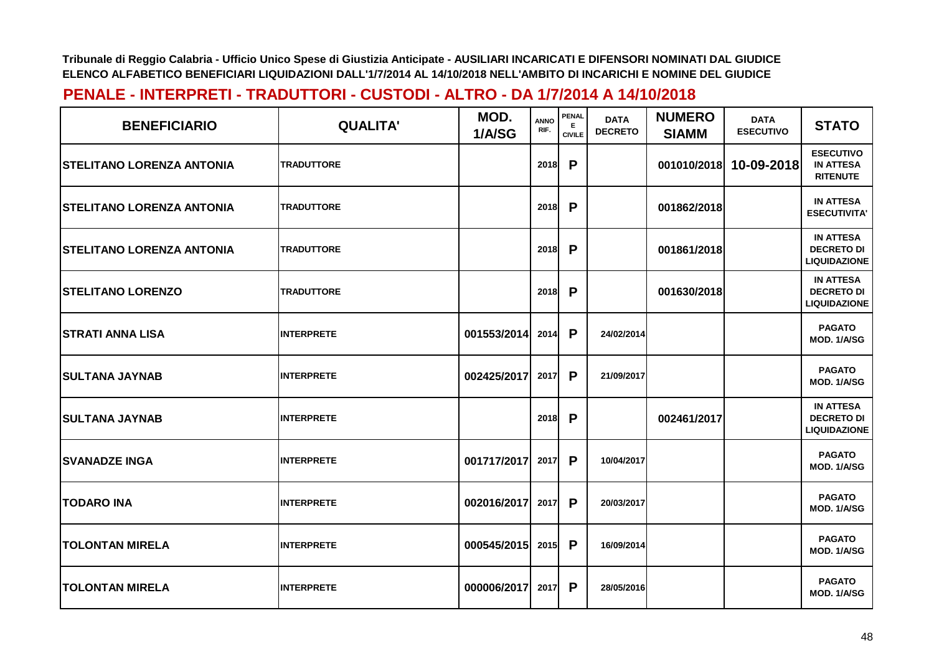| <b>BENEFICIARIO</b>               | <b>QUALITA'</b>   | MOD.<br>1/A/SG   | <b>ANNO</b><br>RIF. | PENAL<br>Е<br><b>CIVILE</b> | <b>DATA</b><br><b>DECRETO</b> | <b>NUMERO</b><br><b>SIAMM</b> | <b>DATA</b><br><b>ESECUTIVO</b> | <b>STATO</b>                                                 |
|-----------------------------------|-------------------|------------------|---------------------|-----------------------------|-------------------------------|-------------------------------|---------------------------------|--------------------------------------------------------------|
| <b>ISTELITANO LORENZA ANTONIA</b> | <b>TRADUTTORE</b> |                  | 2018                | P                           |                               | 001010/2018                   | 10-09-2018                      | <b>ESECUTIVO</b><br><b>IN ATTESA</b><br><b>RITENUTE</b>      |
| <b>STELITANO LORENZA ANTONIA</b>  | <b>TRADUTTORE</b> |                  | 2018                | P                           |                               | 001862/2018                   |                                 | <b>IN ATTESA</b><br><b>ESECUTIVITA'</b>                      |
| <b>STELITANO LORENZA ANTONIA</b>  | <b>TRADUTTORE</b> |                  | 2018                | P                           |                               | 001861/2018                   |                                 | <b>IN ATTESA</b><br><b>DECRETO DI</b><br><b>LIQUIDAZIONE</b> |
| <b>STELITANO LORENZO</b>          | <b>TRADUTTORE</b> |                  | 2018                | P                           |                               | 001630/2018                   |                                 | <b>IN ATTESA</b><br><b>DECRETO DI</b><br><b>LIQUIDAZIONE</b> |
| <b>STRATI ANNA LISA</b>           | <b>INTERPRETE</b> | 001553/2014      | 2014                | P                           | 24/02/2014                    |                               |                                 | <b>PAGATO</b><br>MOD. 1/A/SG                                 |
| <b>SULTANA JAYNAB</b>             | <b>INTERPRETE</b> | 002425/2017      | 2017                | P                           | 21/09/2017                    |                               |                                 | <b>PAGATO</b><br>MOD. 1/A/SG                                 |
| <b>SULTANA JAYNAB</b>             | <b>INTERPRETE</b> |                  | 2018                | P                           |                               | 002461/2017                   |                                 | <b>IN ATTESA</b><br><b>DECRETO DI</b><br><b>LIQUIDAZIONE</b> |
| <b>SVANADZE INGA</b>              | <b>INTERPRETE</b> | 001717/2017      | 2017                | P                           | 10/04/2017                    |                               |                                 | <b>PAGATO</b><br>MOD. 1/A/SG                                 |
| <b>TODARO INA</b>                 | <b>INTERPRETE</b> | 002016/2017      | 2017                | P                           | 20/03/2017                    |                               |                                 | <b>PAGATO</b><br>MOD. 1/A/SG                                 |
| <b>TOLONTAN MIRELA</b>            | <b>INTERPRETE</b> | 000545/2015 2015 |                     | P                           | 16/09/2014                    |                               |                                 | <b>PAGATO</b><br>MOD. 1/A/SG                                 |
| <b>TOLONTAN MIRELA</b>            | <b>INTERPRETE</b> | 000006/2017      | 2017                | P                           | 28/05/2016                    |                               |                                 | <b>PAGATO</b><br>MOD. 1/A/SG                                 |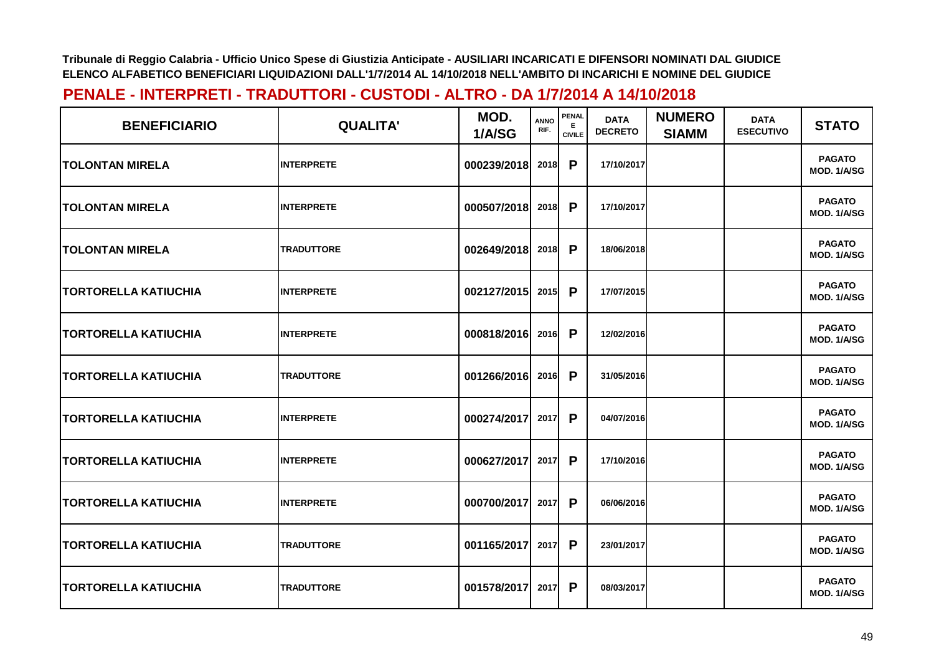| <b>BENEFICIARIO</b>         | <b>QUALITA'</b>   | MOD.<br>1/A/SG   | <b>ANNO</b><br>RIF. | <b>PENAL</b><br>E.<br><b>CIVILE</b> | <b>DATA</b><br><b>DECRETO</b> | <b>NUMERO</b><br><b>SIAMM</b> | <b>DATA</b><br><b>ESECUTIVO</b> | <b>STATO</b>                 |
|-----------------------------|-------------------|------------------|---------------------|-------------------------------------|-------------------------------|-------------------------------|---------------------------------|------------------------------|
| <b>TOLONTAN MIRELA</b>      | <b>INTERPRETE</b> | 000239/2018      | 2018                | P                                   | 17/10/2017                    |                               |                                 | <b>PAGATO</b><br>MOD. 1/A/SG |
| <b>TOLONTAN MIRELA</b>      | <b>INTERPRETE</b> | 000507/2018      | 2018                | P                                   | 17/10/2017                    |                               |                                 | <b>PAGATO</b><br>MOD. 1/A/SG |
| <b>TOLONTAN MIRELA</b>      | <b>TRADUTTORE</b> | 002649/2018      | 2018                | P                                   | 18/06/2018                    |                               |                                 | <b>PAGATO</b><br>MOD. 1/A/SG |
| <b>TORTORELLA KATIUCHIA</b> | <b>INTERPRETE</b> | 002127/2015      | 2015                | P                                   | 17/07/2015                    |                               |                                 | <b>PAGATO</b><br>MOD. 1/A/SG |
| <b>TORTORELLA KATIUCHIA</b> | <b>INTERPRETE</b> | 000818/2016 2016 |                     | P                                   | 12/02/2016                    |                               |                                 | <b>PAGATO</b><br>MOD. 1/A/SG |
| <b>TORTORELLA KATIUCHIA</b> | <b>TRADUTTORE</b> | 001266/2016      | 2016                | P                                   | 31/05/2016                    |                               |                                 | <b>PAGATO</b><br>MOD. 1/A/SG |
| <b>TORTORELLA KATIUCHIA</b> | <b>INTERPRETE</b> | 000274/2017      | 2017                | P                                   | 04/07/2016                    |                               |                                 | <b>PAGATO</b><br>MOD. 1/A/SG |
| <b>TORTORELLA KATIUCHIA</b> | <b>INTERPRETE</b> | 000627/2017      | 2017                | P                                   | 17/10/2016                    |                               |                                 | <b>PAGATO</b><br>MOD. 1/A/SG |
| <b>TORTORELLA KATIUCHIA</b> | <b>INTERPRETE</b> | 000700/2017      | 2017                | P                                   | 06/06/2016                    |                               |                                 | <b>PAGATO</b><br>MOD. 1/A/SG |
| <b>TORTORELLA KATIUCHIA</b> | <b>TRADUTTORE</b> | 001165/2017      | 2017                | P                                   | 23/01/2017                    |                               |                                 | <b>PAGATO</b><br>MOD. 1/A/SG |
| <b>TORTORELLA KATIUCHIA</b> | <b>TRADUTTORE</b> | 001578/2017      | 2017                | P                                   | 08/03/2017                    |                               |                                 | <b>PAGATO</b><br>MOD. 1/A/SG |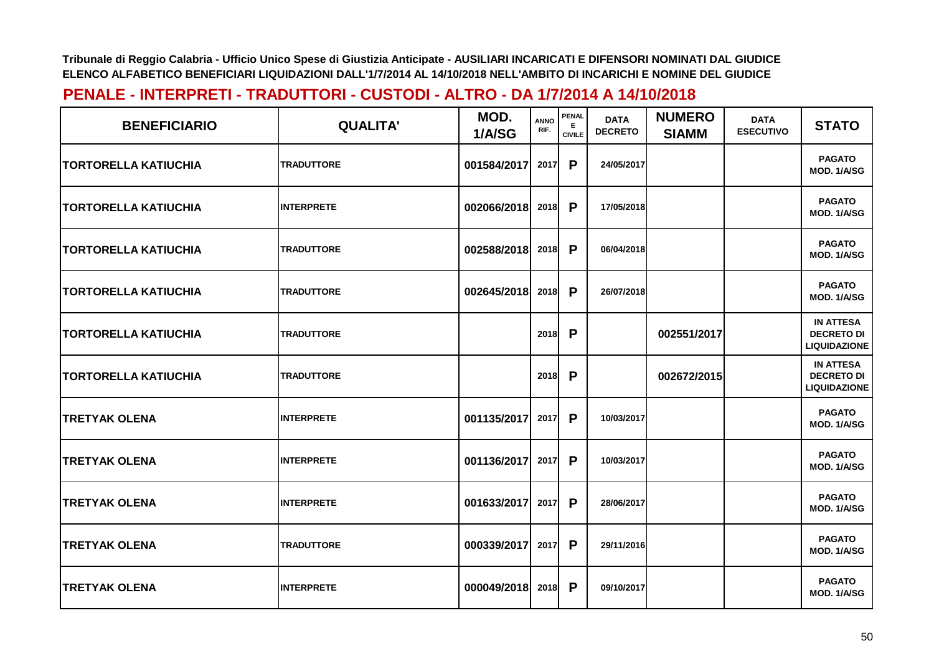| <b>BENEFICIARIO</b>          | <b>QUALITA'</b>   | MOD.<br>1/A/SG | <b>ANNO</b><br>RIF. | <b>PENAL</b><br>E.<br><b>CIVILE</b> | <b>DATA</b><br><b>DECRETO</b> | <b>NUMERO</b><br><b>SIAMM</b> | <b>DATA</b><br><b>ESECUTIVO</b> | <b>STATO</b>                                                 |
|------------------------------|-------------------|----------------|---------------------|-------------------------------------|-------------------------------|-------------------------------|---------------------------------|--------------------------------------------------------------|
| <b>ITORTORELLA KATIUCHIA</b> | <b>TRADUTTORE</b> | 001584/2017    | 2017                | P                                   | 24/05/2017                    |                               |                                 | <b>PAGATO</b><br>MOD. 1/A/SG                                 |
| <b>TORTORELLA KATIUCHIA</b>  | <b>INTERPRETE</b> | 002066/2018    | 2018                | P                                   | 17/05/2018                    |                               |                                 | <b>PAGATO</b><br>MOD. 1/A/SG                                 |
| <b>TORTORELLA KATIUCHIA</b>  | <b>TRADUTTORE</b> | 002588/2018    | 2018                | P                                   | 06/04/2018                    |                               |                                 | <b>PAGATO</b><br>MOD. 1/A/SG                                 |
| <b>TORTORELLA KATIUCHIA</b>  | <b>TRADUTTORE</b> | 002645/2018    | 2018                | P                                   | 26/07/2018                    |                               |                                 | <b>PAGATO</b><br>MOD. 1/A/SG                                 |
| <b>TORTORELLA KATIUCHIA</b>  | <b>TRADUTTORE</b> |                | 2018                | P                                   |                               | 002551/2017                   |                                 | <b>IN ATTESA</b><br><b>DECRETO DI</b><br><b>LIQUIDAZIONE</b> |
| TORTORELLA KATIUCHIA         | <b>TRADUTTORE</b> |                | 2018                | P                                   |                               | 002672/2015                   |                                 | <b>IN ATTESA</b><br><b>DECRETO DI</b><br><b>LIQUIDAZIONE</b> |
| <b>TRETYAK OLENA</b>         | <b>INTERPRETE</b> | 001135/2017    | 2017                | P                                   | 10/03/2017                    |                               |                                 | <b>PAGATO</b><br>MOD. 1/A/SG                                 |
| <b>TRETYAK OLENA</b>         | <b>INTERPRETE</b> | 001136/2017    | 2017                | P                                   | 10/03/2017                    |                               |                                 | <b>PAGATO</b><br>MOD. 1/A/SG                                 |
| <b>TRETYAK OLENA</b>         | <b>INTERPRETE</b> | 001633/2017    | 2017                | P                                   | 28/06/2017                    |                               |                                 | <b>PAGATO</b><br>MOD. 1/A/SG                                 |
| <b>TRETYAK OLENA</b>         | <b>TRADUTTORE</b> | 000339/2017    | 2017                | P                                   | 29/11/2016                    |                               |                                 | <b>PAGATO</b><br>MOD. 1/A/SG                                 |
| <b>TRETYAK OLENA</b>         | <b>INTERPRETE</b> | 000049/2018    | 2018                | P                                   | 09/10/2017                    |                               |                                 | <b>PAGATO</b><br>MOD. 1/A/SG                                 |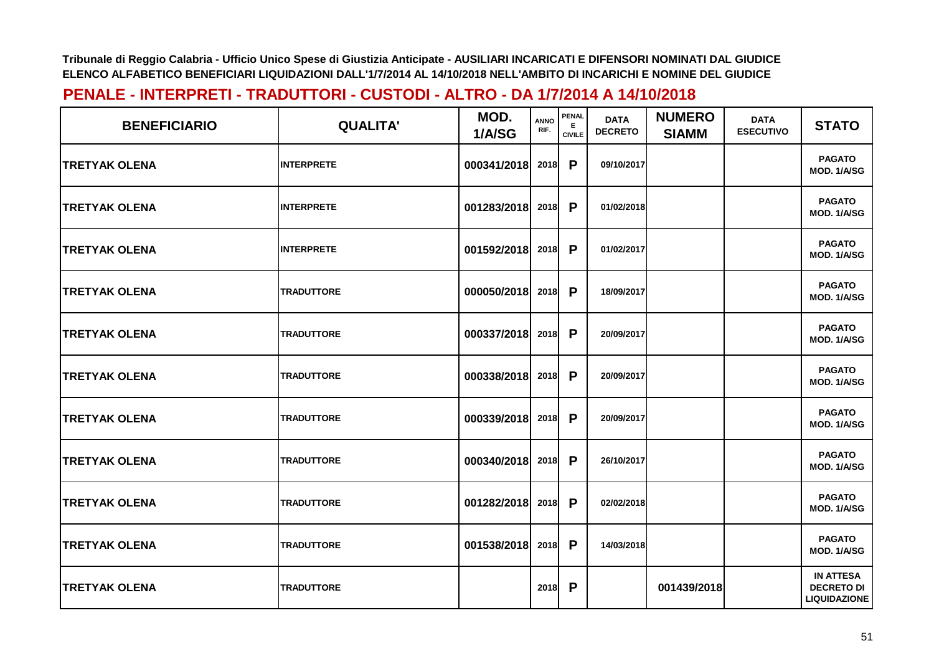| <b>BENEFICIARIO</b>   | <b>QUALITA'</b>   | MOD.<br>1/A/SG | <b>ANNO</b><br>RIF. | <b>PENAL</b><br><b>CIVILE</b> | <b>DATA</b><br><b>DECRETO</b> | <b>NUMERO</b><br><b>SIAMM</b> | <b>DATA</b><br><b>ESECUTIVO</b> | <b>STATO</b>                                                 |
|-----------------------|-------------------|----------------|---------------------|-------------------------------|-------------------------------|-------------------------------|---------------------------------|--------------------------------------------------------------|
| <b>TRETYAK OLENA</b>  | <b>INTERPRETE</b> | 000341/2018    | 2018                | P                             | 09/10/2017                    |                               |                                 | <b>PAGATO</b><br>MOD. 1/A/SG                                 |
| <b>TRETYAK OLENA</b>  | <b>INTERPRETE</b> | 001283/2018    | 2018                | P                             | 01/02/2018                    |                               |                                 | <b>PAGATO</b><br>MOD. 1/A/SG                                 |
| <b>TRETYAK OLENA</b>  | <b>INTERPRETE</b> | 001592/2018    | 2018                | P                             | 01/02/2017                    |                               |                                 | <b>PAGATO</b><br>MOD. 1/A/SG                                 |
| <b>TRETYAK OLENA</b>  | <b>TRADUTTORE</b> | 000050/2018    | 2018                | $\mathsf{P}$                  | 18/09/2017                    |                               |                                 | <b>PAGATO</b><br>MOD. 1/A/SG                                 |
| <b>TRETYAK OLENA</b>  | <b>TRADUTTORE</b> | 000337/2018    | 2018                | P                             | 20/09/2017                    |                               |                                 | <b>PAGATO</b><br>MOD. 1/A/SG                                 |
| <b>TRETYAK OLENA</b>  | <b>TRADUTTORE</b> | 000338/2018    | 2018                | P                             | 20/09/2017                    |                               |                                 | <b>PAGATO</b><br>MOD. 1/A/SG                                 |
| <b>TRETYAK OLENA</b>  | <b>TRADUTTORE</b> | 000339/2018    | 2018                | P                             | 20/09/2017                    |                               |                                 | <b>PAGATO</b><br>MOD. 1/A/SG                                 |
| <b>ITRETYAK OLENA</b> | <b>TRADUTTORE</b> | 000340/2018    | 2018                | P                             | 26/10/2017                    |                               |                                 | <b>PAGATO</b><br>MOD. 1/A/SG                                 |
| <b>TRETYAK OLENA</b>  | <b>TRADUTTORE</b> | 001282/2018    | 2018                | P                             | 02/02/2018                    |                               |                                 | <b>PAGATO</b><br>MOD. 1/A/SG                                 |
| <b>TRETYAK OLENA</b>  | <b>TRADUTTORE</b> | 001538/2018    | 2018                | P                             | 14/03/2018                    |                               |                                 | <b>PAGATO</b><br>MOD. 1/A/SG                                 |
| <b>TRETYAK OLENA</b>  | <b>TRADUTTORE</b> |                | 2018                | P                             |                               | 001439/2018                   |                                 | <b>IN ATTESA</b><br><b>DECRETO DI</b><br><b>LIQUIDAZIONE</b> |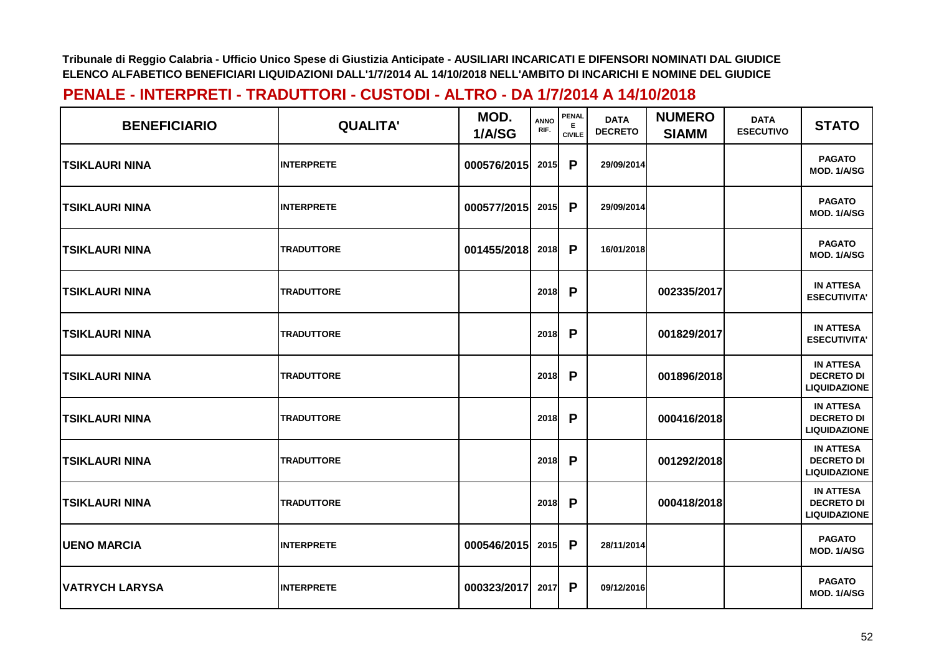| <b>BENEFICIARIO</b>   | <b>QUALITA'</b>   | MOD.<br>1/A/SG | <b>ANNO</b><br>RIF. | PENAL<br>Е<br><b>CIVILE</b> | <b>DATA</b><br><b>DECRETO</b> | <b>NUMERO</b><br><b>SIAMM</b> | <b>DATA</b><br><b>ESECUTIVO</b> | <b>STATO</b>                                                 |
|-----------------------|-------------------|----------------|---------------------|-----------------------------|-------------------------------|-------------------------------|---------------------------------|--------------------------------------------------------------|
| <b>TSIKLAURI NINA</b> | <b>INTERPRETE</b> | 000576/2015    | 2015                | P                           | 29/09/2014                    |                               |                                 | <b>PAGATO</b><br>MOD. 1/A/SG                                 |
| <b>TSIKLAURI NINA</b> | <b>INTERPRETE</b> | 000577/2015    | 2015                | P                           | 29/09/2014                    |                               |                                 | <b>PAGATO</b><br>MOD. 1/A/SG                                 |
| TSIKLAURI NINA        | <b>TRADUTTORE</b> | 001455/2018    | 2018                | P                           | 16/01/2018                    |                               |                                 | <b>PAGATO</b><br>MOD. 1/A/SG                                 |
| TSIKLAURI NINA        | <b>TRADUTTORE</b> |                | 2018                | P                           |                               | 002335/2017                   |                                 | <b>IN ATTESA</b><br><b>ESECUTIVITA'</b>                      |
| <b>TSIKLAURI NINA</b> | <b>TRADUTTORE</b> |                | 2018                | P                           |                               | 001829/2017                   |                                 | <b>IN ATTESA</b><br><b>ESECUTIVITA'</b>                      |
| <b>TSIKLAURI NINA</b> | <b>TRADUTTORE</b> |                | 2018                | P                           |                               | 001896/2018                   |                                 | <b>IN ATTESA</b><br><b>DECRETO DI</b><br><b>LIQUIDAZIONE</b> |
| <b>TSIKLAURI NINA</b> | <b>TRADUTTORE</b> |                | 2018                | P                           |                               | 000416/2018                   |                                 | <b>IN ATTESA</b><br><b>DECRETO DI</b><br><b>LIQUIDAZIONE</b> |
| <b>TSIKLAURI NINA</b> | <b>TRADUTTORE</b> |                | 2018                | P                           |                               | 001292/2018                   |                                 | <b>IN ATTESA</b><br><b>DECRETO DI</b><br><b>LIQUIDAZIONE</b> |
| TSIKLAURI NINA        | <b>TRADUTTORE</b> |                | 2018                | P                           |                               | 000418/2018                   |                                 | <b>IN ATTESA</b><br><b>DECRETO DI</b><br><b>LIQUIDAZIONE</b> |
| <b>UENO MARCIA</b>    | <b>INTERPRETE</b> | 000546/2015    | 2015                | $\mathsf{P}$                | 28/11/2014                    |                               |                                 | <b>PAGATO</b><br>MOD. 1/A/SG                                 |
| <b>VATRYCH LARYSA</b> | <b>INTERPRETE</b> | 000323/2017    | 2017                | P                           | 09/12/2016                    |                               |                                 | <b>PAGATO</b><br>MOD. 1/A/SG                                 |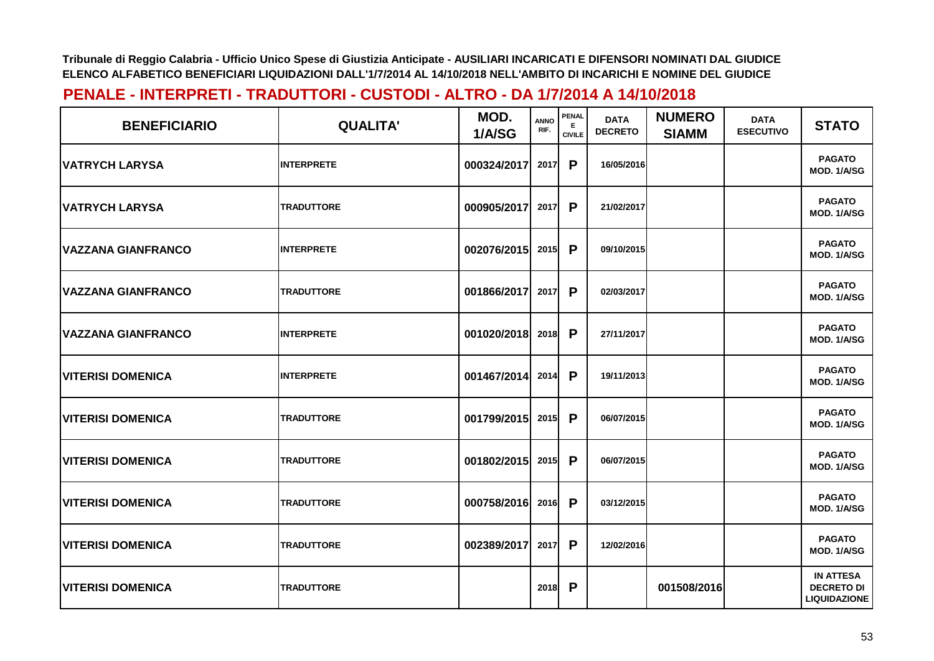| <b>BENEFICIARIO</b>        | <b>QUALITA'</b>   | MOD.<br>1/A/SG | <b>ANNO</b><br>RIF. | <b>PENAL</b><br>E.<br><b>CIVILE</b> | <b>DATA</b><br><b>DECRETO</b> | <b>NUMERO</b><br><b>SIAMM</b> | <b>DATA</b><br><b>ESECUTIVO</b> | <b>STATO</b>                                                 |
|----------------------------|-------------------|----------------|---------------------|-------------------------------------|-------------------------------|-------------------------------|---------------------------------|--------------------------------------------------------------|
| <b>IVATRYCH LARYSA</b>     | <b>INTERPRETE</b> | 000324/2017    | 2017                | P                                   | 16/05/2016                    |                               |                                 | <b>PAGATO</b><br>MOD. 1/A/SG                                 |
| <b>VATRYCH LARYSA</b>      | <b>TRADUTTORE</b> | 000905/2017    | 2017                | P                                   | 21/02/2017                    |                               |                                 | <b>PAGATO</b><br>MOD. 1/A/SG                                 |
| <b>VAZZANA GIANFRANCO</b>  | <b>INTERPRETE</b> | 002076/2015    | 2015                | P                                   | 09/10/2015                    |                               |                                 | <b>PAGATO</b><br>MOD. 1/A/SG                                 |
| <b>VAZZANA GIANFRANCO</b>  | <b>TRADUTTORE</b> | 001866/2017    | 2017                | P                                   | 02/03/2017                    |                               |                                 | <b>PAGATO</b><br>MOD. 1/A/SG                                 |
| <b> VAZZANA GIANFRANCO</b> | <b>INTERPRETE</b> | 001020/2018    | 2018                | P                                   | 27/11/2017                    |                               |                                 | <b>PAGATO</b><br>MOD. 1/A/SG                                 |
| <b>VITERISI DOMENICA</b>   | <b>INTERPRETE</b> | 001467/2014    | 2014                | P                                   | 19/11/2013                    |                               |                                 | <b>PAGATO</b><br>MOD. 1/A/SG                                 |
| <b>VITERISI DOMENICA</b>   | <b>TRADUTTORE</b> | 001799/2015    | 2015                | P                                   | 06/07/2015                    |                               |                                 | <b>PAGATO</b><br>MOD. 1/A/SG                                 |
| <b>VITERISI DOMENICA</b>   | <b>TRADUTTORE</b> | 001802/2015    | 2015                | P                                   | 06/07/2015                    |                               |                                 | <b>PAGATO</b><br>MOD. 1/A/SG                                 |
| <b>VITERISI DOMENICA</b>   | <b>TRADUTTORE</b> | 000758/2016    | 2016                | P                                   | 03/12/2015                    |                               |                                 | <b>PAGATO</b><br>MOD. 1/A/SG                                 |
| <b>VITERISI DOMENICA</b>   | <b>TRADUTTORE</b> | 002389/2017    | 2017                | P                                   | 12/02/2016                    |                               |                                 | <b>PAGATO</b><br>MOD. 1/A/SG                                 |
| <b>VITERISI DOMENICA</b>   | <b>TRADUTTORE</b> |                | 2018                | P                                   |                               | 001508/2016                   |                                 | <b>IN ATTESA</b><br><b>DECRETO DI</b><br><b>LIQUIDAZIONE</b> |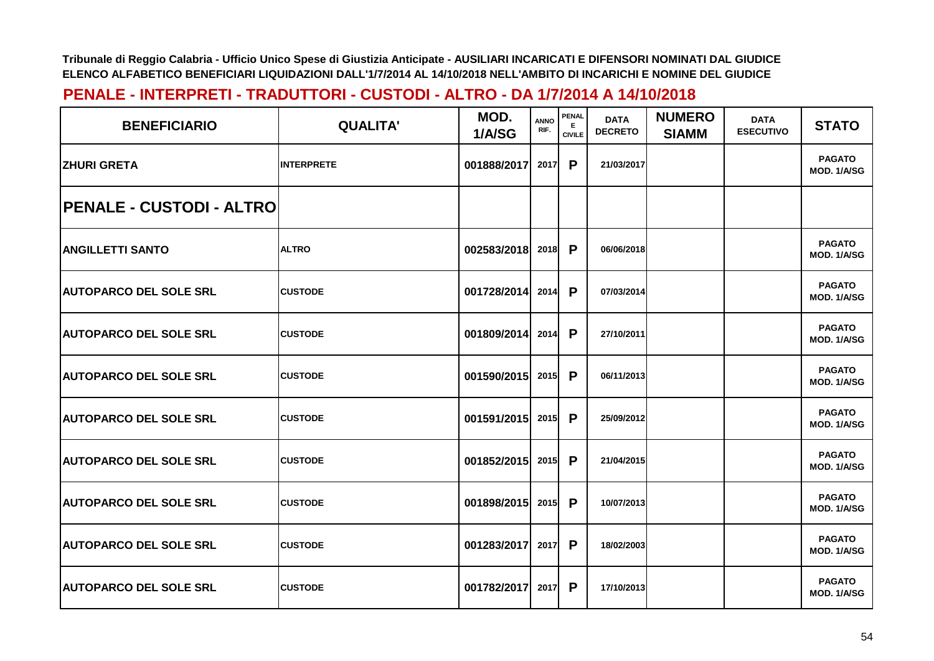| <b>BENEFICIARIO</b>              | <b>QUALITA'</b>   | MOD.<br>1/A/SG | <b>ANNO</b><br>RIF. | <b>PENAL</b><br>Е<br><b>CIVILE</b> | <b>DATA</b><br><b>DECRETO</b> | <b>NUMERO</b><br><b>SIAMM</b> | <b>DATA</b><br><b>ESECUTIVO</b> | <b>STATO</b>                 |
|----------------------------------|-------------------|----------------|---------------------|------------------------------------|-------------------------------|-------------------------------|---------------------------------|------------------------------|
| <b>IZHURI GRETA</b>              | <b>INTERPRETE</b> | 001888/2017    | 2017                | P                                  | 21/03/2017                    |                               |                                 | <b>PAGATO</b><br>MOD. 1/A/SG |
| <b>IPENALE - CUSTODI - ALTRO</b> |                   |                |                     |                                    |                               |                               |                                 |                              |
| <b>ANGILLETTI SANTO</b>          | <b>ALTRO</b>      | 002583/2018    | 2018                | P                                  | 06/06/2018                    |                               |                                 | <b>PAGATO</b><br>MOD. 1/A/SG |
| <b>AUTOPARCO DEL SOLE SRL</b>    | <b>CUSTODE</b>    | 001728/2014    | 2014                | P                                  | 07/03/2014                    |                               |                                 | <b>PAGATO</b><br>MOD. 1/A/SG |
| <b>AUTOPARCO DEL SOLE SRL</b>    | <b>CUSTODE</b>    | 001809/2014    | 2014                | P                                  | 27/10/2011                    |                               |                                 | <b>PAGATO</b><br>MOD. 1/A/SG |
| <b>AUTOPARCO DEL SOLE SRL</b>    | <b>CUSTODE</b>    | 001590/2015    | 2015                | P                                  | 06/11/2013                    |                               |                                 | <b>PAGATO</b><br>MOD. 1/A/SG |
| <b>AUTOPARCO DEL SOLE SRL</b>    | <b>CUSTODE</b>    | 001591/2015    | 2015                | P                                  | 25/09/2012                    |                               |                                 | <b>PAGATO</b><br>MOD. 1/A/SG |
| <b>AUTOPARCO DEL SOLE SRL</b>    | <b>CUSTODE</b>    | 001852/2015    | 2015                | P                                  | 21/04/2015                    |                               |                                 | <b>PAGATO</b><br>MOD. 1/A/SG |
| <b>AUTOPARCO DEL SOLE SRL</b>    | <b>CUSTODE</b>    | 001898/2015    | 2015                | $\mathsf{P}$                       | 10/07/2013                    |                               |                                 | <b>PAGATO</b><br>MOD. 1/A/SG |
| <b>AUTOPARCO DEL SOLE SRL</b>    | <b>CUSTODE</b>    | 001283/2017    | 2017                | P                                  | 18/02/2003                    |                               |                                 | <b>PAGATO</b><br>MOD. 1/A/SG |
| <b>AUTOPARCO DEL SOLE SRL</b>    | <b>CUSTODE</b>    | 001782/2017    | 2017                | P                                  | 17/10/2013                    |                               |                                 | <b>PAGATO</b><br>MOD. 1/A/SG |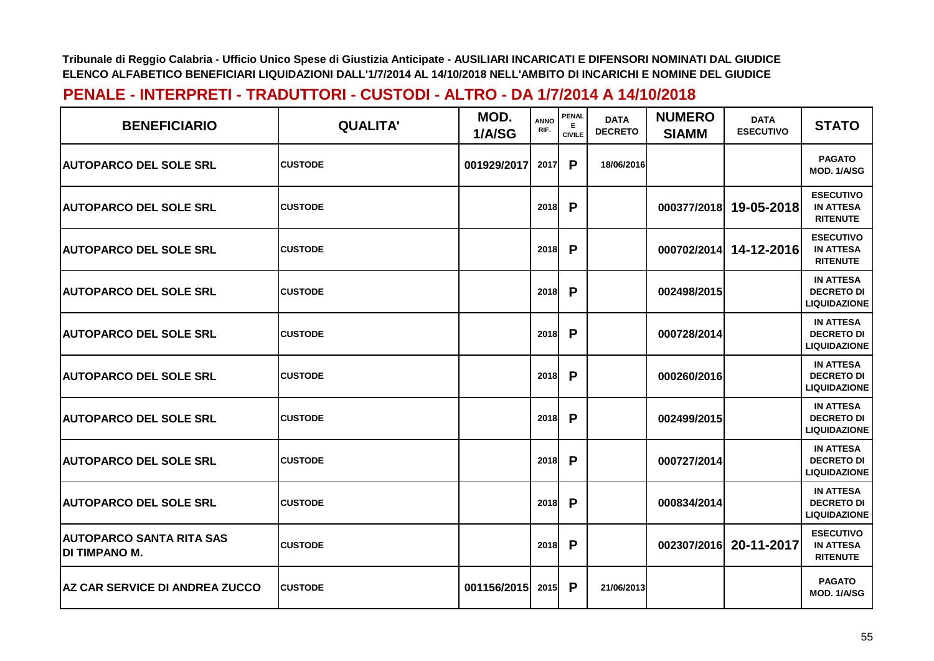| <b>BENEFICIARIO</b>                                     | <b>QUALITA'</b> | MOD.<br>1/A/SG | <b>ANNO</b><br>RIF. | <b>PENAL</b><br>Е<br><b>CIVILE</b> | <b>DATA</b><br><b>DECRETO</b> | <b>NUMERO</b><br><b>SIAMM</b> | <b>DATA</b><br><b>ESECUTIVO</b> | <b>STATO</b>                                                 |
|---------------------------------------------------------|-----------------|----------------|---------------------|------------------------------------|-------------------------------|-------------------------------|---------------------------------|--------------------------------------------------------------|
| <b>AUTOPARCO DEL SOLE SRL</b>                           | <b>CUSTODE</b>  | 001929/2017    | 2017                | P                                  | 18/06/2016                    |                               |                                 | <b>PAGATO</b><br>MOD. 1/A/SG                                 |
| <b>AUTOPARCO DEL SOLE SRL</b>                           | <b>CUSTODE</b>  |                | 2018                | P                                  |                               | 000377/2018                   | 19-05-2018                      | <b>ESECUTIVO</b><br><b>IN ATTESA</b><br><b>RITENUTE</b>      |
| <b>AUTOPARCO DEL SOLE SRL</b>                           | <b>CUSTODE</b>  |                | 2018                | P                                  |                               | 000702/2014                   | 14-12-2016                      | <b>ESECUTIVO</b><br><b>IN ATTESA</b><br><b>RITENUTE</b>      |
| <b> AUTOPARCO DEL SOLE SRL</b>                          | <b>CUSTODE</b>  |                | 2018                | P                                  |                               | 002498/2015                   |                                 | <b>IN ATTESA</b><br><b>DECRETO DI</b><br><b>LIQUIDAZIONE</b> |
| <b> AUTOPARCO DEL SOLE SRL</b>                          | <b>CUSTODE</b>  |                | 2018                | P                                  |                               | 000728/2014                   |                                 | <b>IN ATTESA</b><br><b>DECRETO DI</b><br><b>LIQUIDAZIONE</b> |
| <b>AUTOPARCO DEL SOLE SRL</b>                           | <b>CUSTODE</b>  |                | 2018                | P                                  |                               | 000260/2016                   |                                 | <b>IN ATTESA</b><br><b>DECRETO DI</b><br><b>LIQUIDAZIONE</b> |
| <b>AUTOPARCO DEL SOLE SRL</b>                           | <b>CUSTODE</b>  |                | 2018                | P                                  |                               | 002499/2015                   |                                 | <b>IN ATTESA</b><br><b>DECRETO DI</b><br><b>LIQUIDAZIONE</b> |
| <b>AUTOPARCO DEL SOLE SRL</b>                           | <b>CUSTODE</b>  |                | 2018                | P                                  |                               | 000727/2014                   |                                 | <b>IN ATTESA</b><br><b>DECRETO DI</b><br><b>LIQUIDAZIONE</b> |
| <b>AUTOPARCO DEL SOLE SRL</b>                           | <b>CUSTODE</b>  |                | 2018                | P                                  |                               | 000834/2014                   |                                 | <b>IN ATTESA</b><br><b>DECRETO DI</b><br><b>LIQUIDAZIONE</b> |
| <b>AUTOPARCO SANTA RITA SAS</b><br><b>DI TIMPANO M.</b> | <b>CUSTODE</b>  |                | 2018                | P                                  |                               | 002307/2016                   | 20-11-2017                      | <b>ESECUTIVO</b><br><b>IN ATTESA</b><br><b>RITENUTE</b>      |
| <b>AZ CAR SERVICE DI ANDREA ZUCCO</b>                   | <b>CUSTODE</b>  | 001156/2015    | 2015                | P                                  | 21/06/2013                    |                               |                                 | <b>PAGATO</b><br>MOD. 1/A/SG                                 |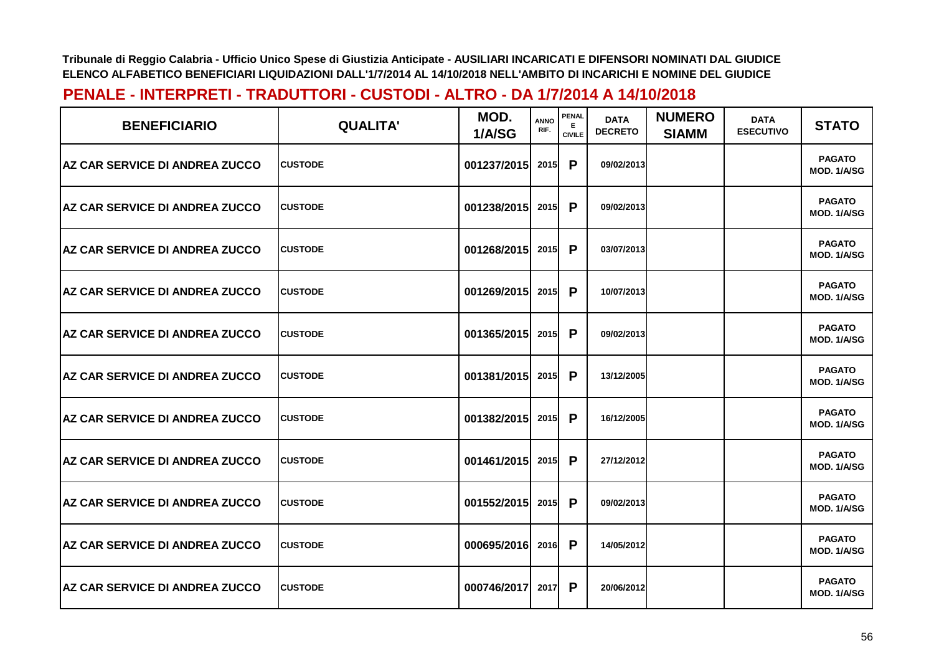| <b>BENEFICIARIO</b>                    | <b>QUALITA'</b> | MOD.<br>1/A/SG   | <b>ANNO</b><br>RIF. | PENAL<br>Е.<br><b>CIVILE</b> | <b>DATA</b><br><b>DECRETO</b> | <b>NUMERO</b><br><b>SIAMM</b> | <b>DATA</b><br><b>ESECUTIVO</b> | <b>STATO</b>                        |
|----------------------------------------|-----------------|------------------|---------------------|------------------------------|-------------------------------|-------------------------------|---------------------------------|-------------------------------------|
| <b>AZ CAR SERVICE DI ANDREA ZUCCO</b>  | <b>ICUSTODE</b> | 001237/2015      | <b>2015</b>         | P                            | 09/02/2013                    |                               |                                 | <b>PAGATO</b><br>MOD. 1/A/SG        |
| <b>IAZ CAR SERVICE DI ANDREA ZUCCO</b> | <b>ICUSTODE</b> | 001238/2015      | 2015                | P                            | 09/02/2013                    |                               |                                 | <b>PAGATO</b><br>MOD. 1/A/SG        |
| <b>AZ CAR SERVICE DI ANDREA ZUCCO</b>  | <b>CUSTODE</b>  | 001268/2015      | 2015                | P                            | 03/07/2013                    |                               |                                 | <b>PAGATO</b><br>MOD. 1/A/SG        |
| <b>AZ CAR SERVICE DI ANDREA ZUCCO</b>  | <b>CUSTODE</b>  | 001269/2015      | 2015                | P                            | 10/07/2013                    |                               |                                 | <b>PAGATO</b><br><b>MOD. 1/A/SG</b> |
| <b>IAZ CAR SERVICE DI ANDREA ZUCCO</b> | <b>CUSTODE</b>  | 001365/2015      | 2015                | P                            | 09/02/2013                    |                               |                                 | <b>PAGATO</b><br>MOD. 1/A/SG        |
| <b>AZ CAR SERVICE DI ANDREA ZUCCO</b>  | <b>ICUSTODE</b> | 001381/2015 2015 |                     | P                            | 13/12/2005                    |                               |                                 | <b>PAGATO</b><br>MOD. 1/A/SG        |
| <b>AZ CAR SERVICE DI ANDREA ZUCCO</b>  | <b>CUSTODE</b>  | 001382/2015      | 2015                | P                            | 16/12/2005                    |                               |                                 | <b>PAGATO</b><br>MOD. 1/A/SG        |
| <b>AZ CAR SERVICE DI ANDREA ZUCCO</b>  | <b>CUSTODE</b>  | 001461/2015      | 2015                | P                            | 27/12/2012                    |                               |                                 | <b>PAGATO</b><br>MOD. 1/A/SG        |
| <b>AZ CAR SERVICE DI ANDREA ZUCCO</b>  | <b>CUSTODE</b>  | 001552/2015      | 2015                | P                            | 09/02/2013                    |                               |                                 | <b>PAGATO</b><br><b>MOD. 1/A/SG</b> |
| <b>AZ CAR SERVICE DI ANDREA ZUCCO</b>  | <b>CUSTODE</b>  | 000695/2016      | 2016                | P                            | 14/05/2012                    |                               |                                 | <b>PAGATO</b><br>MOD. 1/A/SG        |
| <b>AZ CAR SERVICE DI ANDREA ZUCCO</b>  | <b>CUSTODE</b>  | 000746/2017      | 2017                | P                            | 20/06/2012                    |                               |                                 | <b>PAGATO</b><br>MOD. 1/A/SG        |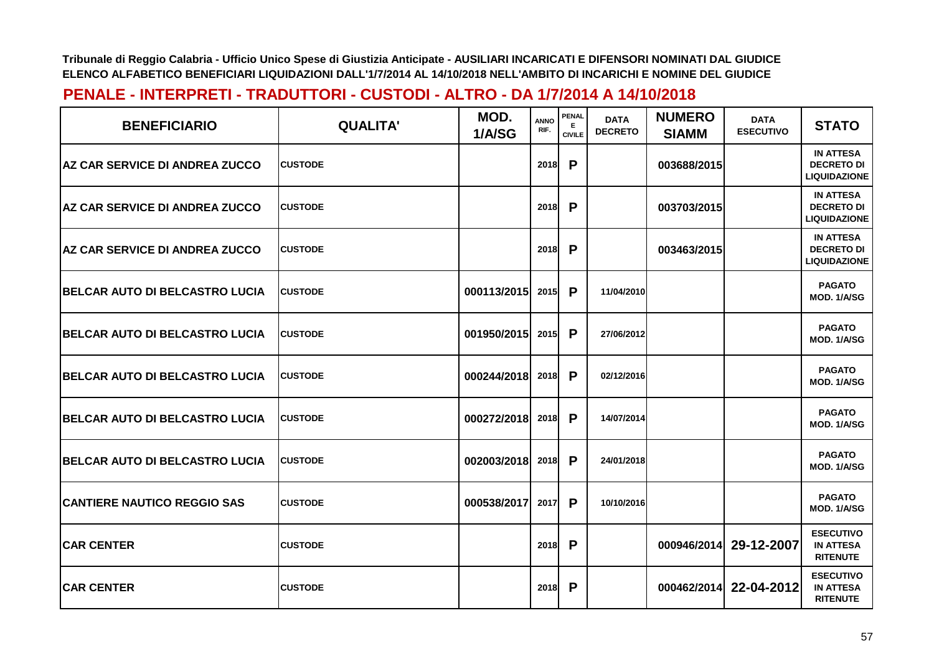| <b>BENEFICIARIO</b>                    | <b>QUALITA'</b> | MOD.<br>1/A/SG | <b>ANNO</b><br>RIF. | PENAL<br>Е<br><b>CIVILE</b> | <b>DATA</b><br><b>DECRETO</b> | <b>NUMERO</b><br><b>SIAMM</b> | <b>DATA</b><br><b>ESECUTIVO</b> | <b>STATO</b>                                                 |
|----------------------------------------|-----------------|----------------|---------------------|-----------------------------|-------------------------------|-------------------------------|---------------------------------|--------------------------------------------------------------|
| <b>AZ CAR SERVICE DI ANDREA ZUCCO</b>  | <b>CUSTODE</b>  |                | <b>2018</b>         | P                           |                               | 003688/2015                   |                                 | <b>IN ATTESA</b><br><b>DECRETO DI</b><br><b>LIQUIDAZIONE</b> |
| <b>AZ CAR SERVICE DI ANDREA ZUCCO</b>  | <b>CUSTODE</b>  |                | 2018                | P                           |                               | 003703/2015                   |                                 | <b>IN ATTESA</b><br><b>DECRETO DI</b><br><b>LIQUIDAZIONE</b> |
| <b>AZ CAR SERVICE DI ANDREA ZUCCO</b>  | <b>CUSTODE</b>  |                | 2018                | P                           |                               | 003463/2015                   |                                 | <b>IN ATTESA</b><br><b>DECRETO DI</b><br><b>LIQUIDAZIONE</b> |
| BELCAR AUTO DI BELCASTRO LUCIA         | <b>CUSTODE</b>  | 000113/2015    | 2015                | P                           | 11/04/2010                    |                               |                                 | <b>PAGATO</b><br>MOD. 1/A/SG                                 |
| <b>IBELCAR AUTO DI BELCASTRO LUCIA</b> | <b>CUSTODE</b>  | 001950/2015    | 2015                | P                           | 27/06/2012                    |                               |                                 | <b>PAGATO</b><br>MOD. 1/A/SG                                 |
| BELCAR AUTO DI BELCASTRO LUCIA         | <b>CUSTODE</b>  | 000244/2018    | 2018                | P                           | 02/12/2016                    |                               |                                 | <b>PAGATO</b><br>MOD. 1/A/SG                                 |
| BELCAR AUTO DI BELCASTRO LUCIA         | <b>CUSTODE</b>  | 000272/2018    | 2018                | P                           | 14/07/2014                    |                               |                                 | <b>PAGATO</b><br>MOD. 1/A/SG                                 |
| BELCAR AUTO DI BELCASTRO LUCIA         | <b>CUSTODE</b>  | 002003/2018    | 2018                | P                           | 24/01/2018                    |                               |                                 | <b>PAGATO</b><br>MOD. 1/A/SG                                 |
| <b>CANTIERE NAUTICO REGGIO SAS</b>     | <b>CUSTODE</b>  | 000538/2017    | 2017                | P                           | 10/10/2016                    |                               |                                 | <b>PAGATO</b><br>MOD. 1/A/SG                                 |
| <b>CAR CENTER</b>                      | <b>CUSTODE</b>  |                | 2018                | P                           |                               | 000946/2014                   | 29-12-2007                      | <b>ESECUTIVO</b><br><b>IN ATTESA</b><br><b>RITENUTE</b>      |
| <b>CAR CENTER</b>                      | <b>CUSTODE</b>  |                | 2018                | P                           |                               | 000462/2014                   | 22-04-2012                      | <b>ESECUTIVO</b><br><b>IN ATTESA</b><br><b>RITENUTE</b>      |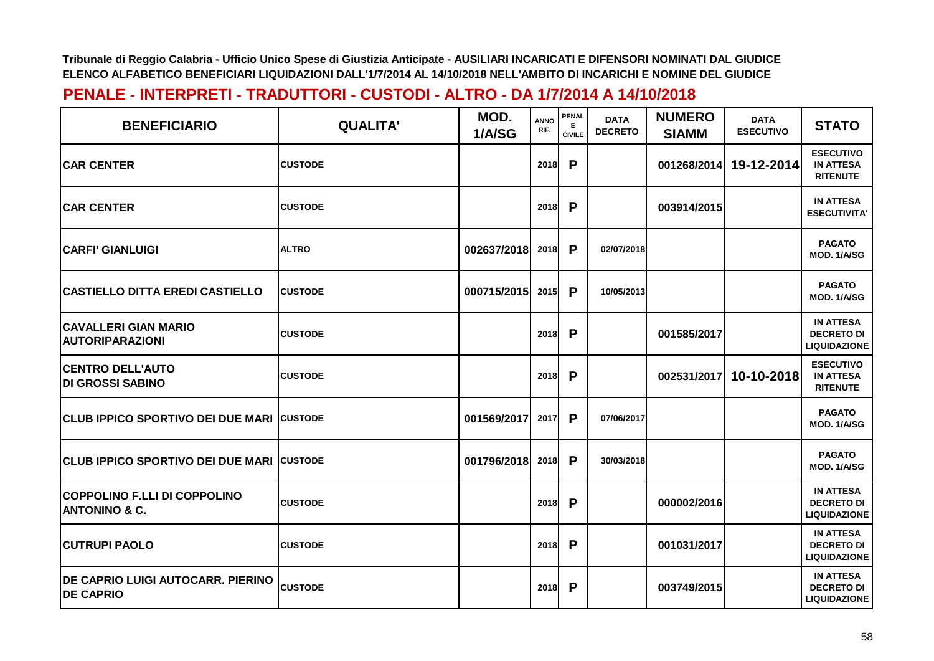| <b>BENEFICIARIO</b>                                             | <b>QUALITA'</b> | MOD.<br>1/A/SG | <b>ANNO</b><br>RIF. | PENAL<br>Е<br><b>CIVILE</b> | <b>DATA</b><br><b>DECRETO</b> | <b>NUMERO</b><br><b>SIAMM</b> | <b>DATA</b><br><b>ESECUTIVO</b> | <b>STATO</b>                                                 |
|-----------------------------------------------------------------|-----------------|----------------|---------------------|-----------------------------|-------------------------------|-------------------------------|---------------------------------|--------------------------------------------------------------|
| <b>ICAR CENTER</b>                                              | <b>CUSTODE</b>  |                | <b>2018</b>         | P                           |                               | 001268/2014                   | 19-12-2014                      | <b>ESECUTIVO</b><br><b>IN ATTESA</b><br><b>RITENUTE</b>      |
| <b>CAR CENTER</b>                                               | <b>CUSTODE</b>  |                | 2018                | P                           |                               | 003914/2015                   |                                 | <b>IN ATTESA</b><br><b>ESECUTIVITA'</b>                      |
| <b>CARFI' GIANLUIGI</b>                                         | <b>ALTRO</b>    | 002637/2018    | 2018                | P                           | 02/07/2018                    |                               |                                 | <b>PAGATO</b><br>MOD. 1/A/SG                                 |
| <b>CASTIELLO DITTA EREDI CASTIELLO</b>                          | <b>CUSTODE</b>  | 000715/2015    | 2015                | P                           | 10/05/2013                    |                               |                                 | <b>PAGATO</b><br>MOD. 1/A/SG                                 |
| <b>CAVALLERI GIAN MARIO</b><br><b>AUTORIPARAZIONI</b>           | <b>CUSTODE</b>  |                | 2018                | P                           |                               | 001585/2017                   |                                 | <b>IN ATTESA</b><br><b>DECRETO DI</b><br><b>LIQUIDAZIONE</b> |
| <b>CENTRO DELL'AUTO</b><br><b>DI GROSSI SABINO</b>              | <b>CUSTODE</b>  |                | <b>2018</b>         | P                           |                               | 002531/2017                   | 10-10-2018                      | <b>ESECUTIVO</b><br><b>IN ATTESA</b><br><b>RITENUTE</b>      |
| <b>CLUB IPPICO SPORTIVO DEI DUE MARI CUSTODE</b>                |                 | 001569/2017    | 2017                | P                           | 07/06/2017                    |                               |                                 | <b>PAGATO</b><br>MOD. 1/A/SG                                 |
| <b>CLUB IPPICO SPORTIVO DEI DUE MARI CUSTODE</b>                |                 | 001796/2018    | 2018                | P                           | 30/03/2018                    |                               |                                 | <b>PAGATO</b><br>MOD. 1/A/SG                                 |
| <b>COPPOLINO F.LLI DI COPPOLINO</b><br><b>ANTONINO &amp; C.</b> | <b>CUSTODE</b>  |                | 2018                | P                           |                               | 000002/2016                   |                                 | <b>IN ATTESA</b><br><b>DECRETO DI</b><br><b>LIQUIDAZIONE</b> |
| <b>CUTRUPI PAOLO</b>                                            | <b>CUSTODE</b>  |                | 2018                | P                           |                               | 001031/2017                   |                                 | <b>IN ATTESA</b><br><b>DECRETO DI</b><br><b>LIQUIDAZIONE</b> |
| <b>DE CAPRIO LUIGI AUTOCARR. PIERINO</b><br><b>DE CAPRIO</b>    | <b>CUSTODE</b>  |                | 2018                | P                           |                               | 003749/2015                   |                                 | <b>IN ATTESA</b><br><b>DECRETO DI</b><br><b>LIQUIDAZIONE</b> |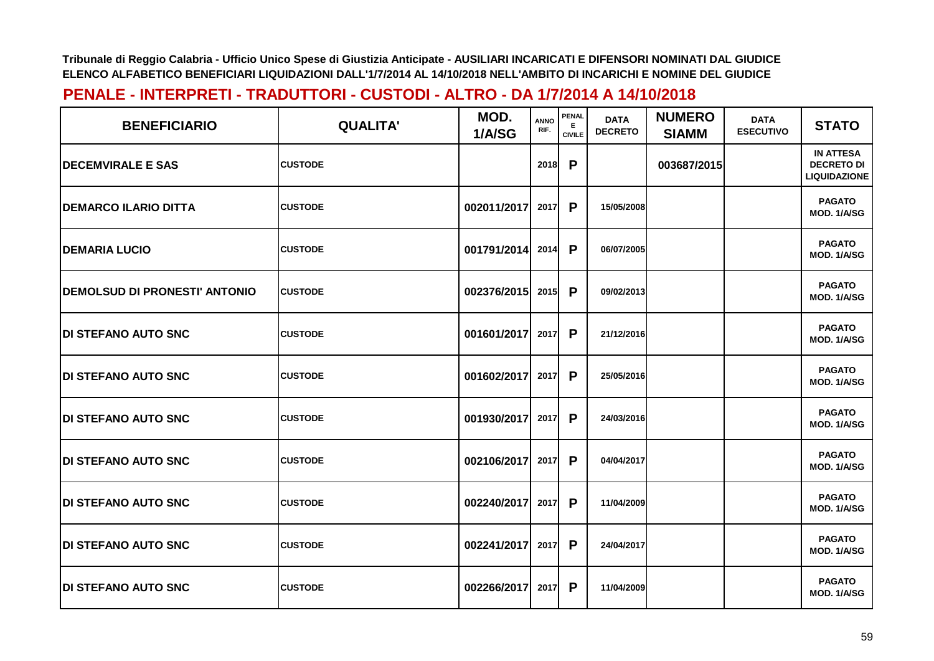| <b>BENEFICIARIO</b>                   | <b>QUALITA'</b> | MOD.<br>1/A/SG | <b>ANNO</b><br>RIF. | PENAL<br>E.<br><b>CIVILE</b> | <b>DATA</b><br><b>DECRETO</b> | <b>NUMERO</b><br><b>SIAMM</b> | <b>DATA</b><br><b>ESECUTIVO</b> | <b>STATO</b>                                                 |
|---------------------------------------|-----------------|----------------|---------------------|------------------------------|-------------------------------|-------------------------------|---------------------------------|--------------------------------------------------------------|
| <b>IDECEMVIRALE E SAS</b>             | <b>CUSTODE</b>  |                | 2018                | P                            |                               | 003687/2015                   |                                 | <b>IN ATTESA</b><br><b>DECRETO DI</b><br><b>LIQUIDAZIONE</b> |
| <b> DEMARCO ILARIO DITTA</b>          | <b>CUSTODE</b>  | 002011/2017    | 2017                | P                            | 15/05/2008                    |                               |                                 | <b>PAGATO</b><br>MOD. 1/A/SG                                 |
| <b>DEMARIA LUCIO</b>                  | <b>CUSTODE</b>  | 001791/2014    | 2014                | P                            | 06/07/2005                    |                               |                                 | <b>PAGATO</b><br>MOD. 1/A/SG                                 |
| <b>IDEMOLSUD DI PRONESTI' ANTONIO</b> | <b>CUSTODE</b>  | 002376/2015    | 2015                | P                            | 09/02/2013                    |                               |                                 | <b>PAGATO</b><br>MOD. 1/A/SG                                 |
| <b>IDI STEFANO AUTO SNC</b>           | <b>CUSTODE</b>  | 001601/2017    | 2017                | P                            | 21/12/2016                    |                               |                                 | <b>PAGATO</b><br>MOD. 1/A/SG                                 |
| <b>IDI STEFANO AUTO SNC</b>           | <b>CUSTODE</b>  | 001602/2017    | 2017                | P                            | 25/05/2016                    |                               |                                 | <b>PAGATO</b><br>MOD. 1/A/SG                                 |
| <b>DI STEFANO AUTO SNC</b>            | <b>CUSTODE</b>  | 001930/2017    | 2017                | P                            | 24/03/2016                    |                               |                                 | <b>PAGATO</b><br>MOD. 1/A/SG                                 |
| <b>DI STEFANO AUTO SNC</b>            | <b>CUSTODE</b>  | 002106/2017    | 2017                | P                            | 04/04/2017                    |                               |                                 | <b>PAGATO</b><br>MOD. 1/A/SG                                 |
| <b>IDI STEFANO AUTO SNC</b>           | <b>CUSTODE</b>  | 002240/2017    | 2017                | P                            | 11/04/2009                    |                               |                                 | <b>PAGATO</b><br>MOD. 1/A/SG                                 |
| <b>IDI STEFANO AUTO SNC</b>           | <b>CUSTODE</b>  | 002241/2017    | 2017                | P                            | 24/04/2017                    |                               |                                 | <b>PAGATO</b><br>MOD. 1/A/SG                                 |
| <b>IDI STEFANO AUTO SNC</b>           | <b>CUSTODE</b>  | 002266/2017    | 2017                | P                            | 11/04/2009                    |                               |                                 | <b>PAGATO</b><br>MOD. 1/A/SG                                 |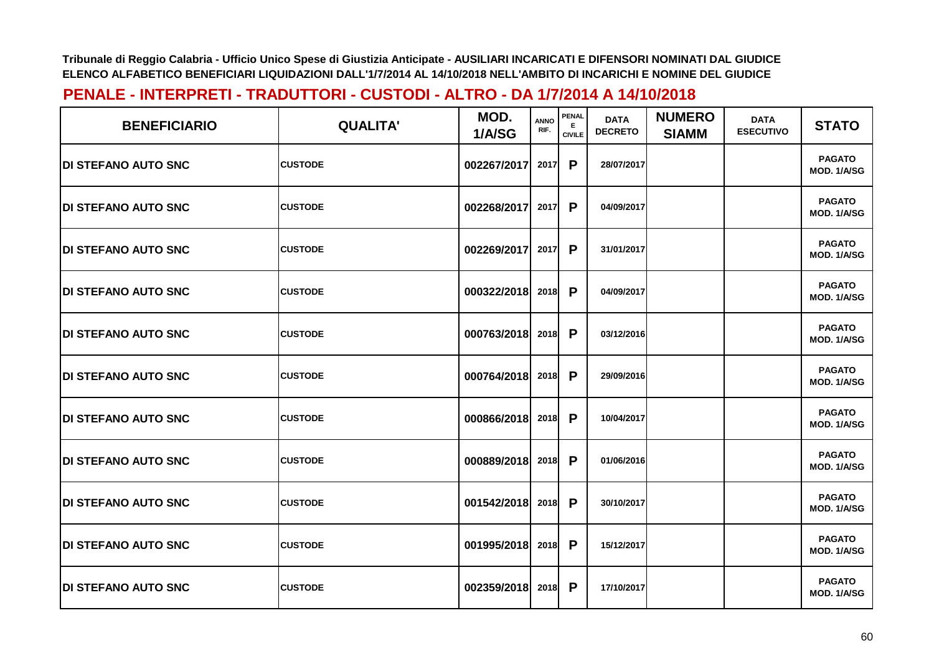| <b>BENEFICIARIO</b>         | <b>QUALITA'</b> | MOD.<br>1/A/SG | <b>ANNO</b><br>RIF. | PENAL<br>E<br><b>CIVILE</b> | <b>DATA</b><br><b>DECRETO</b> | <b>NUMERO</b><br><b>SIAMM</b> | <b>DATA</b><br><b>ESECUTIVO</b> | <b>STATO</b>                        |
|-----------------------------|-----------------|----------------|---------------------|-----------------------------|-------------------------------|-------------------------------|---------------------------------|-------------------------------------|
| <b>IDI STEFANO AUTO SNC</b> | <b>CUSTODE</b>  | 002267/2017    | 2017                | P                           | 28/07/2017                    |                               |                                 | <b>PAGATO</b><br>MOD. 1/A/SG        |
| <b>IDI STEFANO AUTO SNC</b> | <b>CUSTODE</b>  | 002268/2017    | 2017                | P                           | 04/09/2017                    |                               |                                 | <b>PAGATO</b><br>MOD. 1/A/SG        |
| <b>DI STEFANO AUTO SNC</b>  | <b>CUSTODE</b>  | 002269/2017    | 2017                | P                           | 31/01/2017                    |                               |                                 | <b>PAGATO</b><br>MOD. 1/A/SG        |
| <b>DI STEFANO AUTO SNC</b>  | <b>CUSTODE</b>  | 000322/2018    | 2018                | P                           | 04/09/2017                    |                               |                                 | <b>PAGATO</b><br>MOD. 1/A/SG        |
| <b>DI STEFANO AUTO SNC</b>  | <b>CUSTODE</b>  | 000763/2018    | 2018                | P                           | 03/12/2016                    |                               |                                 | <b>PAGATO</b><br>MOD. 1/A/SG        |
| <b>DI STEFANO AUTO SNC</b>  | <b>CUSTODE</b>  | 000764/2018    | 2018                | P                           | 29/09/2016                    |                               |                                 | <b>PAGATO</b><br>MOD. 1/A/SG        |
| <b>DI STEFANO AUTO SNC</b>  | <b>CUSTODE</b>  | 000866/2018    | 2018                | P                           | 10/04/2017                    |                               |                                 | <b>PAGATO</b><br>MOD. 1/A/SG        |
| <b>DI STEFANO AUTO SNC</b>  | <b>CUSTODE</b>  | 000889/2018    | 2018                | P                           | 01/06/2016                    |                               |                                 | <b>PAGATO</b><br><b>MOD. 1/A/SG</b> |
| <b>DI STEFANO AUTO SNC</b>  | <b>CUSTODE</b>  | 001542/2018    | 2018                | P                           | 30/10/2017                    |                               |                                 | <b>PAGATO</b><br><b>MOD. 1/A/SG</b> |
| <b>DI STEFANO AUTO SNC</b>  | <b>CUSTODE</b>  | 001995/2018    | 2018                | P                           | 15/12/2017                    |                               |                                 | <b>PAGATO</b><br>MOD. 1/A/SG        |
| <b>IDI STEFANO AUTO SNC</b> | <b>CUSTODE</b>  | 002359/2018    | 2018                | P                           | 17/10/2017                    |                               |                                 | <b>PAGATO</b><br>MOD. 1/A/SG        |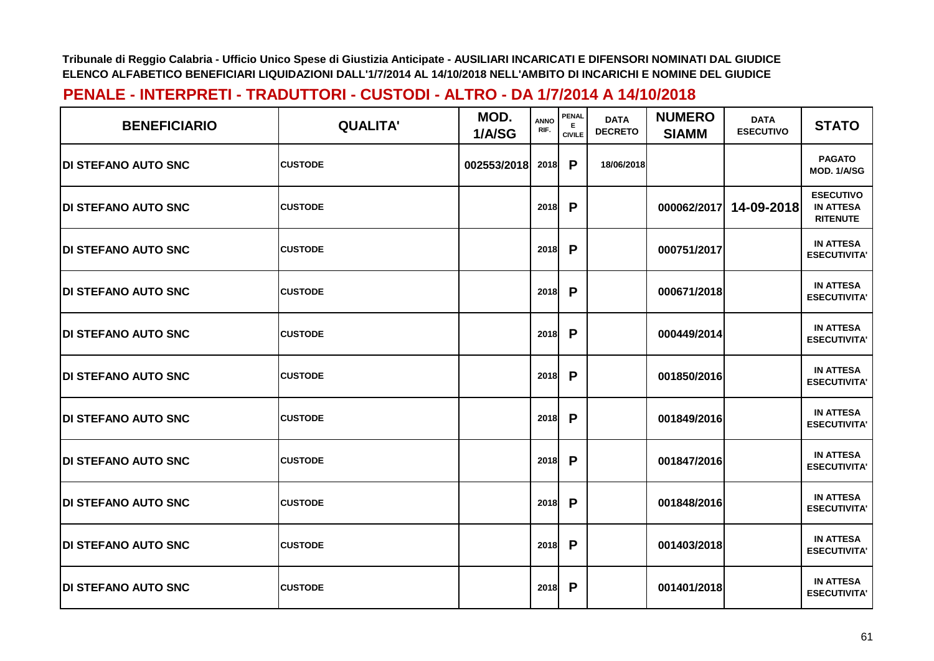| <b>BENEFICIARIO</b>         | <b>QUALITA'</b> | MOD.<br>1/A/SG | ANNO<br>RIF. | PENAL<br>Е.<br><b>CIVILE</b> | <b>DATA</b><br><b>DECRETO</b> | <b>NUMERO</b><br><b>SIAMM</b> | <b>DATA</b><br><b>ESECUTIVO</b> | <b>STATO</b>                                            |
|-----------------------------|-----------------|----------------|--------------|------------------------------|-------------------------------|-------------------------------|---------------------------------|---------------------------------------------------------|
| <b>DI STEFANO AUTO SNC</b>  | <b>CUSTODE</b>  | 002553/2018    | 2018         | P                            | 18/06/2018                    |                               |                                 | <b>PAGATO</b><br>MOD. 1/A/SG                            |
| <b>IDI STEFANO AUTO SNC</b> | <b>CUSTODE</b>  |                | 2018         | P                            |                               | 000062/2017                   | 14-09-2018                      | <b>ESECUTIVO</b><br><b>IN ATTESA</b><br><b>RITENUTE</b> |
| <b>DI STEFANO AUTO SNC</b>  | <b>CUSTODE</b>  |                | 2018         | P                            |                               | 000751/2017                   |                                 | <b>IN ATTESA</b><br><b>ESECUTIVITA'</b>                 |
| <b>IDI STEFANO AUTO SNC</b> | <b>CUSTODE</b>  |                | 2018         | P                            |                               | 000671/2018                   |                                 | <b>IN ATTESA</b><br><b>ESECUTIVITA'</b>                 |
| <b>IDI STEFANO AUTO SNC</b> | <b>CUSTODE</b>  |                | 2018         | P                            |                               | 000449/2014                   |                                 | <b>IN ATTESA</b><br><b>ESECUTIVITA'</b>                 |
| <b>DI STEFANO AUTO SNC</b>  | <b>CUSTODE</b>  |                | 2018         | P                            |                               | 001850/2016                   |                                 | <b>IN ATTESA</b><br><b>ESECUTIVITA'</b>                 |
| <b>DI STEFANO AUTO SNC</b>  | <b>CUSTODE</b>  |                | 2018         | P                            |                               | 001849/2016                   |                                 | <b>IN ATTESA</b><br><b>ESECUTIVITA'</b>                 |
| <b>DI STEFANO AUTO SNC</b>  | <b>CUSTODE</b>  |                | 2018         | P                            |                               | 001847/2016                   |                                 | <b>IN ATTESA</b><br><b>ESECUTIVITA'</b>                 |
| <b>DI STEFANO AUTO SNC</b>  | <b>CUSTODE</b>  |                | 2018         | P                            |                               | 001848/2016                   |                                 | <b>IN ATTESA</b><br><b>ESECUTIVITA'</b>                 |
| <b>IDI STEFANO AUTO SNC</b> | <b>CUSTODE</b>  |                | 2018         | P                            |                               | 001403/2018                   |                                 | <b>IN ATTESA</b><br><b>ESECUTIVITA'</b>                 |
| <b>DI STEFANO AUTO SNC</b>  | <b>CUSTODE</b>  |                | 2018         | P                            |                               | 001401/2018                   |                                 | <b>IN ATTESA</b><br><b>ESECUTIVITA'</b>                 |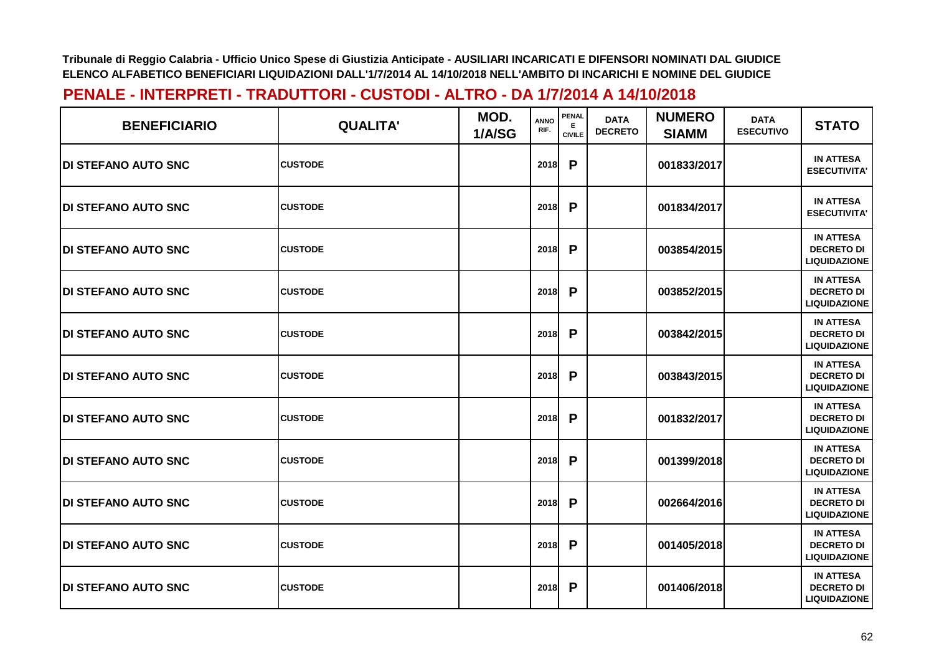| <b>BENEFICIARIO</b>         | <b>QUALITA'</b> | MOD.<br>1/A/SG | <b>ANNO</b><br>RIF. | PENAL<br>E.<br><b>CIVILE</b> | <b>DATA</b><br><b>DECRETO</b> | <b>NUMERO</b><br><b>SIAMM</b> | <b>DATA</b><br><b>ESECUTIVO</b> | <b>STATO</b>                                                 |
|-----------------------------|-----------------|----------------|---------------------|------------------------------|-------------------------------|-------------------------------|---------------------------------|--------------------------------------------------------------|
| <b>DI STEFANO AUTO SNC</b>  | <b>CUSTODE</b>  |                | 2018                | P                            |                               | 001833/2017                   |                                 | <b>IN ATTESA</b><br><b>ESECUTIVITA'</b>                      |
| <b>IDI STEFANO AUTO SNC</b> | <b>CUSTODE</b>  |                | 2018                | P                            |                               | 001834/2017                   |                                 | <b>IN ATTESA</b><br><b>ESECUTIVITA'</b>                      |
| <b>DI STEFANO AUTO SNC</b>  | <b>CUSTODE</b>  |                | 2018                | P                            |                               | 003854/2015                   |                                 | <b>IN ATTESA</b><br><b>DECRETO DI</b><br><b>LIQUIDAZIONE</b> |
| <b>DI STEFANO AUTO SNC</b>  | <b>CUSTODE</b>  |                | 2018                | P                            |                               | 003852/2015                   |                                 | <b>IN ATTESA</b><br><b>DECRETO DI</b><br><b>LIQUIDAZIONE</b> |
| <b>IDI STEFANO AUTO SNC</b> | <b>CUSTODE</b>  |                | 2018                | P                            |                               | 003842/2015                   |                                 | <b>IN ATTESA</b><br><b>DECRETO DI</b><br><b>LIQUIDAZIONE</b> |
| <b>DI STEFANO AUTO SNC</b>  | <b>CUSTODE</b>  |                | 2018                | P                            |                               | 003843/2015                   |                                 | <b>IN ATTESA</b><br><b>DECRETO DI</b><br><b>LIQUIDAZIONE</b> |
| <b>DI STEFANO AUTO SNC</b>  | <b>CUSTODE</b>  |                | 2018                | P                            |                               | 001832/2017                   |                                 | <b>IN ATTESA</b><br><b>DECRETO DI</b><br><b>LIQUIDAZIONE</b> |
| <b>IDI STEFANO AUTO SNC</b> | <b>CUSTODE</b>  |                | 2018                | P                            |                               | 001399/2018                   |                                 | <b>IN ATTESA</b><br><b>DECRETO DI</b><br><b>LIQUIDAZIONE</b> |
| <b>DI STEFANO AUTO SNC</b>  | <b>CUSTODE</b>  |                | 2018                | P                            |                               | 002664/2016                   |                                 | <b>IN ATTESA</b><br><b>DECRETO DI</b><br><b>LIQUIDAZIONE</b> |
| <b>IDI STEFANO AUTO SNC</b> | <b>CUSTODE</b>  |                | 2018                | P                            |                               | 001405/2018                   |                                 | <b>IN ATTESA</b><br><b>DECRETO DI</b><br><b>LIQUIDAZIONE</b> |
| <b>DI STEFANO AUTO SNC</b>  | <b>CUSTODE</b>  |                | 2018                | P                            |                               | 001406/2018                   |                                 | <b>IN ATTESA</b><br><b>DECRETO DI</b><br><b>LIQUIDAZIONE</b> |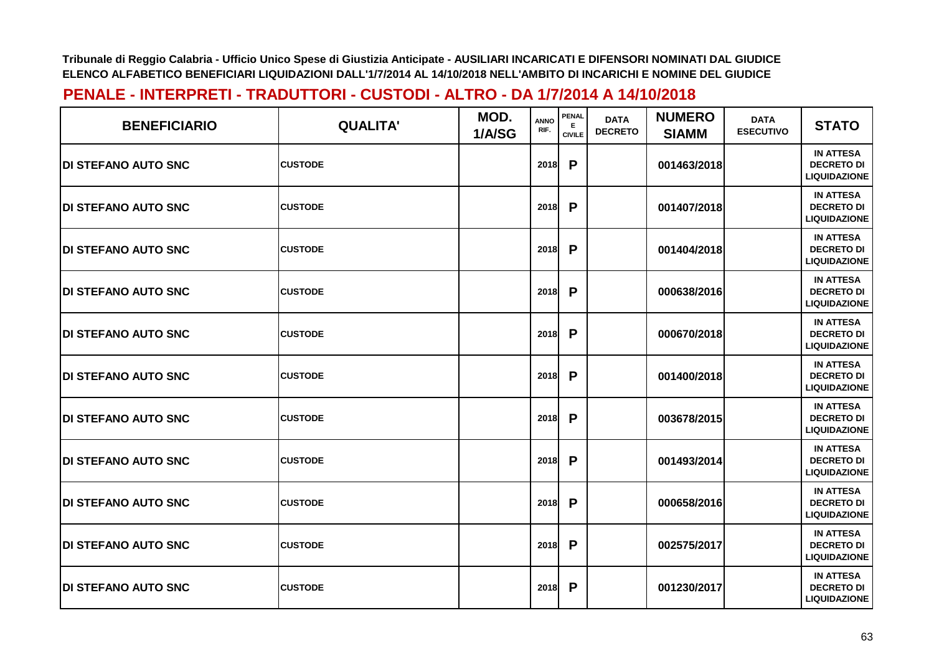| <b>BENEFICIARIO</b>         | <b>QUALITA'</b> | MOD.<br>1/A/SG | <b>ANNO</b><br>RIF. | <b>PENAL</b><br>E<br><b>CIVILE</b> | <b>DATA</b><br><b>DECRETO</b> | <b>NUMERO</b><br><b>SIAMM</b> | <b>DATA</b><br><b>ESECUTIVO</b> | <b>STATO</b>                                                 |
|-----------------------------|-----------------|----------------|---------------------|------------------------------------|-------------------------------|-------------------------------|---------------------------------|--------------------------------------------------------------|
| <b>DI STEFANO AUTO SNC</b>  | <b>CUSTODE</b>  |                | 2018                | P                                  |                               | 001463/2018                   |                                 | <b>IN ATTESA</b><br><b>DECRETO DI</b><br><b>LIQUIDAZIONE</b> |
| <b>DI STEFANO AUTO SNC</b>  | <b>CUSTODE</b>  |                | 2018                | P                                  |                               | 001407/2018                   |                                 | <b>IN ATTESA</b><br><b>DECRETO DI</b><br><b>LIQUIDAZIONE</b> |
| <b>IDI STEFANO AUTO SNC</b> | <b>CUSTODE</b>  |                | 2018                | P                                  |                               | 001404/2018                   |                                 | <b>IN ATTESA</b><br><b>DECRETO DI</b><br><b>LIQUIDAZIONE</b> |
| <b>IDI STEFANO AUTO SNC</b> | <b>CUSTODE</b>  |                | 2018                | P                                  |                               | 000638/2016                   |                                 | <b>IN ATTESA</b><br><b>DECRETO DI</b><br><b>LIQUIDAZIONE</b> |
| <b>DI STEFANO AUTO SNC</b>  | <b>CUSTODE</b>  |                | 2018                | P                                  |                               | 000670/2018                   |                                 | <b>IN ATTESA</b><br><b>DECRETO DI</b><br><b>LIQUIDAZIONE</b> |
| <b>DI STEFANO AUTO SNC</b>  | <b>CUSTODE</b>  |                | 2018                | P                                  |                               | 001400/2018                   |                                 | <b>IN ATTESA</b><br><b>DECRETO DI</b><br><b>LIQUIDAZIONE</b> |
| <b>DI STEFANO AUTO SNC</b>  | <b>CUSTODE</b>  |                | 2018                | P                                  |                               | 003678/2015                   |                                 | <b>IN ATTESA</b><br><b>DECRETO DI</b><br><b>LIQUIDAZIONE</b> |
| <b>DI STEFANO AUTO SNC</b>  | <b>CUSTODE</b>  |                | 2018                | P                                  |                               | 001493/2014                   |                                 | <b>IN ATTESA</b><br><b>DECRETO DI</b><br><b>LIQUIDAZIONE</b> |
| <b>DI STEFANO AUTO SNC</b>  | <b>CUSTODE</b>  |                | 2018                | P                                  |                               | 000658/2016                   |                                 | <b>IN ATTESA</b><br><b>DECRETO DI</b><br><b>LIQUIDAZIONE</b> |
| <b>DI STEFANO AUTO SNC</b>  | <b>CUSTODE</b>  |                | 2018                | P                                  |                               | 002575/2017                   |                                 | <b>IN ATTESA</b><br><b>DECRETO DI</b><br><b>LIQUIDAZIONE</b> |
| <b>DI STEFANO AUTO SNC</b>  | <b>CUSTODE</b>  |                | 2018                | P                                  |                               | 001230/2017                   |                                 | <b>IN ATTESA</b><br><b>DECRETO DI</b><br><b>LIQUIDAZIONE</b> |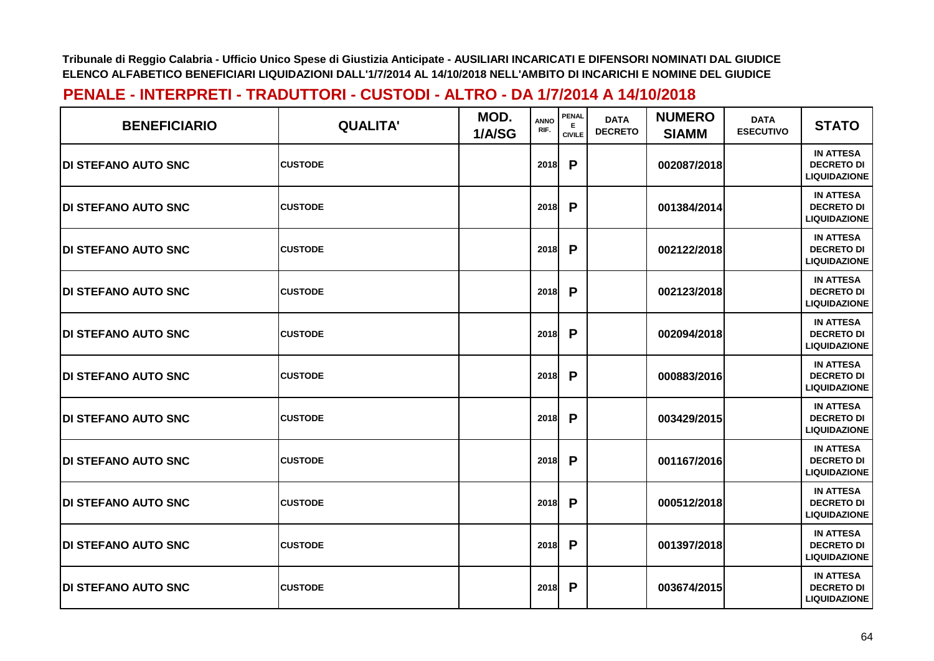| <b>BENEFICIARIO</b>         | <b>QUALITA'</b> | MOD.<br>1/A/SG | <b>ANNO</b><br>RIF. | PENAL<br>E.<br><b>CIVILE</b> | <b>DATA</b><br><b>DECRETO</b> | <b>NUMERO</b><br><b>SIAMM</b> | <b>DATA</b><br><b>ESECUTIVO</b> | <b>STATO</b>                                                 |
|-----------------------------|-----------------|----------------|---------------------|------------------------------|-------------------------------|-------------------------------|---------------------------------|--------------------------------------------------------------|
| <b>DI STEFANO AUTO SNC</b>  | <b>CUSTODE</b>  |                | 2018                | P                            |                               | 002087/2018                   |                                 | <b>IN ATTESA</b><br><b>DECRETO DI</b><br><b>LIQUIDAZIONE</b> |
| <b>DI STEFANO AUTO SNC</b>  | <b>CUSTODE</b>  |                | 2018                | P                            |                               | 001384/2014                   |                                 | <b>IN ATTESA</b><br><b>DECRETO DI</b><br><b>LIQUIDAZIONE</b> |
| <b>DI STEFANO AUTO SNC</b>  | <b>CUSTODE</b>  |                | 2018                | P                            |                               | 002122/2018                   |                                 | <b>IN ATTESA</b><br><b>DECRETO DI</b><br><b>LIQUIDAZIONE</b> |
| <b>DI STEFANO AUTO SNC</b>  | <b>CUSTODE</b>  |                | 2018                | P                            |                               | 002123/2018                   |                                 | <b>IN ATTESA</b><br><b>DECRETO DI</b><br><b>LIQUIDAZIONE</b> |
| <b>IDI STEFANO AUTO SNC</b> | <b>CUSTODE</b>  |                | 2018                | P                            |                               | 002094/2018                   |                                 | <b>IN ATTESA</b><br><b>DECRETO DI</b><br><b>LIQUIDAZIONE</b> |
| <b>DI STEFANO AUTO SNC</b>  | <b>CUSTODE</b>  |                | 2018                | P                            |                               | 000883/2016                   |                                 | <b>IN ATTESA</b><br><b>DECRETO DI</b><br><b>LIQUIDAZIONE</b> |
| <b>DI STEFANO AUTO SNC</b>  | <b>CUSTODE</b>  |                | 2018                | P                            |                               | 003429/2015                   |                                 | <b>IN ATTESA</b><br><b>DECRETO DI</b><br><b>LIQUIDAZIONE</b> |
| <b>DI STEFANO AUTO SNC</b>  | <b>CUSTODE</b>  |                | 2018                | P                            |                               | 001167/2016                   |                                 | <b>IN ATTESA</b><br><b>DECRETO DI</b><br><b>LIQUIDAZIONE</b> |
| <b>DI STEFANO AUTO SNC</b>  | <b>CUSTODE</b>  |                | 2018                | P                            |                               | 000512/2018                   |                                 | <b>IN ATTESA</b><br><b>DECRETO DI</b><br><b>LIQUIDAZIONE</b> |
| <b>DI STEFANO AUTO SNC</b>  | <b>CUSTODE</b>  |                | 2018                | P                            |                               | 001397/2018                   |                                 | <b>IN ATTESA</b><br><b>DECRETO DI</b><br><b>LIQUIDAZIONE</b> |
| <b>DI STEFANO AUTO SNC</b>  | <b>CUSTODE</b>  |                | 2018                | P                            |                               | 003674/2015                   |                                 | <b>IN ATTESA</b><br><b>DECRETO DI</b><br><b>LIQUIDAZIONE</b> |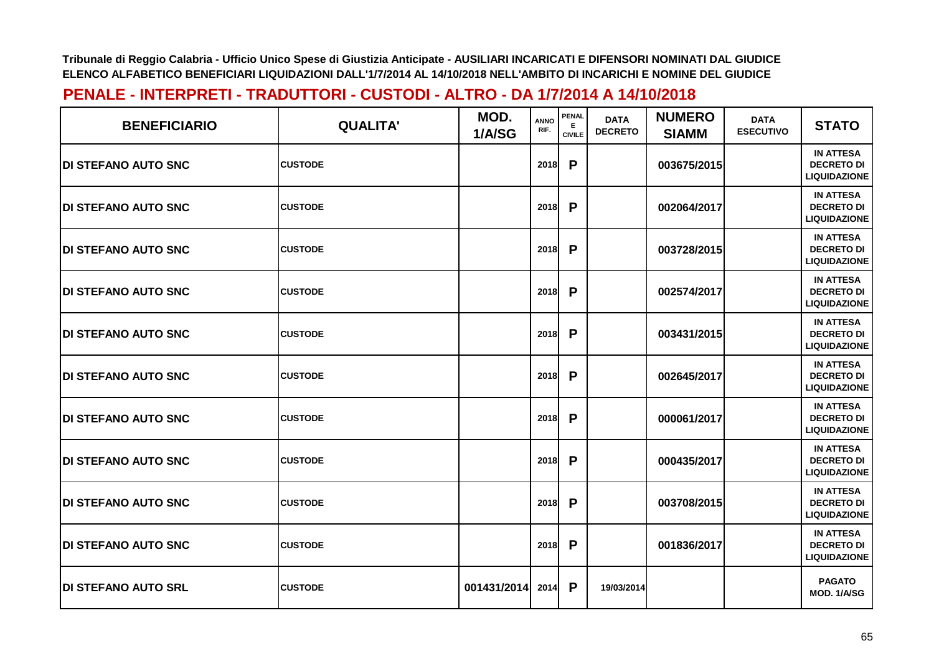| <b>BENEFICIARIO</b>         | <b>QUALITA'</b> | MOD.<br>1/A/SG | <b>ANNO</b><br>RIF. | <b>PENAL</b><br>Е<br><b>CIVILE</b> | <b>DATA</b><br><b>DECRETO</b> | <b>NUMERO</b><br><b>SIAMM</b> | <b>DATA</b><br><b>ESECUTIVO</b> | <b>STATO</b>                                                 |
|-----------------------------|-----------------|----------------|---------------------|------------------------------------|-------------------------------|-------------------------------|---------------------------------|--------------------------------------------------------------|
| <b>DI STEFANO AUTO SNC</b>  | <b>CUSTODE</b>  |                | 2018                | P                                  |                               | 003675/2015                   |                                 | <b>IN ATTESA</b><br><b>DECRETO DI</b><br><b>LIQUIDAZIONE</b> |
| <b>IDI STEFANO AUTO SNC</b> | <b>CUSTODE</b>  |                | 2018                | P                                  |                               | 002064/2017                   |                                 | <b>IN ATTESA</b><br><b>DECRETO DI</b><br><b>LIQUIDAZIONE</b> |
| <b>DI STEFANO AUTO SNC</b>  | <b>CUSTODE</b>  |                | 2018                | P                                  |                               | 003728/2015                   |                                 | <b>IN ATTESA</b><br><b>DECRETO DI</b><br><b>LIQUIDAZIONE</b> |
| <b>IDI STEFANO AUTO SNC</b> | <b>CUSTODE</b>  |                | 2018                | P                                  |                               | 002574/2017                   |                                 | <b>IN ATTESA</b><br><b>DECRETO DI</b><br><b>LIQUIDAZIONE</b> |
| <b>IDI STEFANO AUTO SNC</b> | <b>CUSTODE</b>  |                | 2018                | P                                  |                               | 003431/2015                   |                                 | <b>IN ATTESA</b><br><b>DECRETO DI</b><br><b>LIQUIDAZIONE</b> |
| <b>IDI STEFANO AUTO SNC</b> | <b>CUSTODE</b>  |                | 2018                | P                                  |                               | 002645/2017                   |                                 | <b>IN ATTESA</b><br><b>DECRETO DI</b><br><b>LIQUIDAZIONE</b> |
| <b>DI STEFANO AUTO SNC</b>  | <b>CUSTODE</b>  |                | 2018                | P                                  |                               | 000061/2017                   |                                 | <b>IN ATTESA</b><br><b>DECRETO DI</b><br><b>LIQUIDAZIONE</b> |
| <b>DI STEFANO AUTO SNC</b>  | <b>CUSTODE</b>  |                | 2018                | P                                  |                               | 000435/2017                   |                                 | <b>IN ATTESA</b><br><b>DECRETO DI</b><br><b>LIQUIDAZIONE</b> |
| <b>DI STEFANO AUTO SNC</b>  | <b>CUSTODE</b>  |                | 2018                | P                                  |                               | 003708/2015                   |                                 | <b>IN ATTESA</b><br><b>DECRETO DI</b><br><b>LIQUIDAZIONE</b> |
| <b>DI STEFANO AUTO SNC</b>  | <b>CUSTODE</b>  |                | 2018                | P                                  |                               | 001836/2017                   |                                 | <b>IN ATTESA</b><br><b>DECRETO DI</b><br><b>LIQUIDAZIONE</b> |
| <b>DI STEFANO AUTO SRL</b>  | <b>CUSTODE</b>  | 001431/2014    | 2014                | P                                  | 19/03/2014                    |                               |                                 | <b>PAGATO</b><br>MOD. 1/A/SG                                 |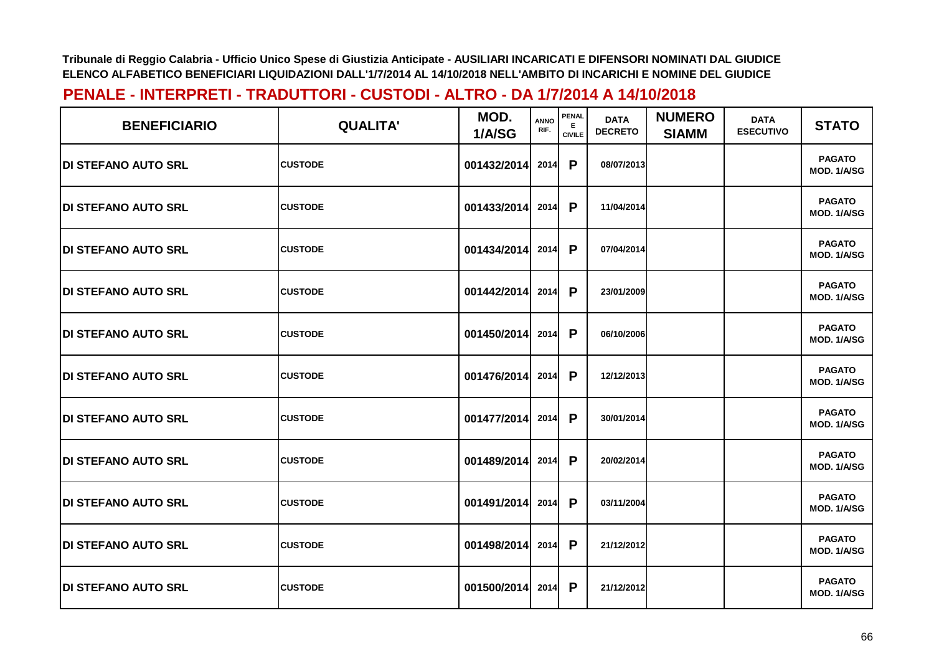| <b>BENEFICIARIO</b>         | <b>QUALITA'</b> | MOD.<br>1/A/SG | <b>ANNO</b><br>RIF. | <b>PENAL</b><br>E.<br><b>CIVILE</b> | <b>DATA</b><br><b>DECRETO</b> | <b>NUMERO</b><br><b>SIAMM</b> | <b>DATA</b><br><b>ESECUTIVO</b> | <b>STATO</b>                 |
|-----------------------------|-----------------|----------------|---------------------|-------------------------------------|-------------------------------|-------------------------------|---------------------------------|------------------------------|
| <b>DI STEFANO AUTO SRL</b>  | <b>CUSTODE</b>  | 001432/2014    | 2014                | P                                   | 08/07/2013                    |                               |                                 | <b>PAGATO</b><br>MOD. 1/A/SG |
| <b>DI STEFANO AUTO SRL</b>  | <b>CUSTODE</b>  | 001433/2014    | 2014                | P                                   | 11/04/2014                    |                               |                                 | <b>PAGATO</b><br>MOD. 1/A/SG |
| <b>DI STEFANO AUTO SRL</b>  | <b>CUSTODE</b>  | 001434/2014    | 2014                | P                                   | 07/04/2014                    |                               |                                 | <b>PAGATO</b><br>MOD. 1/A/SG |
| <b>DI STEFANO AUTO SRL</b>  | <b>CUSTODE</b>  | 001442/2014    | 2014                | P                                   | 23/01/2009                    |                               |                                 | <b>PAGATO</b><br>MOD. 1/A/SG |
| <b>IDI STEFANO AUTO SRL</b> | <b>CUSTODE</b>  | 001450/2014    | 2014                | P                                   | 06/10/2006                    |                               |                                 | <b>PAGATO</b><br>MOD. 1/A/SG |
| <b>DI STEFANO AUTO SRL</b>  | <b>CUSTODE</b>  | 001476/2014    | 2014                | P                                   | 12/12/2013                    |                               |                                 | <b>PAGATO</b><br>MOD. 1/A/SG |
| <b>DI STEFANO AUTO SRL</b>  | <b>CUSTODE</b>  | 001477/2014    | 2014                | P                                   | 30/01/2014                    |                               |                                 | <b>PAGATO</b><br>MOD. 1/A/SG |
| <b>DI STEFANO AUTO SRL</b>  | <b>CUSTODE</b>  | 001489/2014    | 2014                | P                                   | 20/02/2014                    |                               |                                 | <b>PAGATO</b><br>MOD. 1/A/SG |
| <b>DI STEFANO AUTO SRL</b>  | <b>CUSTODE</b>  | 001491/2014    | 2014                | P                                   | 03/11/2004                    |                               |                                 | <b>PAGATO</b><br>MOD. 1/A/SG |
| <b>DI STEFANO AUTO SRL</b>  | <b>CUSTODE</b>  | 001498/2014    | 2014                | P                                   | 21/12/2012                    |                               |                                 | <b>PAGATO</b><br>MOD. 1/A/SG |
| <b>DI STEFANO AUTO SRL</b>  | <b>CUSTODE</b>  | 001500/2014    | 2014                | P                                   | 21/12/2012                    |                               |                                 | <b>PAGATO</b><br>MOD. 1/A/SG |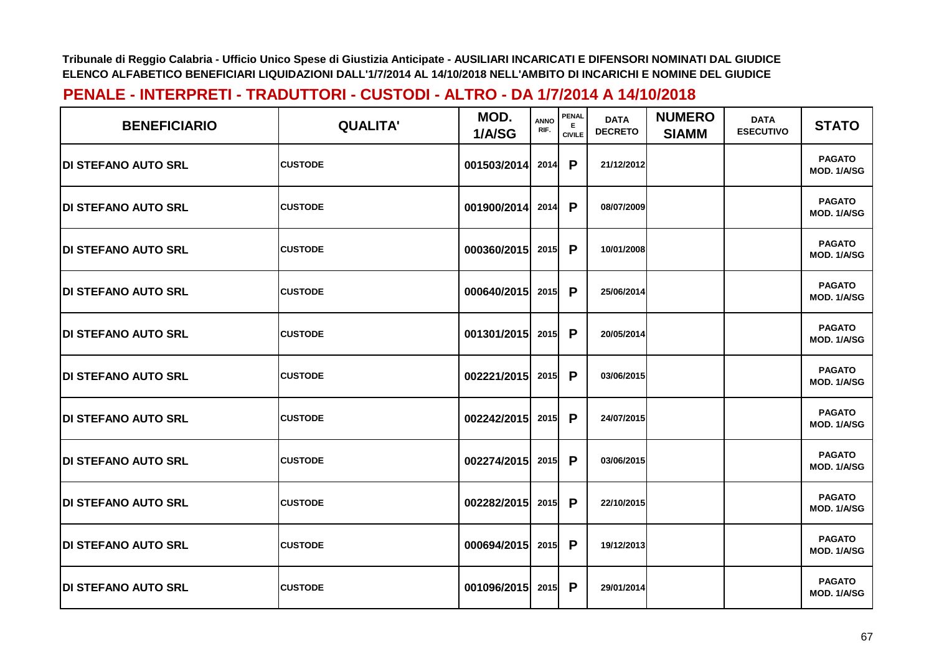| <b>BENEFICIARIO</b>         | <b>QUALITA'</b> | MOD.<br>1/A/SG   | <b>ANNO</b><br>RIF. | <b>PENAL</b><br>E.<br><b>CIVILE</b> | <b>DATA</b><br><b>DECRETO</b> | <b>NUMERO</b><br><b>SIAMM</b> | <b>DATA</b><br><b>ESECUTIVO</b> | <b>STATO</b>                 |
|-----------------------------|-----------------|------------------|---------------------|-------------------------------------|-------------------------------|-------------------------------|---------------------------------|------------------------------|
| <b>IDI STEFANO AUTO SRL</b> | <b>CUSTODE</b>  | 001503/2014      | 2014                | P                                   | 21/12/2012                    |                               |                                 | <b>PAGATO</b><br>MOD. 1/A/SG |
| <b>DI STEFANO AUTO SRL</b>  | <b>CUSTODE</b>  | 001900/2014      | 2014                | P                                   | 08/07/2009                    |                               |                                 | <b>PAGATO</b><br>MOD. 1/A/SG |
| <b>DI STEFANO AUTO SRL</b>  | <b>CUSTODE</b>  | 000360/2015      | 2015                | P                                   | 10/01/2008                    |                               |                                 | <b>PAGATO</b><br>MOD. 1/A/SG |
| <b>IDI STEFANO AUTO SRL</b> | <b>CUSTODE</b>  | 000640/2015 2015 |                     | P                                   | 25/06/2014                    |                               |                                 | <b>PAGATO</b><br>MOD. 1/A/SG |
| <b>IDI STEFANO AUTO SRL</b> | <b>CUSTODE</b>  | 001301/2015      | 2015                | P                                   | 20/05/2014                    |                               |                                 | <b>PAGATO</b><br>MOD. 1/A/SG |
| <b>DI STEFANO AUTO SRL</b>  | <b>CUSTODE</b>  | 002221/2015 2015 |                     | P                                   | 03/06/2015                    |                               |                                 | <b>PAGATO</b><br>MOD. 1/A/SG |
| <b>IDI STEFANO AUTO SRL</b> | <b>CUSTODE</b>  | 002242/2015 2015 |                     | P                                   | 24/07/2015                    |                               |                                 | <b>PAGATO</b><br>MOD. 1/A/SG |
| <b>DI STEFANO AUTO SRL</b>  | <b>CUSTODE</b>  | 002274/2015      | 2015                | P                                   | 03/06/2015                    |                               |                                 | <b>PAGATO</b><br>MOD. 1/A/SG |
| <b>DI STEFANO AUTO SRL</b>  | <b>CUSTODE</b>  | 002282/2015      | 2015                | P                                   | 22/10/2015                    |                               |                                 | <b>PAGATO</b><br>MOD. 1/A/SG |
| <b>DI STEFANO AUTO SRL</b>  | <b>CUSTODE</b>  | 000694/2015      | 2015                | P                                   | 19/12/2013                    |                               |                                 | <b>PAGATO</b><br>MOD. 1/A/SG |
| <b>DI STEFANO AUTO SRL</b>  | <b>CUSTODE</b>  | 001096/2015      | 2015                | P                                   | 29/01/2014                    |                               |                                 | <b>PAGATO</b><br>MOD. 1/A/SG |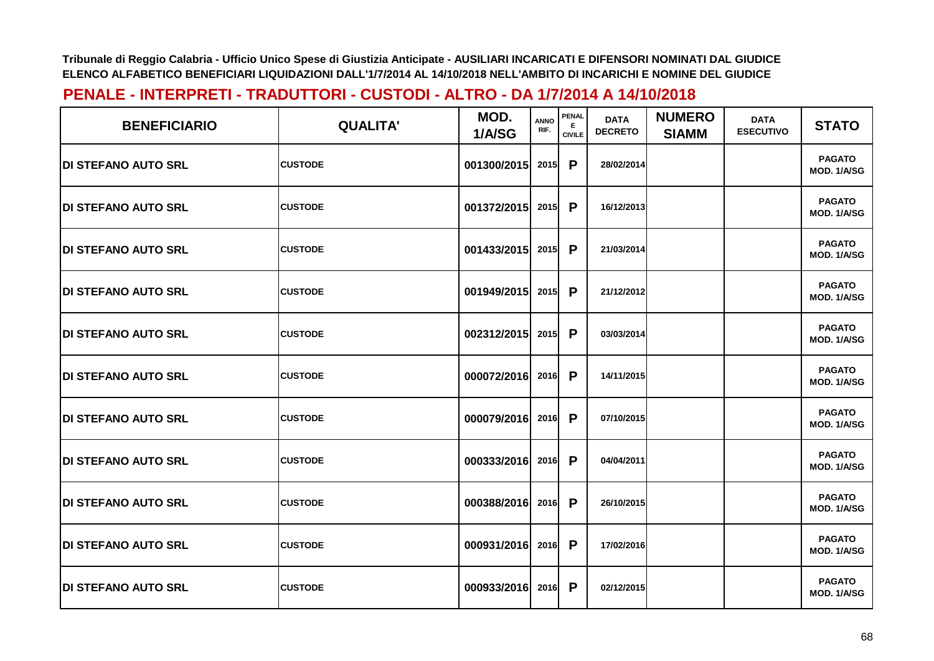| <b>BENEFICIARIO</b>         | <b>QUALITA'</b> | MOD.<br>1/A/SG   | <b>ANNO</b><br>RIF. | <b>PENAL</b><br>E.<br><b>CIVILE</b> | <b>DATA</b><br><b>DECRETO</b> | <b>NUMERO</b><br><b>SIAMM</b> | <b>DATA</b><br><b>ESECUTIVO</b> | <b>STATO</b>                 |
|-----------------------------|-----------------|------------------|---------------------|-------------------------------------|-------------------------------|-------------------------------|---------------------------------|------------------------------|
| <b>IDI STEFANO AUTO SRL</b> | <b>CUSTODE</b>  | 001300/2015      | 2015                | P                                   | 28/02/2014                    |                               |                                 | <b>PAGATO</b><br>MOD. 1/A/SG |
| <b>DI STEFANO AUTO SRL</b>  | <b>CUSTODE</b>  | 001372/2015      | 2015                | P                                   | 16/12/2013                    |                               |                                 | <b>PAGATO</b><br>MOD. 1/A/SG |
| <b>DI STEFANO AUTO SRL</b>  | <b>CUSTODE</b>  | 001433/2015      | 2015                | P                                   | 21/03/2014                    |                               |                                 | <b>PAGATO</b><br>MOD. 1/A/SG |
| <b>IDI STEFANO AUTO SRL</b> | <b>CUSTODE</b>  | 001949/2015 2015 |                     | P                                   | 21/12/2012                    |                               |                                 | <b>PAGATO</b><br>MOD. 1/A/SG |
| <b>IDI STEFANO AUTO SRL</b> | <b>CUSTODE</b>  | 002312/2015      | 2015                | P                                   | 03/03/2014                    |                               |                                 | <b>PAGATO</b><br>MOD. 1/A/SG |
| <b>DI STEFANO AUTO SRL</b>  | <b>CUSTODE</b>  | 000072/2016 2016 |                     | P                                   | 14/11/2015                    |                               |                                 | <b>PAGATO</b><br>MOD. 1/A/SG |
| <b>IDI STEFANO AUTO SRL</b> | <b>CUSTODE</b>  | 000079/2016 2016 |                     | P                                   | 07/10/2015                    |                               |                                 | <b>PAGATO</b><br>MOD. 1/A/SG |
| <b>DI STEFANO AUTO SRL</b>  | <b>CUSTODE</b>  | 000333/2016      | 2016                | P                                   | 04/04/2011                    |                               |                                 | <b>PAGATO</b><br>MOD. 1/A/SG |
| <b>DI STEFANO AUTO SRL</b>  | <b>CUSTODE</b>  | 000388/2016      | 2016                | P                                   | 26/10/2015                    |                               |                                 | <b>PAGATO</b><br>MOD. 1/A/SG |
| <b>DI STEFANO AUTO SRL</b>  | <b>CUSTODE</b>  | 000931/2016      | 2016                | P                                   | 17/02/2016                    |                               |                                 | <b>PAGATO</b><br>MOD. 1/A/SG |
| <b>DI STEFANO AUTO SRL</b>  | <b>CUSTODE</b>  | 000933/2016      | 2016                | P                                   | 02/12/2015                    |                               |                                 | <b>PAGATO</b><br>MOD. 1/A/SG |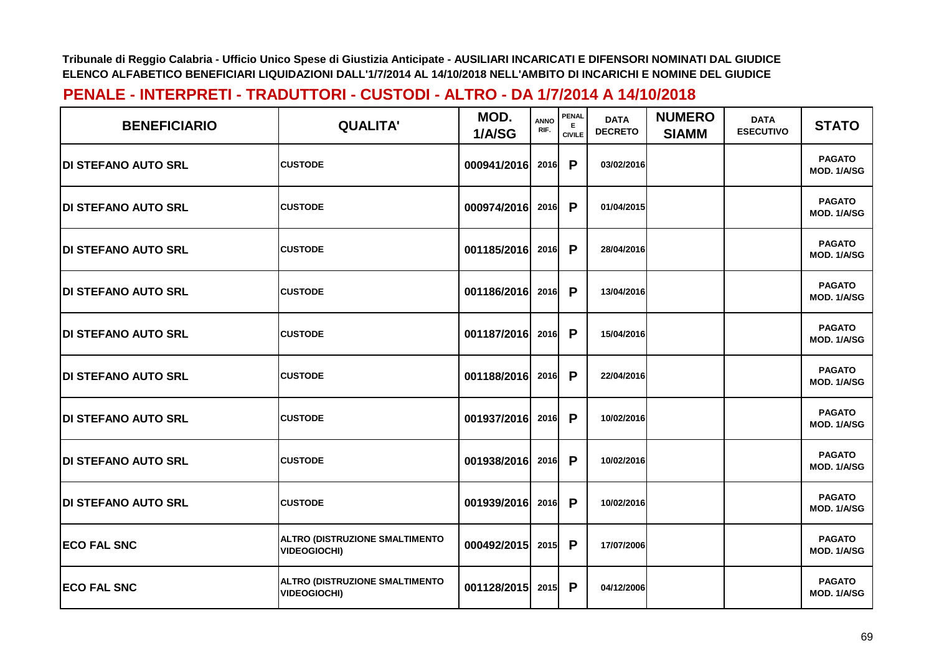| <b>BENEFICIARIO</b>         | <b>QUALITA'</b>                                              | MOD.<br>1/A/SG | <b>ANNO</b><br>RIF. | PENAL<br>E.<br><b>CIVILE</b> | <b>DATA</b><br><b>DECRETO</b> | <b>NUMERO</b><br><b>SIAMM</b> | <b>DATA</b><br><b>ESECUTIVO</b> | <b>STATO</b>                 |
|-----------------------------|--------------------------------------------------------------|----------------|---------------------|------------------------------|-------------------------------|-------------------------------|---------------------------------|------------------------------|
| <b>DI STEFANO AUTO SRL</b>  | <b>CUSTODE</b>                                               | 000941/2016    | 2016                | P                            | 03/02/2016                    |                               |                                 | <b>PAGATO</b><br>MOD. 1/A/SG |
| <b>DI STEFANO AUTO SRL</b>  | <b>CUSTODE</b>                                               | 000974/2016    | 2016                | P                            | 01/04/2015                    |                               |                                 | <b>PAGATO</b><br>MOD. 1/A/SG |
| <b>DI STEFANO AUTO SRL</b>  | <b>CUSTODE</b>                                               | 001185/2016    | 2016                | P                            | 28/04/2016                    |                               |                                 | <b>PAGATO</b><br>MOD. 1/A/SG |
| <b>IDI STEFANO AUTO SRL</b> | <b>CUSTODE</b>                                               | 001186/2016    | 2016                | P                            | 13/04/2016                    |                               |                                 | <b>PAGATO</b><br>MOD. 1/A/SG |
| <b>DI STEFANO AUTO SRL</b>  | <b>CUSTODE</b>                                               | 001187/2016    | 2016                | P                            | 15/04/2016                    |                               |                                 | <b>PAGATO</b><br>MOD. 1/A/SG |
| <b>DI STEFANO AUTO SRL</b>  | <b>CUSTODE</b>                                               | 001188/2016    | 2016                | P                            | 22/04/2016                    |                               |                                 | <b>PAGATO</b><br>MOD. 1/A/SG |
| <b>DI STEFANO AUTO SRL</b>  | <b>CUSTODE</b>                                               | 001937/2016    | 2016                | P                            | 10/02/2016                    |                               |                                 | <b>PAGATO</b><br>MOD. 1/A/SG |
| <b>DI STEFANO AUTO SRL</b>  | <b>CUSTODE</b>                                               | 001938/2016    | 2016                | P                            | 10/02/2016                    |                               |                                 | <b>PAGATO</b><br>MOD. 1/A/SG |
| <b>DI STEFANO AUTO SRL</b>  | <b>CUSTODE</b>                                               | 001939/2016    | 2016                | P                            | 10/02/2016                    |                               |                                 | <b>PAGATO</b><br>MOD. 1/A/SG |
| <b>ECO FAL SNC</b>          | ALTRO (DISTRUZIONE SMALTIMENTO<br><b>VIDEOGIOCHI)</b>        | 000492/2015    | 2015                | P                            | 17/07/2006                    |                               |                                 | <b>PAGATO</b><br>MOD. 1/A/SG |
| <b>ECO FAL SNC</b>          | <b>ALTRO (DISTRUZIONE SMALTIMENTO</b><br><b>VIDEOGIOCHI)</b> | 001128/2015    | 2015                | P                            | 04/12/2006                    |                               |                                 | <b>PAGATO</b><br>MOD. 1/A/SG |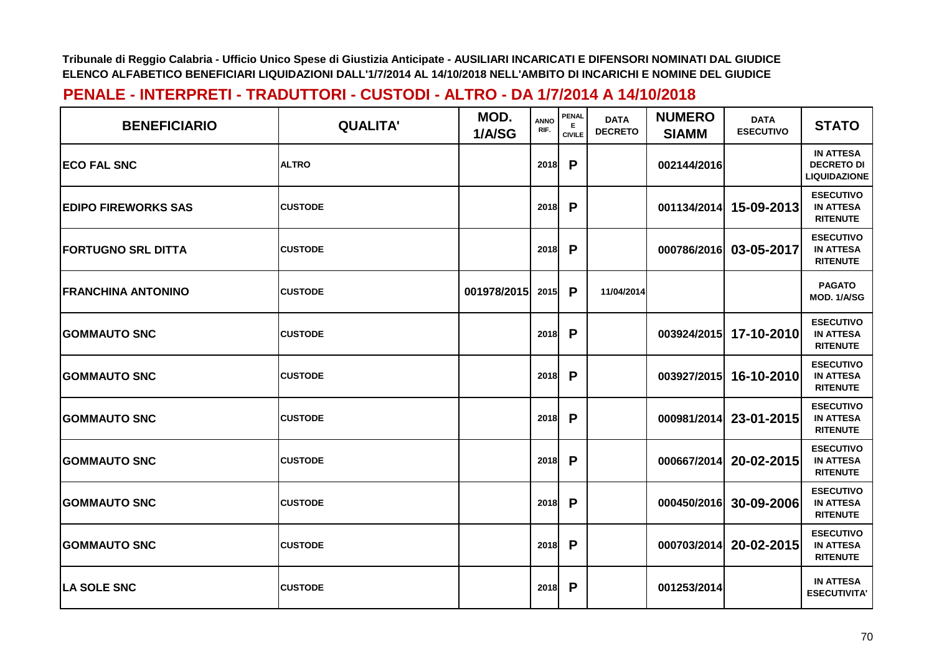| <b>BENEFICIARIO</b>        | <b>QUALITA'</b> | MOD.<br>1/A/SG | <b>ANNO</b><br>RIF. | <b>PENAL</b><br>Е<br><b>CIVILE</b> | <b>DATA</b><br><b>DECRETO</b> | <b>NUMERO</b><br><b>SIAMM</b> | <b>DATA</b><br><b>ESECUTIVO</b> | <b>STATO</b>                                                 |
|----------------------------|-----------------|----------------|---------------------|------------------------------------|-------------------------------|-------------------------------|---------------------------------|--------------------------------------------------------------|
| <b>ECO FAL SNC</b>         | <b>ALTRO</b>    |                | 2018                | P                                  |                               | 002144/2016                   |                                 | <b>IN ATTESA</b><br><b>DECRETO DI</b><br><b>LIQUIDAZIONE</b> |
| <b>EDIPO FIREWORKS SAS</b> | <b>CUSTODE</b>  |                | 2018                | P                                  |                               | 001134/2014                   | 15-09-2013                      | <b>ESECUTIVO</b><br><b>IN ATTESA</b><br><b>RITENUTE</b>      |
| <b>FORTUGNO SRL DITTA</b>  | <b>CUSTODE</b>  |                | 2018                | P                                  |                               | 000786/2016                   | 03-05-2017                      | <b>ESECUTIVO</b><br><b>IN ATTESA</b><br><b>RITENUTE</b>      |
| <b>FRANCHINA ANTONINO</b>  | <b>CUSTODE</b>  | 001978/2015    | 2015                | P                                  | 11/04/2014                    |                               |                                 | <b>PAGATO</b><br>MOD. 1/A/SG                                 |
| <b>GOMMAUTO SNC</b>        | <b>CUSTODE</b>  |                | 2018                | P                                  |                               |                               | 003924/2015 17-10-2010          | <b>ESECUTIVO</b><br><b>IN ATTESA</b><br><b>RITENUTE</b>      |
| <b>GOMMAUTO SNC</b>        | <b>CUSTODE</b>  |                | 2018                | P                                  |                               |                               | 003927/2015 16-10-2010          | <b>ESECUTIVO</b><br><b>IN ATTESA</b><br><b>RITENUTE</b>      |
| <b>GOMMAUTO SNC</b>        | <b>CUSTODE</b>  |                | 2018                | P                                  |                               | 000981/2014                   | 23-01-2015                      | <b>ESECUTIVO</b><br><b>IN ATTESA</b><br><b>RITENUTE</b>      |
| <b>GOMMAUTO SNC</b>        | <b>CUSTODE</b>  |                | 2018                | P                                  |                               | 000667/2014                   | 20-02-2015                      | <b>ESECUTIVO</b><br><b>IN ATTESA</b><br><b>RITENUTE</b>      |
| <b>GOMMAUTO SNC</b>        | <b>CUSTODE</b>  |                | 2018                | P                                  |                               | 000450/2016                   | 30-09-2006                      | <b>ESECUTIVO</b><br><b>IN ATTESA</b><br><b>RITENUTE</b>      |
| <b>GOMMAUTO SNC</b>        | <b>CUSTODE</b>  |                | 2018                | P                                  |                               | 000703/2014                   | 20-02-2015                      | <b>ESECUTIVO</b><br><b>IN ATTESA</b><br><b>RITENUTE</b>      |
| <b>ILA SOLE SNC</b>        | <b>CUSTODE</b>  |                | 2018                | P                                  |                               | 001253/2014                   |                                 | <b>IN ATTESA</b><br><b>ESECUTIVITA'</b>                      |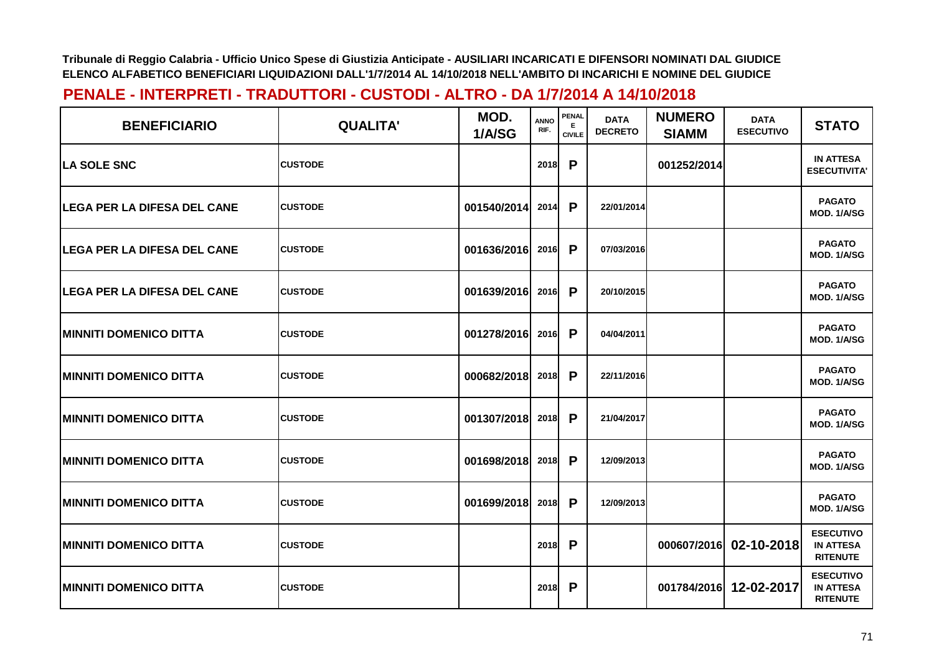| <b>BENEFICIARIO</b>                | <b>QUALITA'</b> | MOD.<br>1/A/SG | <b>ANNO</b><br>RIF. | <b>PENAL</b><br>Е<br><b>CIVILE</b> | <b>DATA</b><br><b>DECRETO</b> | <b>NUMERO</b><br><b>SIAMM</b> | <b>DATA</b><br><b>ESECUTIVO</b> | <b>STATO</b>                                            |
|------------------------------------|-----------------|----------------|---------------------|------------------------------------|-------------------------------|-------------------------------|---------------------------------|---------------------------------------------------------|
| <b>ILA SOLE SNC</b>                | <b>CUSTODE</b>  |                | 2018                | P                                  |                               | 001252/2014                   |                                 | <b>IN ATTESA</b><br><b>ESECUTIVITA'</b>                 |
| LEGA PER LA DIFESA DEL CANE        | <b>CUSTODE</b>  | 001540/2014    | 2014                | P                                  | 22/01/2014                    |                               |                                 | <b>PAGATO</b><br>MOD. 1/A/SG                            |
| <b>LEGA PER LA DIFESA DEL CANE</b> | <b>CUSTODE</b>  | 001636/2016    | 2016                | P                                  | 07/03/2016                    |                               |                                 | <b>PAGATO</b><br>MOD. 1/A/SG                            |
| LEGA PER LA DIFESA DEL CANE        | <b>CUSTODE</b>  | 001639/2016    | 2016                | P                                  | 20/10/2015                    |                               |                                 | <b>PAGATO</b><br>MOD. 1/A/SG                            |
| <b> MINNITI DOMENICO DITTA</b>     | <b>CUSTODE</b>  | 001278/2016    | 2016                | P                                  | 04/04/2011                    |                               |                                 | <b>PAGATO</b><br>MOD. 1/A/SG                            |
| <b> MINNITI DOMENICO DITTA</b>     | <b>CUSTODE</b>  | 000682/2018    | 2018                | P                                  | 22/11/2016                    |                               |                                 | <b>PAGATO</b><br>MOD. 1/A/SG                            |
| <b>MINNITI DOMENICO DITTA</b>      | <b>CUSTODE</b>  | 001307/2018    | 2018                | P                                  | 21/04/2017                    |                               |                                 | <b>PAGATO</b><br>MOD. 1/A/SG                            |
| <b>MINNITI DOMENICO DITTA</b>      | <b>CUSTODE</b>  | 001698/2018    | 2018                | P                                  | 12/09/2013                    |                               |                                 | <b>PAGATO</b><br>MOD. 1/A/SG                            |
| <b> MINNITI DOMENICO DITTA</b>     | <b>CUSTODE</b>  | 001699/2018    | 2018                | P                                  | 12/09/2013                    |                               |                                 | <b>PAGATO</b><br>MOD. 1/A/SG                            |
| <b>MINNITI DOMENICO DITTA</b>      | <b>CUSTODE</b>  |                | 2018                | P                                  |                               | 000607/2016                   | 02-10-2018                      | <b>ESECUTIVO</b><br><b>IN ATTESA</b><br><b>RITENUTE</b> |
| <b>MINNITI DOMENICO DITTA</b>      | <b>CUSTODE</b>  |                | 2018                | P                                  |                               | 001784/2016                   | 12-02-2017                      | <b>ESECUTIVO</b><br><b>IN ATTESA</b><br><b>RITENUTE</b> |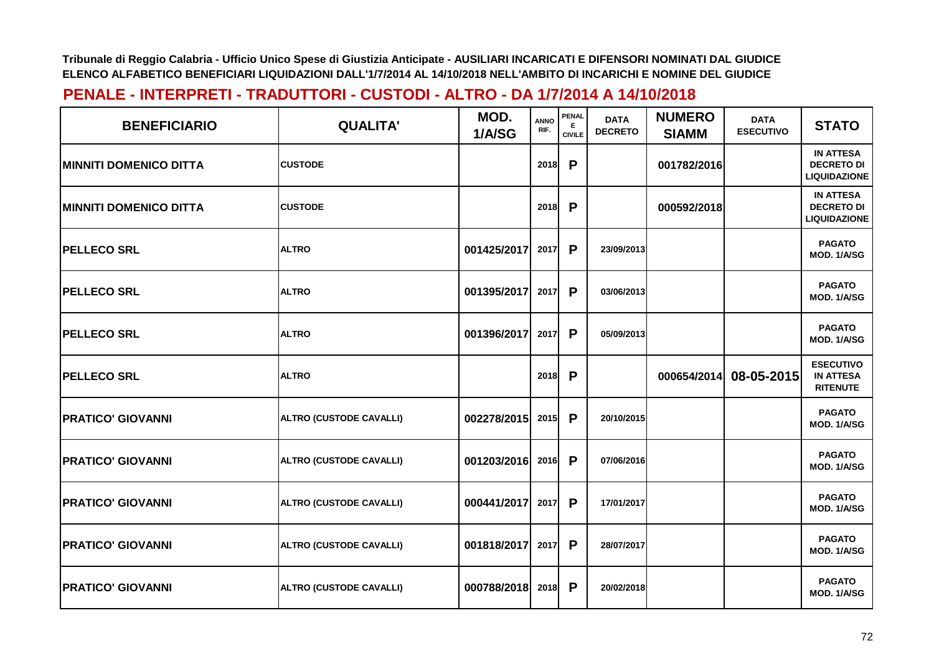| <b>BENEFICIARIO</b>           | <b>QUALITA'</b>                | MOD.<br>1/A/SG | ANNO<br>RIF. | <b>PENAL</b><br>Е<br><b>CIVILE</b> | <b>DATA</b><br><b>DECRETO</b> | <b>NUMERO</b><br><b>SIAMM</b> | <b>DATA</b><br><b>ESECUTIVO</b> | <b>STATO</b>                                                 |
|-------------------------------|--------------------------------|----------------|--------------|------------------------------------|-------------------------------|-------------------------------|---------------------------------|--------------------------------------------------------------|
| <b>MINNITI DOMENICO DITTA</b> | <b>CUSTODE</b>                 |                | 2018         | P                                  |                               | 001782/2016                   |                                 | <b>IN ATTESA</b><br><b>DECRETO DI</b><br><b>LIQUIDAZIONE</b> |
| <b>MINNITI DOMENICO DITTA</b> | <b>CUSTODE</b>                 |                | 2018         | P                                  |                               | 000592/2018                   |                                 | <b>IN ATTESA</b><br><b>DECRETO DI</b><br><b>LIQUIDAZIONE</b> |
| <b>IPELLECO SRL</b>           | <b>ALTRO</b>                   | 001425/2017    | 2017         | P                                  | 23/09/2013                    |                               |                                 | <b>PAGATO</b><br>MOD. 1/A/SG                                 |
| <b>PELLECO SRL</b>            | <b>ALTRO</b>                   | 001395/2017    | 2017         | P                                  | 03/06/2013                    |                               |                                 | <b>PAGATO</b><br>MOD. 1/A/SG                                 |
| <b>PELLECO SRL</b>            | <b>ALTRO</b>                   | 001396/2017    | 2017         | P                                  | 05/09/2013                    |                               |                                 | <b>PAGATO</b><br>MOD. 1/A/SG                                 |
| <b>PELLECO SRL</b>            | <b>ALTRO</b>                   |                | 2018         | P                                  |                               | 000654/2014                   | 08-05-2015                      | <b>ESECUTIVO</b><br><b>IN ATTESA</b><br><b>RITENUTE</b>      |
| <b>PRATICO' GIOVANNI</b>      | ALTRO (CUSTODE CAVALLI)        | 002278/2015    | 2015         | P                                  | 20/10/2015                    |                               |                                 | <b>PAGATO</b><br>MOD. 1/A/SG                                 |
| <b>PRATICO' GIOVANNI</b>      | <b>ALTRO (CUSTODE CAVALLI)</b> | 001203/2016    | 2016         | P                                  | 07/06/2016                    |                               |                                 | <b>PAGATO</b><br>MOD. 1/A/SG                                 |
| <b>PRATICO' GIOVANNI</b>      | <b>ALTRO (CUSTODE CAVALLI)</b> | 000441/2017    | 2017         | P                                  | 17/01/2017                    |                               |                                 | <b>PAGATO</b><br>MOD. 1/A/SG                                 |
| <b>PRATICO' GIOVANNI</b>      | <b>ALTRO (CUSTODE CAVALLI)</b> | 001818/2017    | 2017         | P                                  | 28/07/2017                    |                               |                                 | <b>PAGATO</b><br>MOD. 1/A/SG                                 |
| <b>PRATICO' GIOVANNI</b>      | <b>ALTRO (CUSTODE CAVALLI)</b> | 000788/2018    | 2018         | $\mathsf{P}$                       | 20/02/2018                    |                               |                                 | <b>PAGATO</b><br>MOD. 1/A/SG                                 |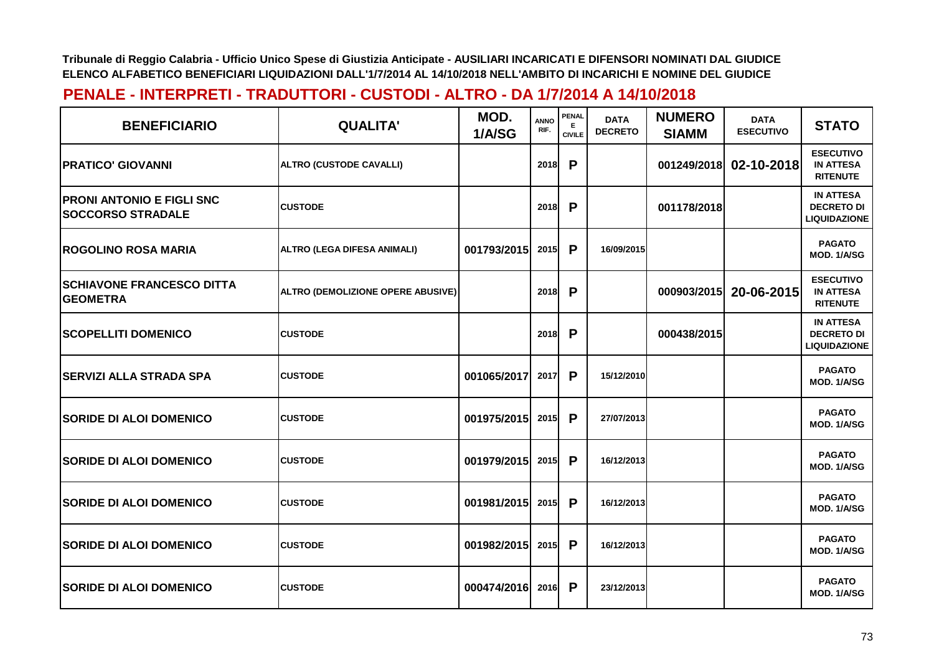| <b>BENEFICIARIO</b>                                          | <b>QUALITA'</b>                          | MOD.<br>1/A/SG | <b>ANNO</b><br>RIF. | <b>PENAL</b><br>Е<br><b>CIVILE</b> | <b>DATA</b><br><b>DECRETO</b> | <b>NUMERO</b><br><b>SIAMM</b> | <b>DATA</b><br><b>ESECUTIVO</b> | <b>STATO</b>                                                 |
|--------------------------------------------------------------|------------------------------------------|----------------|---------------------|------------------------------------|-------------------------------|-------------------------------|---------------------------------|--------------------------------------------------------------|
| <b>PRATICO' GIOVANNI</b>                                     | ALTRO (CUSTODE CAVALLI)                  |                | 2018                | P                                  |                               | 001249/2018                   | 02-10-2018                      | <b>ESECUTIVO</b><br><b>IN ATTESA</b><br><b>RITENUTE</b>      |
| <b>PRONI ANTONIO E FIGLI SNC</b><br><b>SOCCORSO STRADALE</b> | <b>CUSTODE</b>                           |                | 2018                | P                                  |                               | 001178/2018                   |                                 | <b>IN ATTESA</b><br><b>DECRETO DI</b><br><b>LIQUIDAZIONE</b> |
| <b>IROGOLINO ROSA MARIA</b>                                  | <b>ALTRO (LEGA DIFESA ANIMALI)</b>       | 001793/2015    | 2015                | P                                  | 16/09/2015                    |                               |                                 | <b>PAGATO</b><br>MOD. 1/A/SG                                 |
| <b>SCHIAVONE FRANCESCO DITTA</b><br><b>GEOMETRA</b>          | <b>ALTRO (DEMOLIZIONE OPERE ABUSIVE)</b> |                | 2018                | P                                  |                               | 000903/2015                   | 20-06-2015                      | <b>ESECUTIVO</b><br><b>IN ATTESA</b><br><b>RITENUTE</b>      |
| <b>SCOPELLITI DOMENICO</b>                                   | <b>CUSTODE</b>                           |                | 2018                | P                                  |                               | 000438/2015                   |                                 | <b>IN ATTESA</b><br><b>DECRETO DI</b><br><b>LIQUIDAZIONE</b> |
| <b>SERVIZI ALLA STRADA SPA</b>                               | <b>CUSTODE</b>                           | 001065/2017    | 2017                | P                                  | 15/12/2010                    |                               |                                 | <b>PAGATO</b><br>MOD. 1/A/SG                                 |
| <b>SORIDE DI ALOI DOMENICO</b>                               | <b>CUSTODE</b>                           | 001975/2015    | 2015                | P                                  | 27/07/2013                    |                               |                                 | <b>PAGATO</b><br>MOD. 1/A/SG                                 |
| <b>SORIDE DI ALOI DOMENICO</b>                               | <b>CUSTODE</b>                           | 001979/2015    | 2015                | P                                  | 16/12/2013                    |                               |                                 | <b>PAGATO</b><br>MOD. 1/A/SG                                 |
| <b>SORIDE DI ALOI DOMENICO</b>                               | <b>CUSTODE</b>                           | 001981/2015    | 2015                | P                                  | 16/12/2013                    |                               |                                 | <b>PAGATO</b><br>MOD. 1/A/SG                                 |
| <b>SORIDE DI ALOI DOMENICO</b>                               | <b>CUSTODE</b>                           | 001982/2015    | 2015                | P                                  | 16/12/2013                    |                               |                                 | <b>PAGATO</b><br>MOD. 1/A/SG                                 |
| <b>SORIDE DI ALOI DOMENICO</b>                               | <b>CUSTODE</b>                           | 000474/2016    | 2016                | P                                  | 23/12/2013                    |                               |                                 | <b>PAGATO</b><br>MOD. 1/A/SG                                 |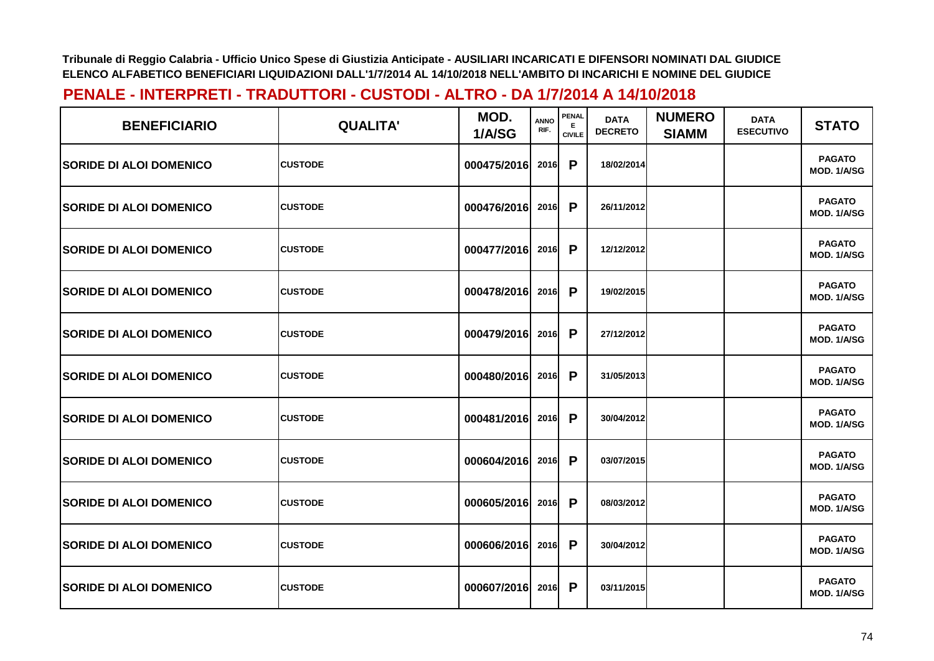| <b>BENEFICIARIO</b>            | <b>QUALITA'</b> | MOD.<br>1/A/SG   | <b>ANNO</b><br>RIF. | <b>PENAL</b><br>E.<br><b>CIVILE</b> | <b>DATA</b><br><b>DECRETO</b> | <b>NUMERO</b><br><b>SIAMM</b> | <b>DATA</b><br><b>ESECUTIVO</b> | <b>STATO</b>                 |
|--------------------------------|-----------------|------------------|---------------------|-------------------------------------|-------------------------------|-------------------------------|---------------------------------|------------------------------|
| <b>SORIDE DI ALOI DOMENICO</b> | <b>CUSTODE</b>  | 000475/2016      | 2016                | P                                   | 18/02/2014                    |                               |                                 | <b>PAGATO</b><br>MOD. 1/A/SG |
| <b>SORIDE DI ALOI DOMENICO</b> | <b>CUSTODE</b>  | 000476/2016      | 2016                | P                                   | 26/11/2012                    |                               |                                 | <b>PAGATO</b><br>MOD. 1/A/SG |
| <b>SORIDE DI ALOI DOMENICO</b> | <b>CUSTODE</b>  | 000477/2016      | 2016                | P                                   | 12/12/2012                    |                               |                                 | <b>PAGATO</b><br>MOD. 1/A/SG |
| <b>SORIDE DI ALOI DOMENICO</b> | <b>CUSTODE</b>  | 000478/2016      | 2016                | P                                   | 19/02/2015                    |                               |                                 | <b>PAGATO</b><br>MOD. 1/A/SG |
| <b>SORIDE DI ALOI DOMENICO</b> | <b>CUSTODE</b>  | 000479/2016      | 2016                | P                                   | 27/12/2012                    |                               |                                 | <b>PAGATO</b><br>MOD. 1/A/SG |
| <b>SORIDE DI ALOI DOMENICO</b> | <b>CUSTODE</b>  | 000480/2016      | 2016                | P                                   | 31/05/2013                    |                               |                                 | <b>PAGATO</b><br>MOD. 1/A/SG |
| <b>SORIDE DI ALOI DOMENICO</b> | <b>CUSTODE</b>  | 000481/2016      | 2016                | P                                   | 30/04/2012                    |                               |                                 | <b>PAGATO</b><br>MOD. 1/A/SG |
| <b>SORIDE DI ALOI DOMENICO</b> | <b>CUSTODE</b>  | 000604/2016      | 2016                | P                                   | 03/07/2015                    |                               |                                 | <b>PAGATO</b><br>MOD. 1/A/SG |
| <b>SORIDE DI ALOI DOMENICO</b> | <b>CUSTODE</b>  | 000605/2016      | 2016                | P                                   | 08/03/2012                    |                               |                                 | <b>PAGATO</b><br>MOD. 1/A/SG |
| <b>SORIDE DI ALOI DOMENICO</b> | <b>CUSTODE</b>  | 000606/2016 2016 |                     | P                                   | 30/04/2012                    |                               |                                 | <b>PAGATO</b><br>MOD. 1/A/SG |
| <b>SORIDE DI ALOI DOMENICO</b> | <b>CUSTODE</b>  | 000607/2016      | 2016                | P                                   | 03/11/2015                    |                               |                                 | <b>PAGATO</b><br>MOD. 1/A/SG |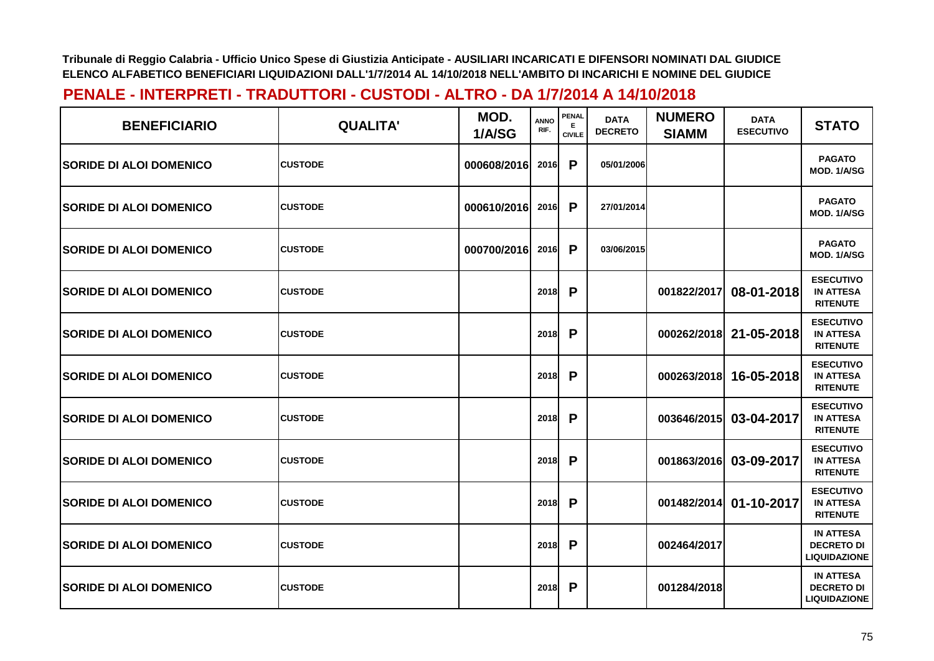| <b>BENEFICIARIO</b>            | <b>QUALITA'</b> | MOD.<br>1/A/SG | <b>ANNO</b><br>RIF. | PENAL<br>E.<br><b>CIVILE</b> | <b>DATA</b><br><b>DECRETO</b> | <b>NUMERO</b><br><b>SIAMM</b> | <b>DATA</b><br><b>ESECUTIVO</b> | <b>STATO</b>                                                 |
|--------------------------------|-----------------|----------------|---------------------|------------------------------|-------------------------------|-------------------------------|---------------------------------|--------------------------------------------------------------|
| <b>SORIDE DI ALOI DOMENICO</b> | <b>CUSTODE</b>  | 000608/2016    | 2016                | P                            | 05/01/2006                    |                               |                                 | <b>PAGATO</b><br>MOD. 1/A/SG                                 |
| <b>SORIDE DI ALOI DOMENICO</b> | <b>CUSTODE</b>  | 000610/2016    | 2016                | P                            | 27/01/2014                    |                               |                                 | <b>PAGATO</b><br>MOD. 1/A/SG                                 |
| <b>SORIDE DI ALOI DOMENICO</b> | <b>CUSTODE</b>  | 000700/2016    | 2016                | P                            | 03/06/2015                    |                               |                                 | <b>PAGATO</b><br>MOD. 1/A/SG                                 |
| <b>SORIDE DI ALOI DOMENICO</b> | <b>CUSTODE</b>  |                | 2018                | P                            |                               | 001822/2017                   | 08-01-2018                      | <b>ESECUTIVO</b><br><b>IN ATTESA</b><br><b>RITENUTE</b>      |
| <b>SORIDE DI ALOI DOMENICO</b> | <b>CUSTODE</b>  |                | 2018                | P                            |                               | 000262/2018                   | 21-05-2018                      | <b>ESECUTIVO</b><br><b>IN ATTESA</b><br><b>RITENUTE</b>      |
| <b>SORIDE DI ALOI DOMENICO</b> | <b>CUSTODE</b>  |                | <b>2018</b>         | P                            |                               | 000263/2018                   | 16-05-2018                      | <b>ESECUTIVO</b><br><b>IN ATTESA</b><br><b>RITENUTE</b>      |
| <b>SORIDE DI ALOI DOMENICO</b> | <b>CUSTODE</b>  |                | 2018                | P                            |                               | 003646/2015                   | 03-04-2017                      | <b>ESECUTIVO</b><br><b>IN ATTESA</b><br><b>RITENUTE</b>      |
| <b>SORIDE DI ALOI DOMENICO</b> | <b>CUSTODE</b>  |                | 2018                | P                            |                               | 001863/2016                   | 03-09-2017                      | <b>ESECUTIVO</b><br><b>IN ATTESA</b><br><b>RITENUTE</b>      |
| <b>SORIDE DI ALOI DOMENICO</b> | <b>CUSTODE</b>  |                | 2018                | P                            |                               | 001482/2014                   | 01-10-2017                      | <b>ESECUTIVO</b><br><b>IN ATTESA</b><br><b>RITENUTE</b>      |
| <b>SORIDE DI ALOI DOMENICO</b> | <b>CUSTODE</b>  |                | 2018                | P                            |                               | 002464/2017                   |                                 | <b>IN ATTESA</b><br><b>DECRETO DI</b><br><b>LIQUIDAZIONE</b> |
| <b>SORIDE DI ALOI DOMENICO</b> | <b>CUSTODE</b>  |                | 2018                | P                            |                               | 001284/2018                   |                                 | <b>IN ATTESA</b><br><b>DECRETO DI</b><br><b>LIQUIDAZIONE</b> |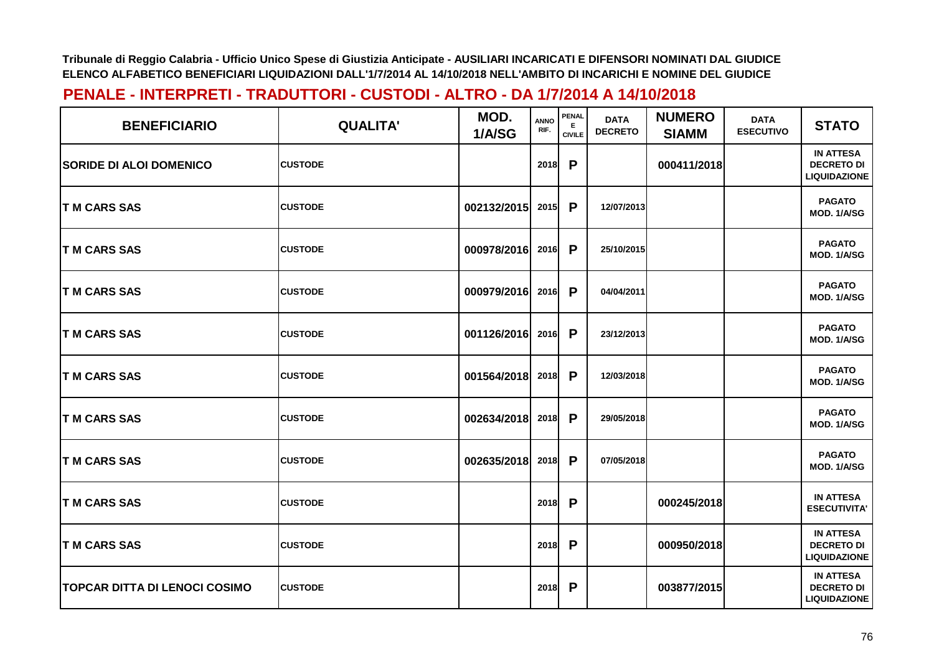| <b>BENEFICIARIO</b>            | <b>QUALITA'</b> | MOD.<br>1/A/SG | <b>ANNO</b><br>RIF. | <b>PENAL</b><br>Е<br><b>CIVILE</b> | <b>DATA</b><br><b>DECRETO</b> | <b>NUMERO</b><br><b>SIAMM</b> | <b>DATA</b><br><b>ESECUTIVO</b> | <b>STATO</b>                                                 |
|--------------------------------|-----------------|----------------|---------------------|------------------------------------|-------------------------------|-------------------------------|---------------------------------|--------------------------------------------------------------|
| <b>SORIDE DI ALOI DOMENICO</b> | <b>CUSTODE</b>  |                | 2018                | P                                  |                               | 000411/2018                   |                                 | <b>IN ATTESA</b><br><b>DECRETO DI</b><br><b>LIQUIDAZIONE</b> |
| <b>T M CARS SAS</b>            | <b>CUSTODE</b>  | 002132/2015    | 2015                | P                                  | 12/07/2013                    |                               |                                 | <b>PAGATO</b><br>MOD. 1/A/SG                                 |
| <b>IT M CARS SAS</b>           | <b>CUSTODE</b>  | 000978/2016    | 2016                | P                                  | 25/10/2015                    |                               |                                 | <b>PAGATO</b><br>MOD. 1/A/SG                                 |
| <b>T M CARS SAS</b>            | <b>CUSTODE</b>  | 000979/2016    | 2016                | P                                  | 04/04/2011                    |                               |                                 | <b>PAGATO</b><br>MOD. 1/A/SG                                 |
| <b>T M CARS SAS</b>            | <b>CUSTODE</b>  | 001126/2016    | 2016                | P                                  | 23/12/2013                    |                               |                                 | <b>PAGATO</b><br>MOD. 1/A/SG                                 |
| <b>TM CARS SAS</b>             | <b>CUSTODE</b>  | 001564/2018    | 2018                | P                                  | 12/03/2018                    |                               |                                 | <b>PAGATO</b><br>MOD. 1/A/SG                                 |
| <b>T M CARS SAS</b>            | <b>CUSTODE</b>  | 002634/2018    | 2018                | P                                  | 29/05/2018                    |                               |                                 | <b>PAGATO</b><br>MOD. 1/A/SG                                 |
| <b>T M CARS SAS</b>            | <b>CUSTODE</b>  | 002635/2018    | 2018                | P                                  | 07/05/2018                    |                               |                                 | <b>PAGATO</b><br>MOD. 1/A/SG                                 |
| <b>T M CARS SAS</b>            | <b>CUSTODE</b>  |                | 2018                | P                                  |                               | 000245/2018                   |                                 | <b>IN ATTESA</b><br><b>ESECUTIVITA'</b>                      |
| <b>T M CARS SAS</b>            | <b>CUSTODE</b>  |                | 2018                | P                                  |                               | 000950/2018                   |                                 | <b>IN ATTESA</b><br><b>DECRETO DI</b><br><b>LIQUIDAZIONE</b> |
| TOPCAR DITTA DI LENOCI COSIMO  | <b>CUSTODE</b>  |                | 2018                | P                                  |                               | 003877/2015                   |                                 | <b>IN ATTESA</b><br><b>DECRETO DI</b><br><b>LIQUIDAZIONE</b> |